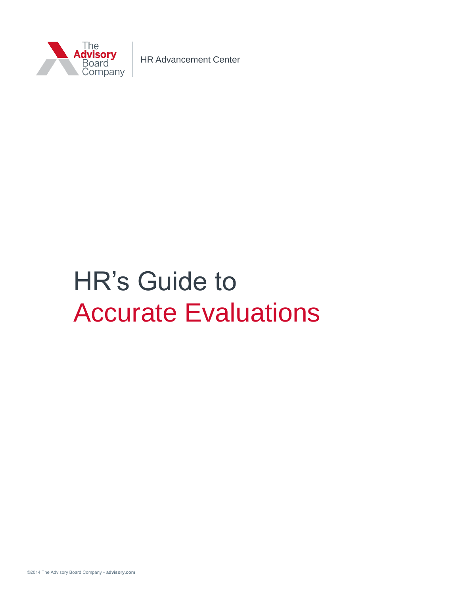

HR Advancement Center

# HR's Guide to Accurate Evaluations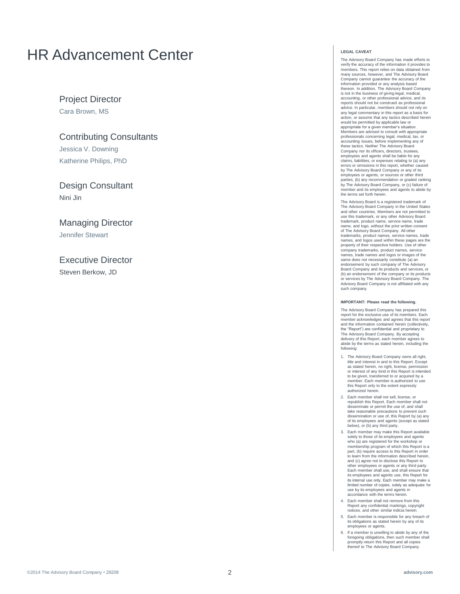## HR Advancement Center

Project Director

Cara Brown, MS

Contributing Consultants

Jessica V. Downing Katherine Philips, PhD

Design Consultant Nini Jin

Managing Director Jennifer Stewart

Executive Director Steven Berkow, JD

#### **LEGAL CAVEAT**

The Advisory Board Company has made efforts to verify the accuracy of the information it provides to members. This report relies on data obtained from many sources, however, and The Advisory Board Company cannot guarantee the accuracy of the information provided or any analysis based thereon. In addition, The Advisory Board Company is not in the business of giving legal, medical, accounting, or other professional advice, and its reports should not be construed as professional advice. In particular, members should not rely on any legal commentary in this report as a basis for action, or assume that any tactics described herein would be permitted by applicable law or appropriate for a given member's situation. Members are advised to consult with appropriate professionals concerning legal, medical, tax, or accounting issues, before implementing any of these tactics. Neither The Advisory Board Company nor its officers, directors, trustees, employees and agents shall be liable for any claims, liabilities, or expenses relating to (a) any errors or omissions in this report, whether caused by The Advisory Board Company or any of its employees or agents, or sources or other third parties, (b) any recommendation or graded ranking by The Advisory Board Company, or (c) failure of mber and its employees and agents to abide by the terms set forth herein.

The Advisory Board is a registered trademark of The Advisory Board Company in the United States and other countries. Members are not permitted to use this trademark, or any other Advisory Board trademark, product name, service name, trade name, and logo, without the prior written consent of The Advisory Board Company. All other<br>trademarks, product names, service names, trade names, and logos used within these pages are the property of their respective holders. Use of other company trademarks, product names, service names, trade names and logos or images of the same does not necessarily constitute (a) an endorsement by such company of The Advisory Board Company and its products and services, or (b) an endorsement of the company or its products or services by The Advisory Board Company. The Advisory Board Company is not affiliated with any such company.

#### **IMPORTANT: Please read the following.**

The Advisory Board Company has prepared this report for the exclusive use of its members. Each member acknowledges and agrees that this report and the information contained herein (collectively, the "Report") are confidential and proprietary to The Advisory Board Company. By accepting delivery of this Report, each member agrees to abide by the terms as stated herein, including the following:

- 1. The Advisory Board Company owns all right, title and interest in and to this Report. Except as stated herein, no right, license, permission or interest of any kind in this Report is intended to be given, transferred to or acquired by a member. Each member is authorized to use this Report only to the extent expressly authorized herein.
- 2. Each member shall not sell, license, or republish this Report. Each member shall not disseminate or permit the use of, and shall take reasonable precautions to prevent such dissemination or use of, this Report by (a) any of its employees and agents (except as stated below), or (b) any third party.
- 3. Each member may make this Report available solely to those of its employees and agents who (a) are registered for the workshop or membership program of which this Report is a part, (b) require access to this Report in order to learn from the information described herein, and (c) agree not to disclose this Report to other employees or agents or any third party. Each member shall use, and shall ensure that its employees and agents use, this Report for its internal use only. Each member may make a limited number of copies, solely as adequate for use by its employees and agents in accordance with the terms herein.
- 4. Each member shall not remove from this Report any confidential markings, copyright notices, and other similar indicia herein.
- 5. Each member is responsible for any breach of its obligations as stated herein by any of its employees or agents.
- 6. If a member is unwilling to abide by any of the foregoing obligations, then such member shall promptly return this Report and all copies thereof to The Advisory Board Company.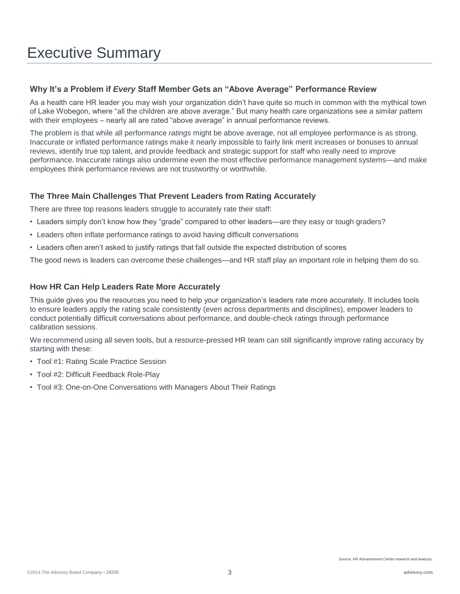### **Why It's a Problem if** *Every* **Staff Member Gets an "Above Average" Performance Review**

As a health care HR leader you may wish your organization didn't have quite so much in common with the mythical town of Lake Wobegon, where "all the children are above average." But many health care organizations see a similar pattern with their employees – nearly all are rated "above average" in annual performance reviews.

The problem is that while all performance *ratings* might be above average, not all employee performance is as strong. Inaccurate or inflated performance ratings make it nearly impossible to fairly link merit increases or bonuses to annual reviews, identify true top talent, and provide feedback and strategic support for staff who really need to improve performance. Inaccurate ratings also undermine even the most effective performance management systems—and make employees think performance reviews are not trustworthy or worthwhile.

### **The Three Main Challenges That Prevent Leaders from Rating Accurately**

There are three top reasons leaders struggle to accurately rate their staff:

- Leaders simply don't know how they "grade" compared to other leaders—are they easy or tough graders?
- Leaders often inflate performance ratings to avoid having difficult conversations
- Leaders often aren't asked to justify ratings that fall outside the expected distribution of scores

The good news is leaders can overcome these challenges—and HR staff play an important role in helping them do so.

### **How HR Can Help Leaders Rate More Accurately**

This guide gives you the resources you need to help your organization's leaders rate more accurately. It includes tools to ensure leaders apply the rating scale consistently (even across departments and disciplines), empower leaders to conduct potentially difficult conversations about performance, and double-check ratings through performance calibration sessions.

We recommend using all seven tools, but a resource-pressed HR team can still significantly improve rating accuracy by starting with these:

- Tool #1: Rating Scale Practice Session
- Tool #2: Difficult Feedback Role-Play
- Tool #3: One-on-One Conversations with Managers About Their Ratings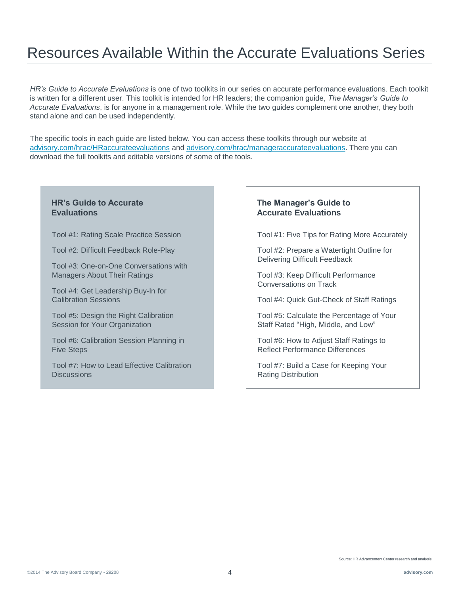## Resources Available Within the Accurate Evaluations Series

*HR's Guide to Accurate Evaluations* is one of two toolkits in our series on accurate performance evaluations. Each toolkit is written for a different user. This toolkit is intended for HR leaders; the companion guide, *The Manager's Guide to Accurate Evaluations*, is for anyone in a management role. While the two guides complement one another, they both stand alone and can be used independently.

The specific tools in each guide are listed below. You can access these toolkits through our website at [advisory.com/hrac/HRaccurateevaluations](http://www.advisory.com/hrac/HRaccurateevaluations) and [advisory.com/hrac/manageraccurateevaluations.](http://www.advisory.com/hrac/manageraccurateevaluations) There you can download the full toolkits and editable versions of some of the tools.

### **HR's Guide to Accurate Evaluations**

Tool #1: Rating Scale Practice Session

Tool #2: Difficult Feedback Role-Play

Tool #3: One-on-One Conversations with Managers About Their Ratings

Tool #4: Get Leadership Buy-In for Calibration Sessions

Tool #5: Design the Right Calibration Session for Your Organization

Tool #6: Calibration Session Planning in Five Steps

Tool #7: How to Lead Effective Calibration **Discussions** 

### **The Manager's Guide to Accurate Evaluations**

Tool #1: Five Tips for Rating More Accurately

Tool #2: Prepare a Watertight Outline for Delivering Difficult Feedback

Tool #3: Keep Difficult Performance Conversations on Track

Tool #4: Quick Gut-Check of Staff Ratings

Tool #5: Calculate the Percentage of Your Staff Rated "High, Middle, and Low"

Tool #6: How to Adjust Staff Ratings to Reflect Performance Differences

Tool #7: Build a Case for Keeping Your Rating Distribution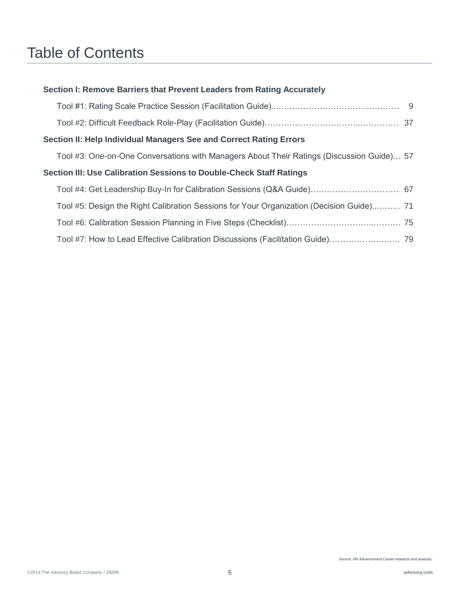## Table of Contents

| Section II: Help Individual Managers See and Correct Rating Errors |                                                                                           |  |
|--------------------------------------------------------------------|-------------------------------------------------------------------------------------------|--|
|                                                                    | Tool #3: One-on-One Conversations with Managers About Their Ratings (Discussion Guide) 57 |  |
|                                                                    | Section III: Use Calibration Sessions to Double-Check Staff Ratings                       |  |
|                                                                    |                                                                                           |  |
|                                                                    | Tool #5: Design the Right Calibration Sessions for Your Organization (Decision Guide) 71  |  |
|                                                                    |                                                                                           |  |
|                                                                    |                                                                                           |  |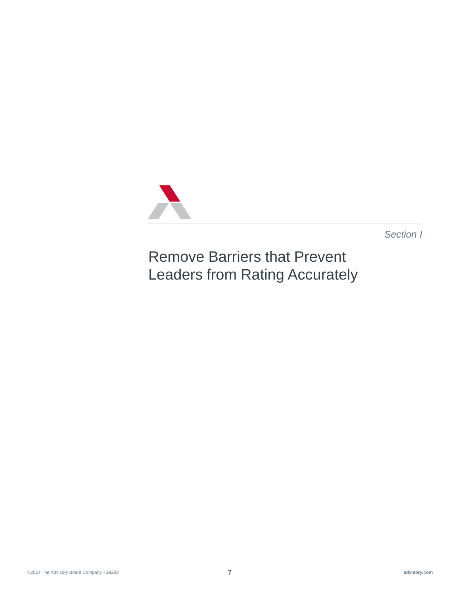

*Section I* 

Remove Barriers that Prevent Leaders from Rating Accurately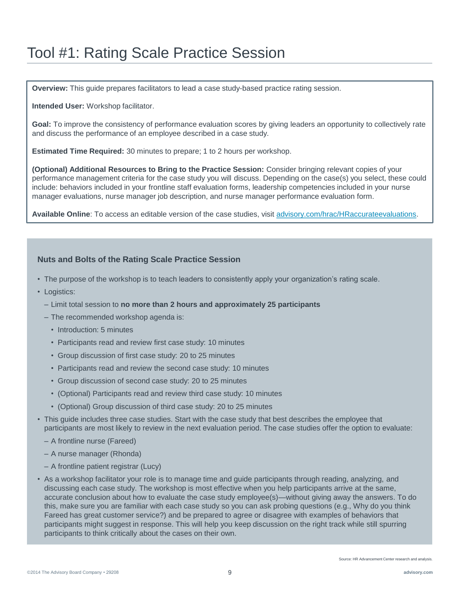**Overview:** This guide prepares facilitators to lead a case study-based practice rating session.

**Intended User:** Workshop facilitator.

**Goal:** To improve the consistency of performance evaluation scores by giving leaders an opportunity to collectively rate and discuss the performance of an employee described in a case study.

**Estimated Time Required:** 30 minutes to prepare; 1 to 2 hours per workshop.

**(Optional) Additional Resources to Bring to the Practice Session:** Consider bringing relevant copies of your performance management criteria for the case study you will discuss. Depending on the case(s) you select, these could include: behaviors included in your frontline staff evaluation forms, leadership competencies included in your nurse manager evaluations, nurse manager job description, and nurse manager performance evaluation form.

**Available Online**: To access an editable version of the case studies, visit [advisory.com/hrac/HRaccurateevaluations](http://www.advisory.com/hrac/HRaccurateevaluations).

### **Nuts and Bolts of the Rating Scale Practice Session**

- The purpose of the workshop is to teach leaders to consistently apply your organization's rating scale.
- Logistics:
	- Limit total session to **no more than 2 hours and approximately 25 participants**
	- The recommended workshop agenda is:
		- Introduction: 5 minutes
		- Participants read and review first case study: 10 minutes
		- Group discussion of first case study: 20 to 25 minutes
		- Participants read and review the second case study: 10 minutes
		- Group discussion of second case study: 20 to 25 minutes
		- (Optional) Participants read and review third case study: 10 minutes
		- (Optional) Group discussion of third case study: 20 to 25 minutes
- This guide includes three case studies. Start with the case study that best describes the employee that participants are most likely to review in the next evaluation period. The case studies offer the option to evaluate:
	- A frontline nurse (Fareed)
	- A nurse manager (Rhonda)
	- A frontline patient registrar (Lucy)
- As a workshop facilitator your role is to manage time and guide participants through reading, analyzing, and discussing each case study. The workshop is most effective when you help participants arrive at the same, accurate conclusion about how to evaluate the case study employee(s)—without giving away the answers. To do this, make sure you are familiar with each case study so you can ask probing questions (e.g., Why do you think Fareed has great customer service?) and be prepared to agree or disagree with examples of behaviors that participants might suggest in response. This will help you keep discussion on the right track while still spurring participants to think critically about the cases on their own.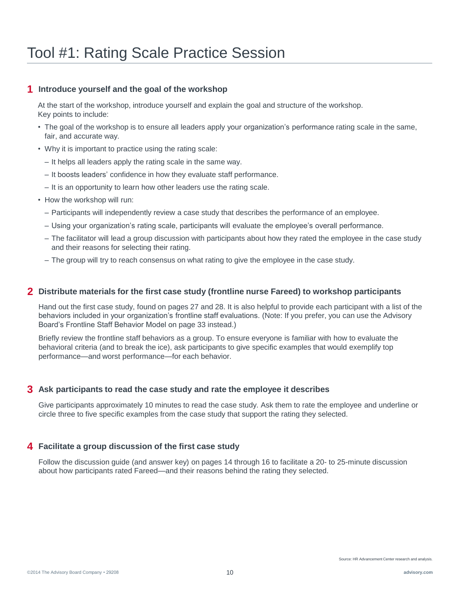### **1 Introduce yourself and the goal of the workshop**

At the start of the workshop, introduce yourself and explain the goal and structure of the workshop. Key points to include:

- The goal of the workshop is to ensure all leaders apply your organization's performance rating scale in the same, fair, and accurate way.
- Why it is important to practice using the rating scale:
	- It helps all leaders apply the rating scale in the same way.
	- It boosts leaders' confidence in how they evaluate staff performance.
	- It is an opportunity to learn how other leaders use the rating scale.
- How the workshop will run:
	- Participants will independently review a case study that describes the performance of an employee.
	- Using your organization's rating scale, participants will evaluate the employee's overall performance.
	- The facilitator will lead a group discussion with participants about how they rated the employee in the case study and their reasons for selecting their rating.
	- The group will try to reach consensus on what rating to give the employee in the case study.

### **2 Distribute materials for the first case study (frontline nurse Fareed) to workshop participants**

Hand out the first case study, found on pages 27 and 28. It is also helpful to provide each participant with a list of the behaviors included in your organization's frontline staff evaluations. (Note: If you prefer, you can use the Advisory Board's Frontline Staff Behavior Model on page 33 instead.)

Briefly review the frontline staff behaviors as a group. To ensure everyone is familiar with how to evaluate the behavioral criteria (and to break the ice), ask participants to give specific examples that would exemplify top performance—and worst performance—for each behavior.

### **3 Ask participants to read the case study and rate the employee it describes**

Give participants approximately 10 minutes to read the case study. Ask them to rate the employee and underline or circle three to five specific examples from the case study that support the rating they selected.

### **4 Facilitate a group discussion of the first case study**

Follow the discussion guide (and answer key) on pages 14 through 16 to facilitate a 20- to 25-minute discussion about how participants rated Fareed—and their reasons behind the rating they selected.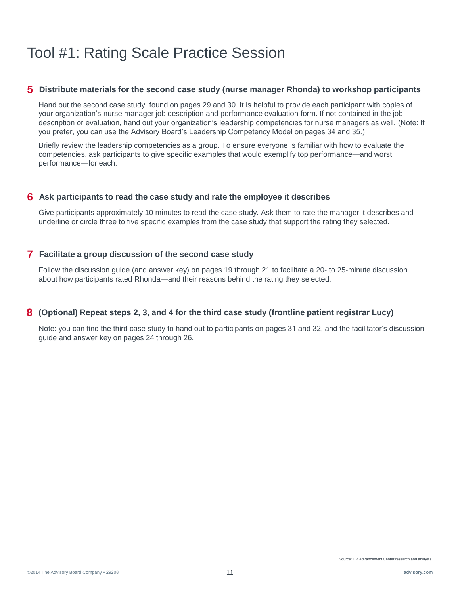### **5 Distribute materials for the second case study (nurse manager Rhonda) to workshop participants**

Hand out the second case study, found on pages 29 and 30. It is helpful to provide each participant with copies of your organization's nurse manager job description and performance evaluation form. If not contained in the job description or evaluation, hand out your organization's leadership competencies for nurse managers as well. (Note: If you prefer, you can use the Advisory Board's Leadership Competency Model on pages 34 and 35.)

Briefly review the leadership competencies as a group. To ensure everyone is familiar with how to evaluate the competencies, ask participants to give specific examples that would exemplify top performance—and worst performance—for each.

### **6 Ask participants to read the case study and rate the employee it describes**

Give participants approximately 10 minutes to read the case study. Ask them to rate the manager it describes and underline or circle three to five specific examples from the case study that support the rating they selected.

### **7 Facilitate a group discussion of the second case study**

Follow the discussion guide (and answer key) on pages 19 through 21 to facilitate a 20- to 25-minute discussion about how participants rated Rhonda—and their reasons behind the rating they selected.

### **8 (Optional) Repeat steps 2, 3, and 4 for the third case study (frontline patient registrar Lucy)**

Note: you can find the third case study to hand out to participants on pages 31 and 32, and the facilitator's discussion guide and answer key on pages 24 through 26.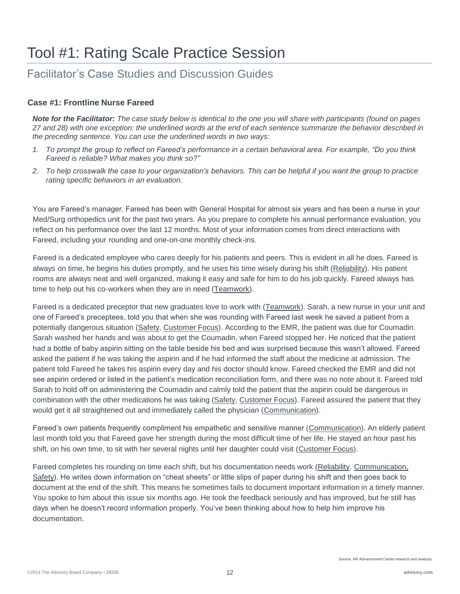### Facilitator's Case Studies and Discussion Guides

### **Case #1: Frontline Nurse Fareed**

*Note for the Facilitator: The case study below is identical to the one you will share with participants (found on pages 27 and 28) with one exception: the underlined words at the end of each sentence summarize the behavior described in the preceding sentence. You can use the underlined words in two ways:*

- *1. To prompt the group to reflect on Fareed's performance in a certain behavioral area. For example, "Do you think Fareed is reliable? What makes you think so?"*
- *2. To help crosswalk the case to your organization's behaviors. This can be helpful if you want the group to practice rating specific behaviors in an evaluation.*

You are Fareed's manager. Fareed has been with General Hospital for almost six years and has been a nurse in your Med/Surg orthopedics unit for the past two years. As you prepare to complete his annual performance evaluation, you reflect on his performance over the last 12 months. Most of your information comes from direct interactions with Fareed, including your rounding and one-on-one monthly check-ins.

Fareed is a dedicated employee who cares deeply for his patients and peers. This is evident in all he does. Fareed is always on time, he begins his duties promptly, and he uses his time wisely during his shift (Reliability). His patient rooms are always neat and well organized, making it easy and safe for him to do his job quickly. Fareed always has time to help out his co-workers when they are in need (Teamwork).

Fareed is a dedicated preceptor that new graduates love to work with (Teamwork). Sarah, a new nurse in your unit and one of Fareed's preceptees, told you that when she was rounding with Fareed last week he saved a patient from a potentially dangerous situation (Safety, Customer Focus). According to the EMR, the patient was due for Coumadin. Sarah washed her hands and was about to get the Coumadin, when Fareed stopped her. He noticed that the patient had a bottle of baby aspirin sitting on the table beside his bed and was surprised because this wasn't allowed. Fareed asked the patient if he was taking the aspirin and if he had informed the staff about the medicine at admission. The patient told Fareed he takes his aspirin every day and his doctor should know. Fareed checked the EMR and did not see aspirin ordered or listed in the patient's medication reconciliation form, and there was no note about it. Fareed told Sarah to hold off on administering the Coumadin and calmly told the patient that the aspirin could be dangerous in combination with the other medications he was taking (Safety, Customer Focus). Fareed assured the patient that they would get it all straightened out and immediately called the physician (Communication).

Fareed's own patients frequently compliment his empathetic and sensitive manner (Communication). An elderly patient last month told you that Fareed gave her strength during the most difficult time of her life. He stayed an hour past his shift, on his own time, to sit with her several nights until her daughter could visit (Customer Focus).

Fareed completes his rounding on time each shift, but his documentation needs work (Reliability, Communication, Safety). He writes down information on "cheat sheets" or little slips of paper during his shift and then goes back to document at the end of the shift. This means he sometimes fails to document important information in a timely manner. You spoke to him about this issue six months ago. He took the feedback seriously and has improved, but he still has days when he doesn't record information properly. You've been thinking about how to help him improve his documentation.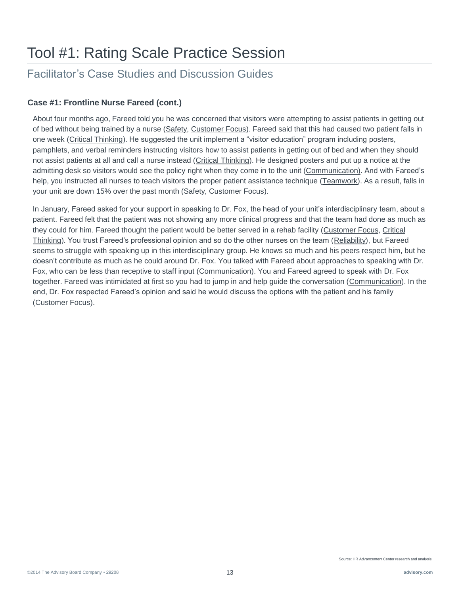### Facilitator's Case Studies and Discussion Guides

### **Case #1: Frontline Nurse Fareed (cont.)**

About four months ago, Fareed told you he was concerned that visitors were attempting to assist patients in getting out of bed without being trained by a nurse (Safety, Customer Focus). Fareed said that this had caused two patient falls in one week (Critical Thinking). He suggested the unit implement a "visitor education" program including posters, pamphlets, and verbal reminders instructing visitors how to assist patients in getting out of bed and when they should not assist patients at all and call a nurse instead (Critical Thinking). He designed posters and put up a notice at the admitting desk so visitors would see the policy right when they come in to the unit (Communication). And with Fareed's help, you instructed all nurses to teach visitors the proper patient assistance technique (Teamwork). As a result, falls in your unit are down 15% over the past month (Safety, Customer Focus).

In January, Fareed asked for your support in speaking to Dr. Fox, the head of your unit's interdisciplinary team, about a patient. Fareed felt that the patient was not showing any more clinical progress and that the team had done as much as they could for him. Fareed thought the patient would be better served in a rehab facility (Customer Focus, Critical Thinking). You trust Fareed's professional opinion and so do the other nurses on the team (Reliability), but Fareed seems to struggle with speaking up in this interdisciplinary group. He knows so much and his peers respect him, but he doesn't contribute as much as he could around Dr. Fox. You talked with Fareed about approaches to speaking with Dr. Fox, who can be less than receptive to staff input (Communication). You and Fareed agreed to speak with Dr. Fox together. Fareed was intimidated at first so you had to jump in and help guide the conversation (Communication). In the end, Dr. Fox respected Fareed's opinion and said he would discuss the options with the patient and his family (Customer Focus).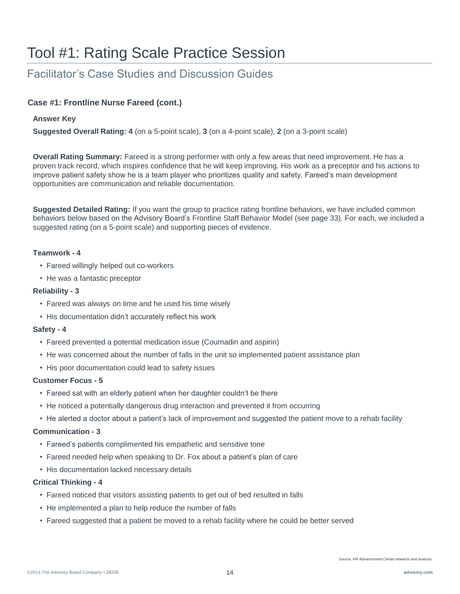### Facilitator's Case Studies and Discussion Guides

### **Case #1: Frontline Nurse Fareed (cont.)**

### **Answer Key**

**Suggested Overall Rating: 4** (on a 5-point scale), **3** (on a 4-point scale), **2** (on a 3-point scale)

**Overall Rating Summary:** Fareed is a strong performer with only a few areas that need improvement. He has a proven track record, which inspires confidence that he will keep improving. His work as a preceptor and his actions to improve patient safety show he is a team player who prioritizes quality and safety. Fareed's main development opportunities are communication and reliable documentation.

**Suggested Detailed Rating:** If you want the group to practice rating frontline behaviors, we have included common behaviors below based on the Advisory Board's Frontline Staff Behavior Model (see page 33). For each, we included a suggested rating (on a 5-point scale) and supporting pieces of evidence.

### **Teamwork - 4**

- Fareed willingly helped out co-workers
- He was a fantastic preceptor

### **Reliability - 3**

- Fareed was always on time and he used his time wisely
- His documentation didn't accurately reflect his work

### **Safety - 4**

- Fareed prevented a potential medication issue (Coumadin and aspirin)
- He was concerned about the number of falls in the unit so implemented patient assistance plan
- His poor documentation could lead to safety issues

### **Customer Focus - 5**

- Fareed sat with an elderly patient when her daughter couldn't be there
- He noticed a potentially dangerous drug interaction and prevented it from occurring
- He alerted a doctor about a patient's lack of improvement and suggested the patient move to a rehab facility

### **Communication - 3**

- Fareed's patients complimented his empathetic and sensitive tone
- Fareed needed help when speaking to Dr. Fox about a patient's plan of care
- His documentation lacked necessary details

### **Critical Thinking - 4**

- Fareed noticed that visitors assisting patients to get out of bed resulted in falls
- He implemented a plan to help reduce the number of falls
- Fareed suggested that a patient be moved to a rehab facility where he could be better served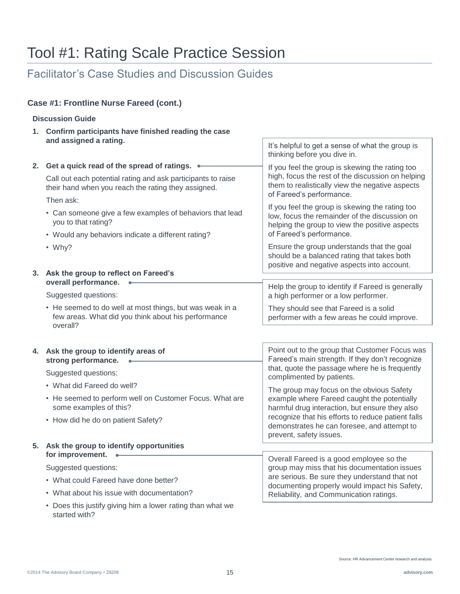### Facilitator's Case Studies and Discussion Guides

**Discussion Guide** 

**Case #1: Frontline Nurse Fareed (cont.)**

#### **1. Confirm participants have finished reading the case and assigned a rating. 2. Get a quick read of the spread of ratings.** Call out each potential rating and ask participants to raise their hand when you reach the rating they assigned. Then ask: • Can someone give a few examples of behaviors that lead you to that rating? • Would any behaviors indicate a different rating? • Why? **3. Ask the group to reflect on Fareed's overall performance.** Suggested questions: • He seemed to do well at most things, but was weak in a few areas. What did you think about his performance overall? **4. Ask the group to identify areas of strong performance.**  Suggested questions: • What did Fareed do well? • He seemed to perform well on Customer Focus. What are some examples of this? • How did he do on patient Safety? **5. Ask the group to identify opportunities for improvement.**  Suggested questions: • What could Fareed have done better? • What about his issue with documentation? • Does this justify giving him a lower rating than what we It's helpful to get a sense of what the group is thinking before you dive in. If you feel the group is skewing the rating too high, focus the rest of the discussion on helping them to realistically view the negative aspects of Fareed's performance. If you feel the group is skewing the rating too low, focus the remainder of the discussion on helping the group to view the positive aspects of Fareed's performance. Ensure the group understands that the goal should be a balanced rating that takes both positive and negative aspects into account. Help the group to identify if Fareed is generally a high performer or a low performer. They should see that Fareed is a solid performer with a few areas he could improve. Point out to the group that Customer Focus was Fareed's main strength. If they don't recognize that, quote the passage where he is frequently complimented by patients. The group may focus on the obvious Safety example where Fareed caught the potentially harmful drug interaction, but ensure they also recognize that his efforts to reduce patient falls demonstrates he can foresee, and attempt to prevent, safety issues. Overall Fareed is a good employee so the group may miss that his documentation issues are serious. Be sure they understand that not documenting properly would impact his Safety, Reliability, and Communication ratings.

started with?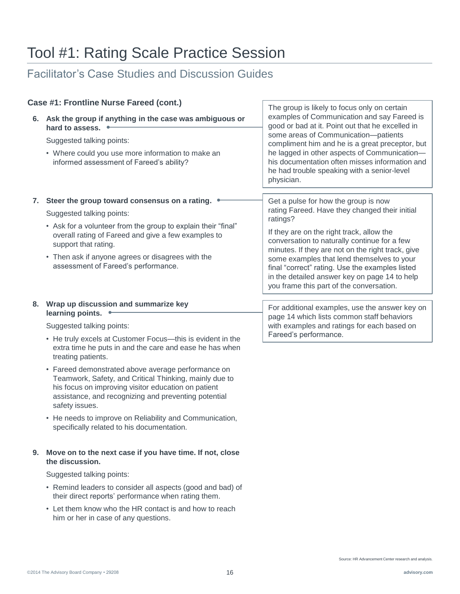### Facilitator's Case Studies and Discussion Guides

|    | Case #1: Frontline Nurse Fareed (cont.)                                                                                                                                                                                                                                                                                                                                                                                                                                               | The group is likely to focus only on certain                                                                                                                                                                                                                                                                                                                                                                                                       |
|----|---------------------------------------------------------------------------------------------------------------------------------------------------------------------------------------------------------------------------------------------------------------------------------------------------------------------------------------------------------------------------------------------------------------------------------------------------------------------------------------|----------------------------------------------------------------------------------------------------------------------------------------------------------------------------------------------------------------------------------------------------------------------------------------------------------------------------------------------------------------------------------------------------------------------------------------------------|
|    | 6. Ask the group if anything in the case was ambiguous or<br>hard to assess.<br>Suggested talking points:                                                                                                                                                                                                                                                                                                                                                                             | examples of Communication and say Fareed is<br>good or bad at it. Point out that he excelled in<br>some areas of Communication-patients                                                                                                                                                                                                                                                                                                            |
|    | • Where could you use more information to make an<br>informed assessment of Fareed's ability?                                                                                                                                                                                                                                                                                                                                                                                         | compliment him and he is a great preceptor, but<br>he lagged in other aspects of Communication-<br>his documentation often misses information and<br>he had trouble speaking with a senior-level<br>physician.                                                                                                                                                                                                                                     |
| 7. | Steer the group toward consensus on a rating.<br>Suggested talking points:<br>• Ask for a volunteer from the group to explain their "final"<br>overall rating of Fareed and give a few examples to<br>support that rating.<br>• Then ask if anyone agrees or disagrees with the<br>assessment of Fareed's performance.                                                                                                                                                                | Get a pulse for how the group is now<br>rating Fareed. Have they changed their initial<br>ratings?<br>If they are on the right track, allow the<br>conversation to naturally continue for a few<br>minutes. If they are not on the right track, give<br>some examples that lend themselves to your<br>final "correct" rating. Use the examples listed<br>in the detailed answer key on page 14 to help<br>you frame this part of the conversation. |
| 8. | Wrap up discussion and summarize key<br>learning points.<br>Suggested talking points:<br>• He truly excels at Customer Focus-this is evident in the<br>extra time he puts in and the care and ease he has when<br>treating patients.<br>• Fareed demonstrated above average performance on<br>Teamwork, Safety, and Critical Thinking, mainly due to<br>his focus on improving visitor education on patient<br>assistance, and recognizing and preventing potential<br>safety issues. | For additional examples, use the answer key on<br>page 14 which lists common staff behaviors<br>with examples and ratings for each based on<br>Fareed's performance.                                                                                                                                                                                                                                                                               |

• He needs to improve on Reliability and Communication, specifically related to his documentation.

### **9. Move on to the next case if you have time. If not, close the discussion.**

Suggested talking points:

- Remind leaders to consider all aspects (good and bad) of their direct reports' performance when rating them.
- Let them know who the HR contact is and how to reach him or her in case of any questions.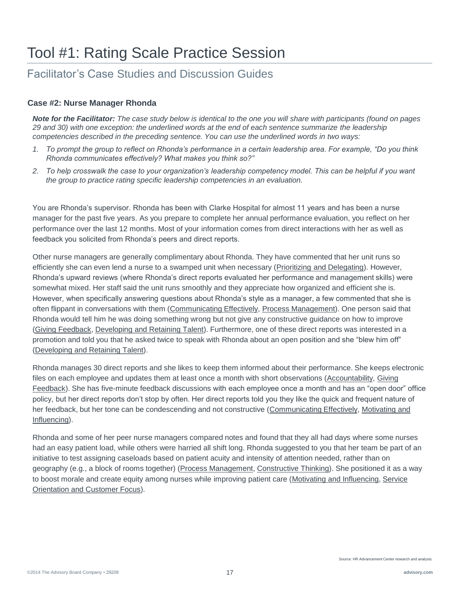### Facilitator's Case Studies and Discussion Guides

### **Case #2: Nurse Manager Rhonda**

*Note for the Facilitator: The case study below is identical to the one you will share with participants (found on pages 29 and 30) with one exception: the underlined words at the end of each sentence summarize the leadership competencies described in the preceding sentence. You can use the underlined words in two ways:*

- *1. To prompt the group to reflect on Rhonda's performance in a certain leadership area. For example, "Do you think Rhonda communicates effectively? What makes you think so?"*
- *2. To help crosswalk the case to your organization's leadership competency model. This can be helpful if you want the group to practice rating specific leadership competencies in an evaluation.*

You are Rhonda's supervisor. Rhonda has been with Clarke Hospital for almost 11 years and has been a nurse manager for the past five years. As you prepare to complete her annual performance evaluation, you reflect on her performance over the last 12 months. Most of your information comes from direct interactions with her as well as feedback you solicited from Rhonda's peers and direct reports.

Other nurse managers are generally complimentary about Rhonda. They have commented that her unit runs so efficiently she can even lend a nurse to a swamped unit when necessary (Prioritizing and Delegating). However, Rhonda's upward reviews (where Rhonda's direct reports evaluated her performance and management skills) were somewhat mixed. Her staff said the unit runs smoothly and they appreciate how organized and efficient she is. However, when specifically answering questions about Rhonda's style as a manager, a few commented that she is often flippant in conversations with them (Communicating Effectively, Process Management). One person said that Rhonda would tell him he was doing something wrong but not give any constructive guidance on how to improve (Giving Feedback, Developing and Retaining Talent). Furthermore, one of these direct reports was interested in a promotion and told you that he asked twice to speak with Rhonda about an open position and she "blew him off" (Developing and Retaining Talent).

Rhonda manages 30 direct reports and she likes to keep them informed about their performance. She keeps electronic files on each employee and updates them at least once a month with short observations (Accountability, Giving Feedback). She has five-minute feedback discussions with each employee once a month and has an "open door" office policy, but her direct reports don't stop by often. Her direct reports told you they like the quick and frequent nature of her feedback, but her tone can be condescending and not constructive (Communicating Effectively, Motivating and Influencing).

Rhonda and some of her peer nurse managers compared notes and found that they all had days where some nurses had an easy patient load, while others were harried all shift long. Rhonda suggested to you that her team be part of an initiative to test assigning caseloads based on patient acuity and intensity of attention needed, rather than on geography (e.g., a block of rooms together) (Process Management, Constructive Thinking). She positioned it as a way to boost morale and create equity among nurses while improving patient care (Motivating and Influencing, Service Orientation and Customer Focus).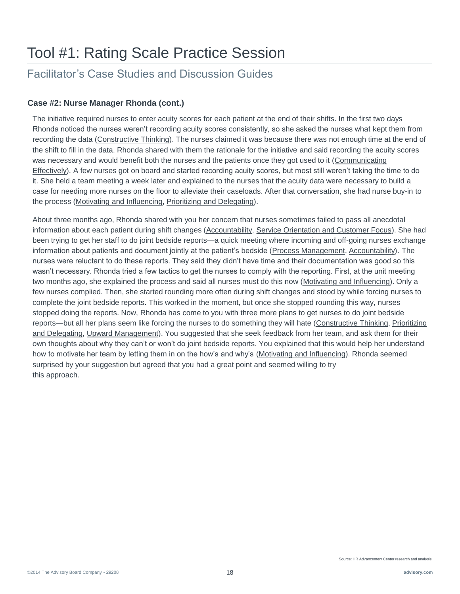### Facilitator's Case Studies and Discussion Guides

### **Case #2: Nurse Manager Rhonda (cont.)**

The initiative required nurses to enter acuity scores for each patient at the end of their shifts. In the first two days Rhonda noticed the nurses weren't recording acuity scores consistently, so she asked the nurses what kept them from recording the data (Constructive Thinking). The nurses claimed it was because there was not enough time at the end of the shift to fill in the data. Rhonda shared with them the rationale for the initiative and said recording the acuity scores was necessary and would benefit both the nurses and the patients once they got used to it (Communicating Effectively). A few nurses got on board and started recording acuity scores, but most still weren't taking the time to do it. She held a team meeting a week later and explained to the nurses that the acuity data were necessary to build a case for needing more nurses on the floor to alleviate their caseloads. After that conversation, she had nurse buy-in to the process (Motivating and Influencing, Prioritizing and Delegating).

About three months ago, Rhonda shared with you her concern that nurses sometimes failed to pass all anecdotal information about each patient during shift changes (Accountability, Service Orientation and Customer Focus). She had been trying to get her staff to do joint bedside reports—a quick meeting where incoming and off-going nurses exchange information about patients and document jointly at the patient's bedside (Process Management, Accountability). The nurses were reluctant to do these reports. They said they didn't have time and their documentation was good so this wasn't necessary. Rhonda tried a few tactics to get the nurses to comply with the reporting. First, at the unit meeting two months ago, she explained the process and said all nurses must do this now (Motivating and Influencing). Only a few nurses complied. Then, she started rounding more often during shift changes and stood by while forcing nurses to complete the joint bedside reports. This worked in the moment, but once she stopped rounding this way, nurses stopped doing the reports. Now, Rhonda has come to you with three more plans to get nurses to do joint bedside reports—but all her plans seem like forcing the nurses to do something they will hate (Constructive Thinking, Prioritizing and Delegating, Upward Management). You suggested that she seek feedback from her team, and ask them for their own thoughts about why they can't or won't do joint bedside reports. You explained that this would help her understand how to motivate her team by letting them in on the how's and why's (Motivating and Influencing). Rhonda seemed surprised by your suggestion but agreed that you had a great point and seemed willing to try this approach.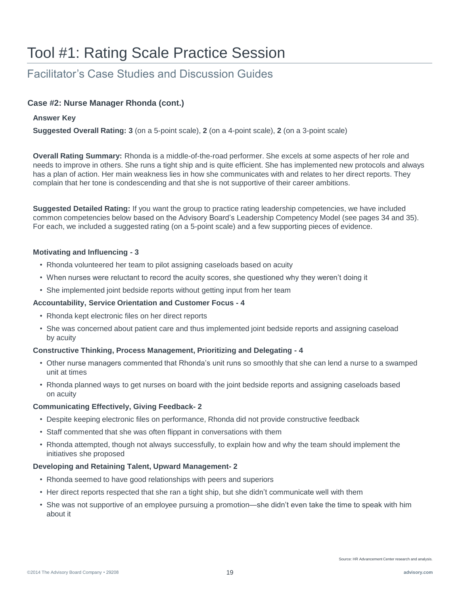### Facilitator's Case Studies and Discussion Guides

### **Case #2: Nurse Manager Rhonda (cont.)**

### **Answer Key**

**Suggested Overall Rating: 3** (on a 5-point scale), **2** (on a 4-point scale), **2** (on a 3-point scale)

**Overall Rating Summary:** Rhonda is a middle-of-the-road performer. She excels at some aspects of her role and needs to improve in others. She runs a tight ship and is quite efficient. She has implemented new protocols and always has a plan of action. Her main weakness lies in how she communicates with and relates to her direct reports. They complain that her tone is condescending and that she is not supportive of their career ambitions.

**Suggested Detailed Rating:** If you want the group to practice rating leadership competencies, we have included common competencies below based on the Advisory Board's Leadership Competency Model (see pages 34 and 35). For each, we included a suggested rating (on a 5-point scale) and a few supporting pieces of evidence.

### **Motivating and Influencing - 3**

- Rhonda volunteered her team to pilot assigning caseloads based on acuity
- When nurses were reluctant to record the acuity scores, she questioned why they weren't doing it
- She implemented joint bedside reports without getting input from her team

### **Accountability, Service Orientation and Customer Focus - 4**

- Rhonda kept electronic files on her direct reports
- She was concerned about patient care and thus implemented joint bedside reports and assigning caseload by acuity

### **Constructive Thinking, Process Management, Prioritizing and Delegating - 4**

- Other nurse managers commented that Rhonda's unit runs so smoothly that she can lend a nurse to a swamped unit at times
- Rhonda planned ways to get nurses on board with the joint bedside reports and assigning caseloads based on acuity

### **Communicating Effectively, Giving Feedback- 2**

- Despite keeping electronic files on performance, Rhonda did not provide constructive feedback
- Staff commented that she was often flippant in conversations with them
- Rhonda attempted, though not always successfully, to explain how and why the team should implement the initiatives she proposed

### **Developing and Retaining Talent, Upward Management- 2**

- Rhonda seemed to have good relationships with peers and superiors
- Her direct reports respected that she ran a tight ship, but she didn't communicate well with them
- She was not supportive of an employee pursuing a promotion—she didn't even take the time to speak with him about it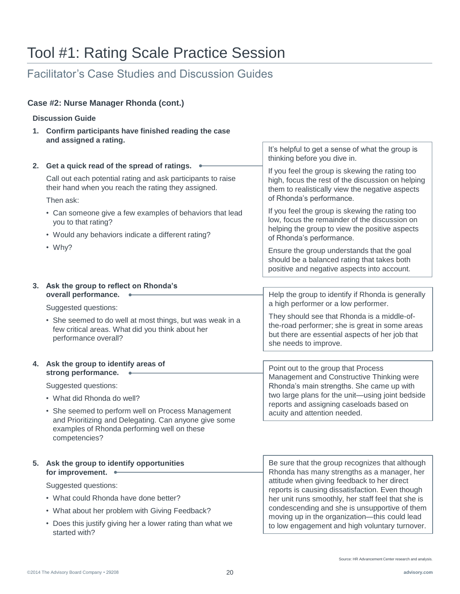### Facilitator's Case Studies and Discussion Guides

### **Case #2: Nurse Manager Rhonda (cont.)**

### **Discussion Guide**

**1. Confirm participants have finished reading the case and assigned a rating.**

| 2. Get a quick read of the spread of ratings.<br>Call out each potential rating and ask participants to raise<br>their hand when you reach the rating they assigned.<br>Then ask:<br>• Can someone give a few examples of behaviors that lead<br>you to that rating?<br>• Would any behaviors indicate a different rating?<br>$\cdot$ Why? | It's helpful to get a sense of what the group is<br>thinking before you dive in.<br>If you feel the group is skewing the rating too<br>high, focus the rest of the discussion on helping<br>them to realistically view the negative aspects<br>of Rhonda's performance.<br>If you feel the group is skewing the rating too<br>low, focus the remainder of the discussion on<br>helping the group to view the positive aspects<br>of Rhonda's performance.<br>Ensure the group understands that the goal |
|--------------------------------------------------------------------------------------------------------------------------------------------------------------------------------------------------------------------------------------------------------------------------------------------------------------------------------------------|---------------------------------------------------------------------------------------------------------------------------------------------------------------------------------------------------------------------------------------------------------------------------------------------------------------------------------------------------------------------------------------------------------------------------------------------------------------------------------------------------------|
|                                                                                                                                                                                                                                                                                                                                            | should be a balanced rating that takes both<br>positive and negative aspects into account.                                                                                                                                                                                                                                                                                                                                                                                                              |
| 3. Ask the group to reflect on Rhonda's                                                                                                                                                                                                                                                                                                    |                                                                                                                                                                                                                                                                                                                                                                                                                                                                                                         |
| overall performance.                                                                                                                                                                                                                                                                                                                       | Help the group to identify if Rhonda is generally<br>a high performer or a low performer.                                                                                                                                                                                                                                                                                                                                                                                                               |
| Suggested questions:<br>• She seemed to do well at most things, but was weak in a<br>few critical areas. What did you think about her<br>performance overall?                                                                                                                                                                              | They should see that Rhonda is a middle-of-<br>the-road performer; she is great in some areas<br>but there are essential aspects of her job that<br>she needs to improve.                                                                                                                                                                                                                                                                                                                               |
|                                                                                                                                                                                                                                                                                                                                            |                                                                                                                                                                                                                                                                                                                                                                                                                                                                                                         |
| 4. Ask the group to identify areas of<br>strong performance.                                                                                                                                                                                                                                                                               | Point out to the group that Process                                                                                                                                                                                                                                                                                                                                                                                                                                                                     |
| Suggested questions:                                                                                                                                                                                                                                                                                                                       | Management and Constructive Thinking were<br>Rhonda's main strengths. She came up with                                                                                                                                                                                                                                                                                                                                                                                                                  |
| • What did Rhonda do well?                                                                                                                                                                                                                                                                                                                 | two large plans for the unit-using joint bedside                                                                                                                                                                                                                                                                                                                                                                                                                                                        |
| • She seemed to perform well on Process Management<br>and Prioritizing and Delegating. Can anyone give some                                                                                                                                                                                                                                | reports and assigning caseloads based on<br>acuity and attention needed.                                                                                                                                                                                                                                                                                                                                                                                                                                |
| examples of Rhonda performing well on these<br>competencies?                                                                                                                                                                                                                                                                               |                                                                                                                                                                                                                                                                                                                                                                                                                                                                                                         |
| 5. Ask the group to identify opportunities<br>for improvement. •                                                                                                                                                                                                                                                                           | Be sure that the group recognizes that although<br>Rhonda has many strengths as a manager, her                                                                                                                                                                                                                                                                                                                                                                                                          |
| Suggested questions:                                                                                                                                                                                                                                                                                                                       | attitude when giving feedback to her direct<br>reports is causing dissatisfaction. Even though                                                                                                                                                                                                                                                                                                                                                                                                          |
| • What could Rhonda have done better?                                                                                                                                                                                                                                                                                                      | her unit runs smoothly, her staff feel that she is                                                                                                                                                                                                                                                                                                                                                                                                                                                      |
| • What about her problem with Giving Feedback?                                                                                                                                                                                                                                                                                             | condescending and she is unsupportive of them<br>moving up in the organization-this could lead                                                                                                                                                                                                                                                                                                                                                                                                          |
| • Does this justify giving her a lower rating than what we<br>started with?                                                                                                                                                                                                                                                                | to low engagement and high voluntary turnover.                                                                                                                                                                                                                                                                                                                                                                                                                                                          |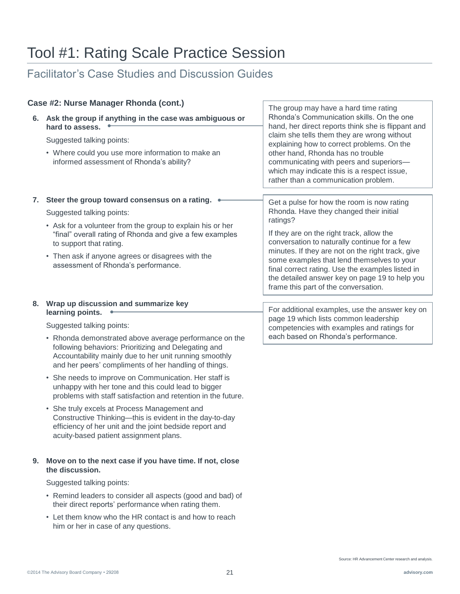### Facilitator's Case Studies and Discussion Guides

| Case #2: Nurse Manager Rhonda (cont.) |                                                                                                                                                                                                                                                                                                                                                                                                                                                                                                                                                                                                                                                                                                                                |                                                                                                                                                                                                                                                                                                                                                                                                              |
|---------------------------------------|--------------------------------------------------------------------------------------------------------------------------------------------------------------------------------------------------------------------------------------------------------------------------------------------------------------------------------------------------------------------------------------------------------------------------------------------------------------------------------------------------------------------------------------------------------------------------------------------------------------------------------------------------------------------------------------------------------------------------------|--------------------------------------------------------------------------------------------------------------------------------------------------------------------------------------------------------------------------------------------------------------------------------------------------------------------------------------------------------------------------------------------------------------|
|                                       | 6. Ask the group if anything in the case was ambiguous or<br>hard to assess.<br>Suggested talking points:<br>• Where could you use more information to make an<br>informed assessment of Rhonda's ability?                                                                                                                                                                                                                                                                                                                                                                                                                                                                                                                     | The group may have a hard time rating<br>Rhonda's Communication skills. On the one<br>hand, her direct reports think she is flippant and<br>claim she tells them they are wrong without<br>explaining how to correct problems. On the<br>other hand, Rhonda has no trouble<br>communicating with peers and superiors-<br>which may indicate this is a respect issue,<br>rather than a communication problem. |
|                                       | 7. Steer the group toward consensus on a rating.<br>Suggested talking points:<br>• Ask for a volunteer from the group to explain his or her<br>"final" overall rating of Rhonda and give a few examples                                                                                                                                                                                                                                                                                                                                                                                                                                                                                                                        | Get a pulse for how the room is now rating<br>Rhonda. Have they changed their initial<br>ratings?<br>If they are on the right track, allow the                                                                                                                                                                                                                                                               |
|                                       | to support that rating.<br>• Then ask if anyone agrees or disagrees with the<br>assessment of Rhonda's performance.                                                                                                                                                                                                                                                                                                                                                                                                                                                                                                                                                                                                            | conversation to naturally continue for a few<br>minutes. If they are not on the right track, give<br>some examples that lend themselves to your<br>final correct rating. Use the examples listed in<br>the detailed answer key on page 19 to help you<br>frame this part of the conversation.                                                                                                                |
|                                       | 8. Wrap up discussion and summarize key<br>learning points.<br>Suggested talking points:<br>• Rhonda demonstrated above average performance on the<br>following behaviors: Prioritizing and Delegating and<br>Accountability mainly due to her unit running smoothly<br>and her peers' compliments of her handling of things.<br>• She needs to improve on Communication. Her staff is<br>unhappy with her tone and this could lead to bigger<br>problems with staff satisfaction and retention in the future.<br>• She truly excels at Process Management and<br>Constructive Thinking-this is evident in the day-to-day<br>efficiency of her unit and the joint bedside report and<br>acuity-based patient assignment plans. | For additional examples, use the answer key on<br>page 19 which lists common leadership<br>competencies with examples and ratings for<br>each based on Rhonda's performance.                                                                                                                                                                                                                                 |
|                                       | 9. Move on to the next case if you have time. If not, close<br>the discussion.<br>Suggested talking points:<br>• Remind leaders to consider all aspects (good and bad) of<br>their direct reports' performance when rating them.                                                                                                                                                                                                                                                                                                                                                                                                                                                                                               |                                                                                                                                                                                                                                                                                                                                                                                                              |

• Let them know who the HR contact is and how to reach him or her in case of any questions.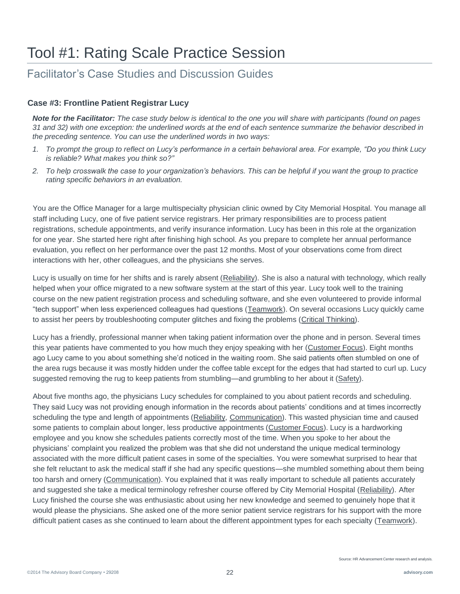### Facilitator's Case Studies and Discussion Guides

### **Case #3: Frontline Patient Registrar Lucy**

*Note for the Facilitator: The case study below is identical to the one you will share with participants (found on pages 31 and 32) with one exception: the underlined words at the end of each sentence summarize the behavior described in the preceding sentence. You can use the underlined words in two ways:*

- *1. To prompt the group to reflect on Lucy's performance in a certain behavioral area. For example, "Do you think Lucy is reliable? What makes you think so?"*
- *2. To help crosswalk the case to your organization's behaviors. This can be helpful if you want the group to practice rating specific behaviors in an evaluation.*

You are the Office Manager for a large multispecialty physician clinic owned by City Memorial Hospital. You manage all staff including Lucy, one of five patient service registrars. Her primary responsibilities are to process patient registrations, schedule appointments, and verify insurance information. Lucy has been in this role at the organization for one year. She started here right after finishing high school. As you prepare to complete her annual performance evaluation, you reflect on her performance over the past 12 months. Most of your observations come from direct interactions with her, other colleagues, and the physicians she serves.

Lucy is usually on time for her shifts and is rarely absent (Reliability). She is also a natural with technology, which really helped when your office migrated to a new software system at the start of this year. Lucy took well to the training course on the new patient registration process and scheduling software, and she even volunteered to provide informal "tech support" when less experienced colleagues had questions (Teamwork). On several occasions Lucy quickly came to assist her peers by troubleshooting computer glitches and fixing the problems (Critical Thinking).

Lucy has a friendly, professional manner when taking patient information over the phone and in person. Several times this year patients have commented to you how much they enjoy speaking with her (Customer Focus). Eight months ago Lucy came to you about something she'd noticed in the waiting room. She said patients often stumbled on one of the area rugs because it was mostly hidden under the coffee table except for the edges that had started to curl up. Lucy suggested removing the rug to keep patients from stumbling—and grumbling to her about it (Safety).

About five months ago, the physicians Lucy schedules for complained to you about patient records and scheduling. They said Lucy was not providing enough information in the records about patients' conditions and at times incorrectly scheduling the type and length of appointments (Reliability, Communication). This wasted physician time and caused some patients to complain about longer, less productive appointments (Customer Focus). Lucy is a hardworking employee and you know she schedules patients correctly most of the time. When you spoke to her about the physicians' complaint you realized the problem was that she did not understand the unique medical terminology associated with the more difficult patient cases in some of the specialties. You were somewhat surprised to hear that she felt reluctant to ask the medical staff if she had any specific questions—she mumbled something about them being too harsh and ornery (Communication). You explained that it was really important to schedule all patients accurately and suggested she take a medical terminology refresher course offered by City Memorial Hospital (Reliability). After Lucy finished the course she was enthusiastic about using her new knowledge and seemed to genuinely hope that it would please the physicians. She asked one of the more senior patient service registrars for his support with the more difficult patient cases as she continued to learn about the different appointment types for each specialty (Teamwork).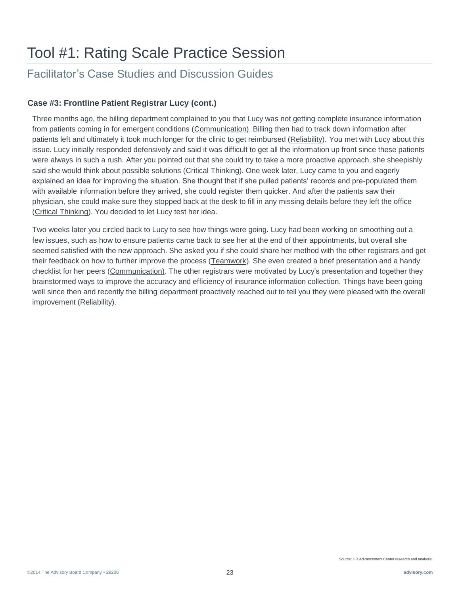### Facilitator's Case Studies and Discussion Guides

### **Case #3: Frontline Patient Registrar Lucy (cont.)**

Three months ago, the billing department complained to you that Lucy was not getting complete insurance information from patients coming in for emergent conditions (Communication). Billing then had to track down information after patients left and ultimately it took much longer for the clinic to get reimbursed (Reliability). You met with Lucy about this issue. Lucy initially responded defensively and said it was difficult to get all the information up front since these patients were always in such a rush. After you pointed out that she could try to take a more proactive approach, she sheepishly said she would think about possible solutions (Critical Thinking). One week later, Lucy came to you and eagerly explained an idea for improving the situation. She thought that if she pulled patients' records and pre-populated them with available information before they arrived, she could register them quicker. And after the patients saw their physician, she could make sure they stopped back at the desk to fill in any missing details before they left the office (Critical Thinking). You decided to let Lucy test her idea.

Two weeks later you circled back to Lucy to see how things were going. Lucy had been working on smoothing out a few issues, such as how to ensure patients came back to see her at the end of their appointments, but overall she seemed satisfied with the new approach. She asked you if she could share her method with the other registrars and get their feedback on how to further improve the process (Teamwork). She even created a brief presentation and a handy checklist for her peers (Communication). The other registrars were motivated by Lucy's presentation and together they brainstormed ways to improve the accuracy and efficiency of insurance information collection. Things have been going well since then and recently the billing department proactively reached out to tell you they were pleased with the overall improvement (Reliability).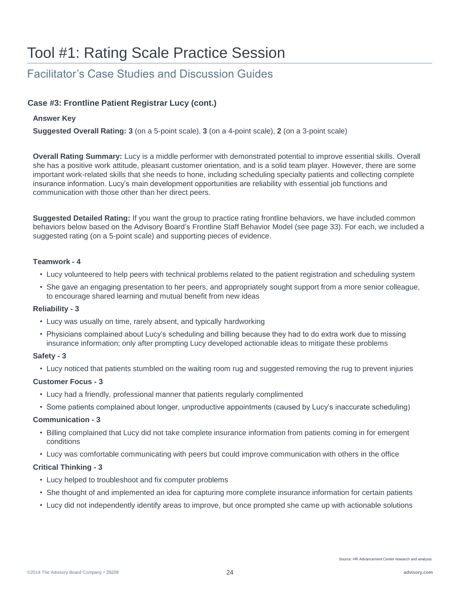### Facilitator's Case Studies and Discussion Guides

### **Case #3: Frontline Patient Registrar Lucy (cont.)**

### **Answer Key**

**Suggested Overall Rating: 3** (on a 5-point scale), **3** (on a 4-point scale), **2** (on a 3-point scale)

**Overall Rating Summary:** Lucy is a middle performer with demonstrated potential to improve essential skills. Overall she has a positive work attitude, pleasant customer orientation, and is a solid team player. However, there are some important work-related skills that she needs to hone, including scheduling specialty patients and collecting complete insurance information. Lucy's main development opportunities are reliability with essential job functions and communication with those other than her direct peers.

**Suggested Detailed Rating:** If you want the group to practice rating frontline behaviors, we have included common behaviors below based on the Advisory Board's Frontline Staff Behavior Model (see page 33). For each, we included a suggested rating (on a 5-point scale) and supporting pieces of evidence.

### **Teamwork - 4**

- Lucy volunteered to help peers with technical problems related to the patient registration and scheduling system
- She gave an engaging presentation to her peers, and appropriately sought support from a more senior colleague, to encourage shared learning and mutual benefit from new ideas

### **Reliability - 3**

- Lucy was usually on time, rarely absent, and typically hardworking
- Physicians complained about Lucy's scheduling and billing because they had to do extra work due to missing insurance information; only after prompting Lucy developed actionable ideas to mitigate these problems

### **Safety - 3**

• Lucy noticed that patients stumbled on the waiting room rug and suggested removing the rug to prevent injuries

### **Customer Focus - 3**

- Lucy had a friendly, professional manner that patients regularly complimented
- Some patients complained about longer, unproductive appointments (caused by Lucy's inaccurate scheduling)

### **Communication - 3**

- Billing complained that Lucy did not take complete insurance information from patients coming in for emergent conditions
- Lucy was comfortable communicating with peers but could improve communication with others in the office

### **Critical Thinking - 3**

- Lucy helped to troubleshoot and fix computer problems
- She thought of and implemented an idea for capturing more complete insurance information for certain patients
- Lucy did not independently identify areas to improve, but once prompted she came up with actionable solutions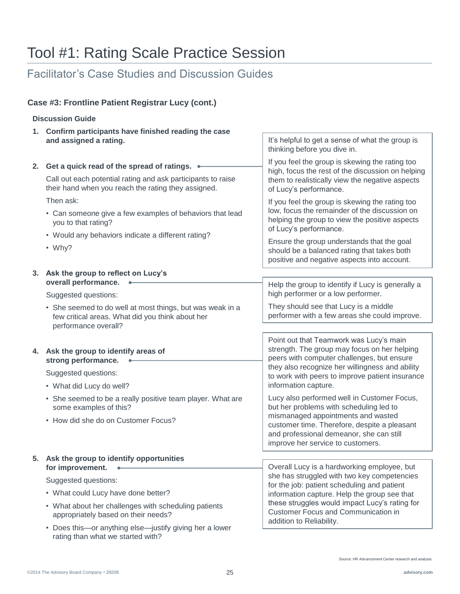### Facilitator's Case Studies and Discussion Guides

### **Case #3: Frontline Patient Registrar Lucy (cont.)**

### **Discussion Guide**

|    | 1. Confirm participants have finished reading the case                                                                                |                                                                                                                                                                     |  |
|----|---------------------------------------------------------------------------------------------------------------------------------------|---------------------------------------------------------------------------------------------------------------------------------------------------------------------|--|
|    | and assigned a rating.                                                                                                                | It's helpful to get a sense of what the group is<br>thinking before you dive in.                                                                                    |  |
| 2. | Get a quick read of the spread of ratings.                                                                                            | If you feel the group is skewing the rating too                                                                                                                     |  |
|    | Call out each potential rating and ask participants to raise<br>their hand when you reach the rating they assigned.                   | high, focus the rest of the discussion on helping<br>them to realistically view the negative aspects<br>of Lucy's performance.                                      |  |
|    | Then ask:                                                                                                                             | If you feel the group is skewing the rating too                                                                                                                     |  |
|    | • Can someone give a few examples of behaviors that lead<br>you to that rating?                                                       | low, focus the remainder of the discussion on<br>helping the group to view the positive aspects<br>of Lucy's performance.                                           |  |
|    | • Would any behaviors indicate a different rating?                                                                                    | Ensure the group understands that the goal                                                                                                                          |  |
|    | $W$ hy?                                                                                                                               | should be a balanced rating that takes both<br>positive and negative aspects into account.                                                                          |  |
| 3. | Ask the group to reflect on Lucy's                                                                                                    |                                                                                                                                                                     |  |
|    | overall performance.<br>Suggested questions:                                                                                          | Help the group to identify if Lucy is generally a<br>high performer or a low performer.                                                                             |  |
|    | • She seemed to do well at most things, but was weak in a<br>few critical areas. What did you think about her<br>performance overall? | They should see that Lucy is a middle<br>performer with a few areas she could improve.                                                                              |  |
|    |                                                                                                                                       |                                                                                                                                                                     |  |
|    | 4. Ask the group to identify areas of<br>strong performance.                                                                          | Point out that Teamwork was Lucy's main<br>strength. The group may focus on her helping<br>peers with computer challenges, but ensure                               |  |
|    | Suggested questions:                                                                                                                  | they also recognize her willingness and ability<br>to work with peers to improve patient insurance                                                                  |  |
|    | • What did Lucy do well?                                                                                                              | information capture.                                                                                                                                                |  |
|    | • She seemed to be a really positive team player. What are<br>some examples of this?                                                  | Lucy also performed well in Customer Focus,<br>but her problems with scheduling led to                                                                              |  |
|    | • How did she do on Customer Focus?                                                                                                   | mismanaged appointments and wasted<br>customer time. Therefore, despite a pleasant<br>and professional demeanor, she can still<br>improve her service to customers. |  |
|    | 5. Ask the group to identify opportunities                                                                                            |                                                                                                                                                                     |  |
|    | for improvement.                                                                                                                      | Overall Lucy is a hardworking employee, but                                                                                                                         |  |
|    | Suggested questions:                                                                                                                  | she has struggled with two key competencies<br>for the job: patient scheduling and patient<br>information capture. Help the group see that                          |  |
|    | • What could Lucy have done better?                                                                                                   |                                                                                                                                                                     |  |
|    | • What about her challenges with scheduling patients<br>appropriately based on their needs?                                           | these struggles would impact Lucy's rating for<br><b>Customer Focus and Communication in</b><br>addition to Reliability.                                            |  |
|    | • Does this—or anything else—justify giving her a lower                                                                               |                                                                                                                                                                     |  |

rating than what we started with?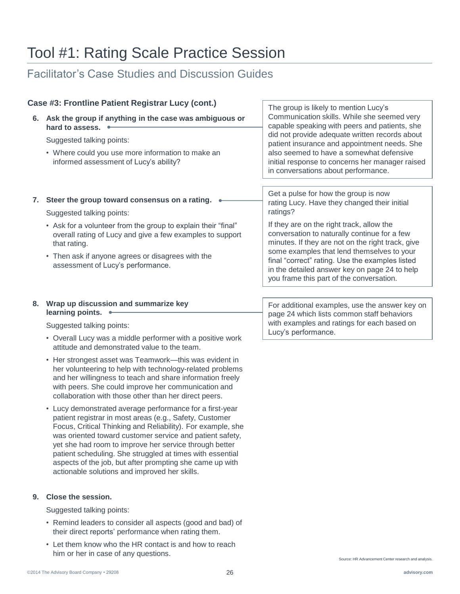### Facilitator's Case Studies and Discussion Guides

#### **6. Ask the group if anything in the case was ambiguous or hard to assess.**  Suggested talking points: • Where could you use more information to make an informed assessment of Lucy's ability? **7. Steer the group toward consensus on a rating.** Suggested talking points: • Ask for a volunteer from the group to explain their "final" overall rating of Lucy and give a few examples to support that rating. • Then ask if anyone agrees or disagrees with the assessment of Lucy's performance. Case #3: Frontline Patient Registrar Lucy (cont.) The group is likely to mention Lucy's Communication skills. While she seemed very capable speaking with peers and patients, she did not provide adequate written records about patient insurance and appointment needs. She also seemed to have a somewhat defensive initial response to concerns her manager raised in conversations about performance. Get a pulse for how the group is now rating Lucy. Have they changed their initial ratings? If they are on the right track, allow the conversation to naturally continue for a few minutes. If they are not on the right track, give some examples that lend themselves to your final "correct" rating. Use the examples listed in the detailed answer key on page 24 to help you frame this part of the conversation.

### **8. Wrap up discussion and summarize key learning points.**

Suggested talking points:

- Overall Lucy was a middle performer with a positive work attitude and demonstrated value to the team.
- Her strongest asset was Teamwork—this was evident in her volunteering to help with technology-related problems and her willingness to teach and share information freely with peers. She could improve her communication and collaboration with those other than her direct peers.
- Lucy demonstrated average performance for a first-year patient registrar in most areas (e.g., Safety, Customer Focus, Critical Thinking and Reliability). For example, she was oriented toward customer service and patient safety, yet she had room to improve her service through better patient scheduling. She struggled at times with essential aspects of the job, but after prompting she came up with actionable solutions and improved her skills.

### **9. Close the session.**

Suggested talking points:

- Remind leaders to consider all aspects (good and bad) of their direct reports' performance when rating them.
- Let them know who the HR contact is and how to reach him or her in case of any questions.

For additional examples, use the answer key on page 24 which lists common staff behaviors with examples and ratings for each based on Lucy's performance.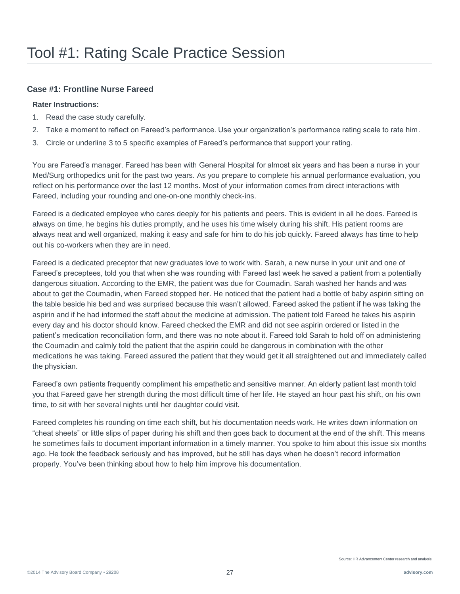### **Case #1: Frontline Nurse Fareed**

### **Rater Instructions:**

- 1. Read the case study carefully.
- 2. Take a moment to reflect on Fareed's performance. Use your organization's performance rating scale to rate him.
- 3. Circle or underline 3 to 5 specific examples of Fareed's performance that support your rating.

You are Fareed's manager. Fareed has been with General Hospital for almost six years and has been a nurse in your Med/Surg orthopedics unit for the past two years. As you prepare to complete his annual performance evaluation, you reflect on his performance over the last 12 months. Most of your information comes from direct interactions with Fareed, including your rounding and one-on-one monthly check-ins.

Fareed is a dedicated employee who cares deeply for his patients and peers. This is evident in all he does. Fareed is always on time, he begins his duties promptly, and he uses his time wisely during his shift. His patient rooms are always neat and well organized, making it easy and safe for him to do his job quickly. Fareed always has time to help out his co-workers when they are in need.

Fareed is a dedicated preceptor that new graduates love to work with. Sarah, a new nurse in your unit and one of Fareed's preceptees, told you that when she was rounding with Fareed last week he saved a patient from a potentially dangerous situation. According to the EMR, the patient was due for Coumadin. Sarah washed her hands and was about to get the Coumadin, when Fareed stopped her. He noticed that the patient had a bottle of baby aspirin sitting on the table beside his bed and was surprised because this wasn't allowed. Fareed asked the patient if he was taking the aspirin and if he had informed the staff about the medicine at admission. The patient told Fareed he takes his aspirin every day and his doctor should know. Fareed checked the EMR and did not see aspirin ordered or listed in the patient's medication reconciliation form, and there was no note about it. Fareed told Sarah to hold off on administering the Coumadin and calmly told the patient that the aspirin could be dangerous in combination with the other medications he was taking. Fareed assured the patient that they would get it all straightened out and immediately called the physician.

Fareed's own patients frequently compliment his empathetic and sensitive manner. An elderly patient last month told you that Fareed gave her strength during the most difficult time of her life. He stayed an hour past his shift, on his own time, to sit with her several nights until her daughter could visit.

Fareed completes his rounding on time each shift, but his documentation needs work. He writes down information on "cheat sheets" or little slips of paper during his shift and then goes back to document at the end of the shift. This means he sometimes fails to document important information in a timely manner. You spoke to him about this issue six months ago. He took the feedback seriously and has improved, but he still has days when he doesn't record information properly. You've been thinking about how to help him improve his documentation.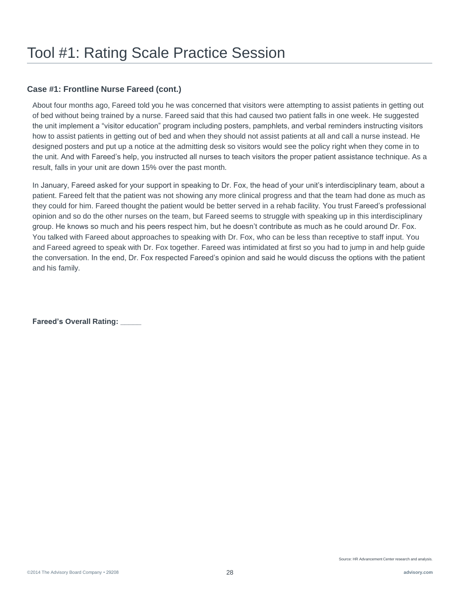### **Case #1: Frontline Nurse Fareed (cont.)**

About four months ago, Fareed told you he was concerned that visitors were attempting to assist patients in getting out of bed without being trained by a nurse. Fareed said that this had caused two patient falls in one week. He suggested the unit implement a "visitor education" program including posters, pamphlets, and verbal reminders instructing visitors how to assist patients in getting out of bed and when they should not assist patients at all and call a nurse instead. He designed posters and put up a notice at the admitting desk so visitors would see the policy right when they come in to the unit. And with Fareed's help, you instructed all nurses to teach visitors the proper patient assistance technique. As a result, falls in your unit are down 15% over the past month.

In January, Fareed asked for your support in speaking to Dr. Fox, the head of your unit's interdisciplinary team, about a patient. Fareed felt that the patient was not showing any more clinical progress and that the team had done as much as they could for him. Fareed thought the patient would be better served in a rehab facility. You trust Fareed's professional opinion and so do the other nurses on the team, but Fareed seems to struggle with speaking up in this interdisciplinary group. He knows so much and his peers respect him, but he doesn't contribute as much as he could around Dr. Fox. You talked with Fareed about approaches to speaking with Dr. Fox, who can be less than receptive to staff input. You and Fareed agreed to speak with Dr. Fox together. Fareed was intimidated at first so you had to jump in and help guide the conversation. In the end, Dr. Fox respected Fareed's opinion and said he would discuss the options with the patient and his family.

**Fareed's Overall Rating: \_\_\_\_\_**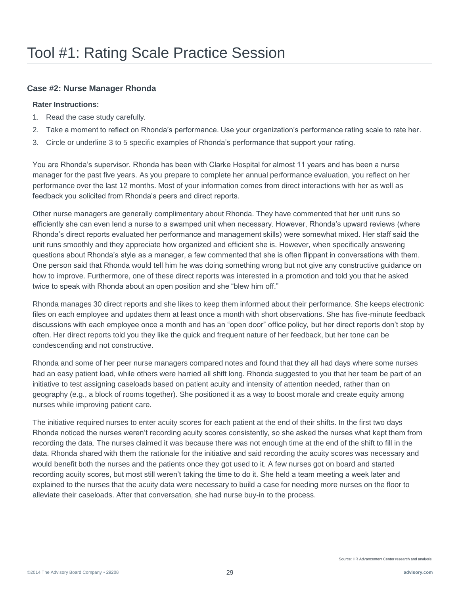### **Case #2: Nurse Manager Rhonda**

### **Rater Instructions:**

- 1. Read the case study carefully.
- 2. Take a moment to reflect on Rhonda's performance. Use your organization's performance rating scale to rate her.
- 3. Circle or underline 3 to 5 specific examples of Rhonda's performance that support your rating.

You are Rhonda's supervisor. Rhonda has been with Clarke Hospital for almost 11 years and has been a nurse manager for the past five years. As you prepare to complete her annual performance evaluation, you reflect on her performance over the last 12 months. Most of your information comes from direct interactions with her as well as feedback you solicited from Rhonda's peers and direct reports.

Other nurse managers are generally complimentary about Rhonda. They have commented that her unit runs so efficiently she can even lend a nurse to a swamped unit when necessary. However, Rhonda's upward reviews (where Rhonda's direct reports evaluated her performance and management skills) were somewhat mixed. Her staff said the unit runs smoothly and they appreciate how organized and efficient she is. However, when specifically answering questions about Rhonda's style as a manager, a few commented that she is often flippant in conversations with them. One person said that Rhonda would tell him he was doing something wrong but not give any constructive guidance on how to improve. Furthermore, one of these direct reports was interested in a promotion and told you that he asked twice to speak with Rhonda about an open position and she "blew him off."

Rhonda manages 30 direct reports and she likes to keep them informed about their performance. She keeps electronic files on each employee and updates them at least once a month with short observations. She has five-minute feedback discussions with each employee once a month and has an "open door" office policy, but her direct reports don't stop by often. Her direct reports told you they like the quick and frequent nature of her feedback, but her tone can be condescending and not constructive.

Rhonda and some of her peer nurse managers compared notes and found that they all had days where some nurses had an easy patient load, while others were harried all shift long. Rhonda suggested to you that her team be part of an initiative to test assigning caseloads based on patient acuity and intensity of attention needed, rather than on geography (e.g., a block of rooms together). She positioned it as a way to boost morale and create equity among nurses while improving patient care.

The initiative required nurses to enter acuity scores for each patient at the end of their shifts. In the first two days Rhonda noticed the nurses weren't recording acuity scores consistently, so she asked the nurses what kept them from recording the data. The nurses claimed it was because there was not enough time at the end of the shift to fill in the data. Rhonda shared with them the rationale for the initiative and said recording the acuity scores was necessary and would benefit both the nurses and the patients once they got used to it. A few nurses got on board and started recording acuity scores, but most still weren't taking the time to do it. She held a team meeting a week later and explained to the nurses that the acuity data were necessary to build a case for needing more nurses on the floor to alleviate their caseloads. After that conversation, she had nurse buy-in to the process.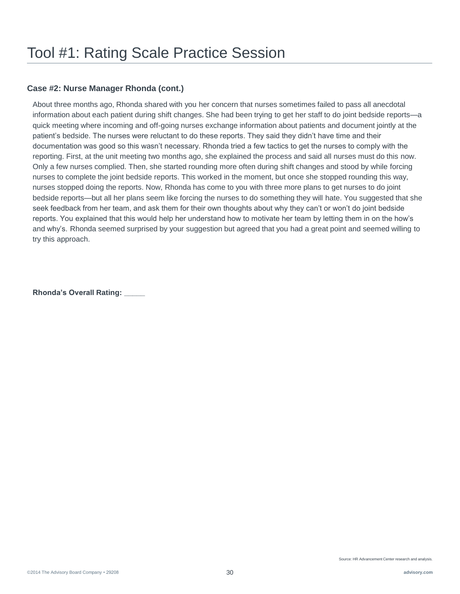### **Case #2: Nurse Manager Rhonda (cont.)**

About three months ago, Rhonda shared with you her concern that nurses sometimes failed to pass all anecdotal information about each patient during shift changes. She had been trying to get her staff to do joint bedside reports—a quick meeting where incoming and off-going nurses exchange information about patients and document jointly at the patient's bedside. The nurses were reluctant to do these reports. They said they didn't have time and their documentation was good so this wasn't necessary. Rhonda tried a few tactics to get the nurses to comply with the reporting. First, at the unit meeting two months ago, she explained the process and said all nurses must do this now. Only a few nurses complied. Then, she started rounding more often during shift changes and stood by while forcing nurses to complete the joint bedside reports. This worked in the moment, but once she stopped rounding this way, nurses stopped doing the reports. Now, Rhonda has come to you with three more plans to get nurses to do joint bedside reports—but all her plans seem like forcing the nurses to do something they will hate. You suggested that she seek feedback from her team, and ask them for their own thoughts about why they can't or won't do joint bedside reports. You explained that this would help her understand how to motivate her team by letting them in on the how's and why's. Rhonda seemed surprised by your suggestion but agreed that you had a great point and seemed willing to try this approach.

**Rhonda's Overall Rating: \_\_\_\_\_**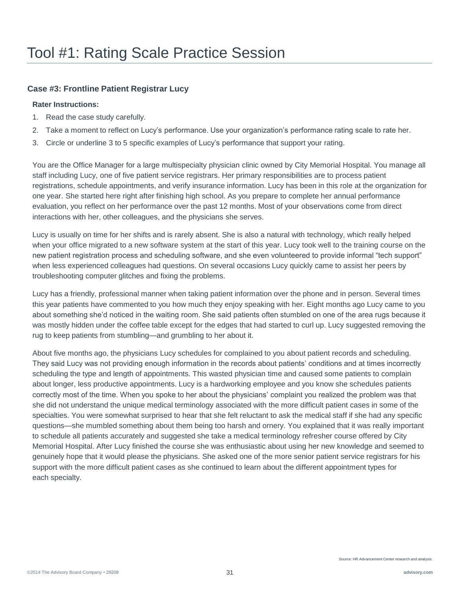### **Case #3: Frontline Patient Registrar Lucy**

### **Rater Instructions:**

- 1. Read the case study carefully.
- 2. Take a moment to reflect on Lucy's performance. Use your organization's performance rating scale to rate her.
- 3. Circle or underline 3 to 5 specific examples of Lucy's performance that support your rating.

You are the Office Manager for a large multispecialty physician clinic owned by City Memorial Hospital. You manage all staff including Lucy, one of five patient service registrars. Her primary responsibilities are to process patient registrations, schedule appointments, and verify insurance information. Lucy has been in this role at the organization for one year. She started here right after finishing high school. As you prepare to complete her annual performance evaluation, you reflect on her performance over the past 12 months. Most of your observations come from direct interactions with her, other colleagues, and the physicians she serves.

Lucy is usually on time for her shifts and is rarely absent. She is also a natural with technology, which really helped when your office migrated to a new software system at the start of this year. Lucy took well to the training course on the new patient registration process and scheduling software, and she even volunteered to provide informal "tech support" when less experienced colleagues had questions. On several occasions Lucy quickly came to assist her peers by troubleshooting computer glitches and fixing the problems.

Lucy has a friendly, professional manner when taking patient information over the phone and in person. Several times this year patients have commented to you how much they enjoy speaking with her. Eight months ago Lucy came to you about something she'd noticed in the waiting room. She said patients often stumbled on one of the area rugs because it was mostly hidden under the coffee table except for the edges that had started to curl up. Lucy suggested removing the rug to keep patients from stumbling—and grumbling to her about it.

About five months ago, the physicians Lucy schedules for complained to you about patient records and scheduling. They said Lucy was not providing enough information in the records about patients' conditions and at times incorrectly scheduling the type and length of appointments. This wasted physician time and caused some patients to complain about longer, less productive appointments. Lucy is a hardworking employee and you know she schedules patients correctly most of the time. When you spoke to her about the physicians' complaint you realized the problem was that she did not understand the unique medical terminology associated with the more difficult patient cases in some of the specialties. You were somewhat surprised to hear that she felt reluctant to ask the medical staff if she had any specific questions—she mumbled something about them being too harsh and ornery. You explained that it was really important to schedule all patients accurately and suggested she take a medical terminology refresher course offered by City Memorial Hospital. After Lucy finished the course she was enthusiastic about using her new knowledge and seemed to genuinely hope that it would please the physicians. She asked one of the more senior patient service registrars for his support with the more difficult patient cases as she continued to learn about the different appointment types for each specialty.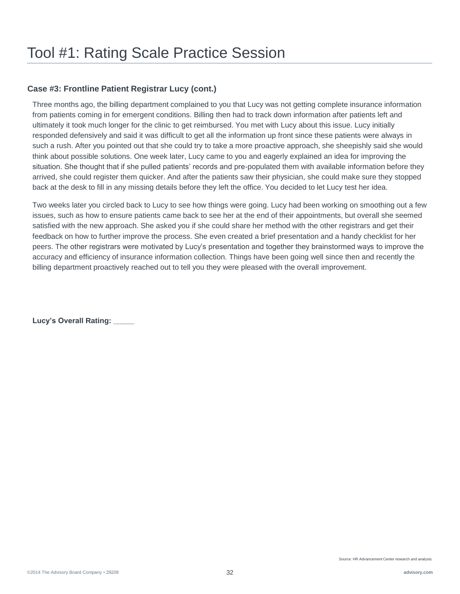### **Case #3: Frontline Patient Registrar Lucy (cont.)**

Three months ago, the billing department complained to you that Lucy was not getting complete insurance information from patients coming in for emergent conditions. Billing then had to track down information after patients left and ultimately it took much longer for the clinic to get reimbursed. You met with Lucy about this issue. Lucy initially responded defensively and said it was difficult to get all the information up front since these patients were always in such a rush. After you pointed out that she could try to take a more proactive approach, she sheepishly said she would think about possible solutions. One week later, Lucy came to you and eagerly explained an idea for improving the situation. She thought that if she pulled patients' records and pre-populated them with available information before they arrived, she could register them quicker. And after the patients saw their physician, she could make sure they stopped back at the desk to fill in any missing details before they left the office. You decided to let Lucy test her idea.

Two weeks later you circled back to Lucy to see how things were going. Lucy had been working on smoothing out a few issues, such as how to ensure patients came back to see her at the end of their appointments, but overall she seemed satisfied with the new approach. She asked you if she could share her method with the other registrars and get their feedback on how to further improve the process. She even created a brief presentation and a handy checklist for her peers. The other registrars were motivated by Lucy's presentation and together they brainstormed ways to improve the accuracy and efficiency of insurance information collection. Things have been going well since then and recently the billing department proactively reached out to tell you they were pleased with the overall improvement.

Lucy's Overall Rating: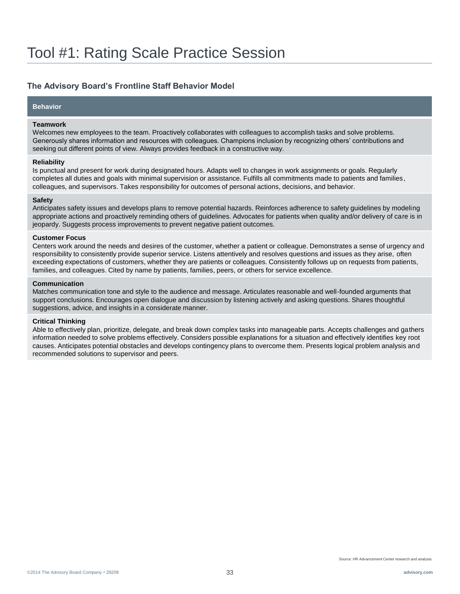### **The Advisory Board's Frontline Staff Behavior Model**

### **Behavior**

#### **Teamwork**

Welcomes new employees to the team. Proactively collaborates with colleagues to accomplish tasks and solve problems. Generously shares information and resources with colleagues. Champions inclusion by recognizing others' contributions and seeking out different points of view. Always provides feedback in a constructive way.

#### **Reliability**

Is punctual and present for work during designated hours. Adapts well to changes in work assignments or goals. Regularly completes all duties and goals with minimal supervision or assistance. Fulfills all commitments made to patients and families, colleagues, and supervisors. Takes responsibility for outcomes of personal actions, decisions, and behavior.

#### **Safety**

Anticipates safety issues and develops plans to remove potential hazards. Reinforces adherence to safety guidelines by modeling appropriate actions and proactively reminding others of guidelines. Advocates for patients when quality and/or delivery of care is in jeopardy. Suggests process improvements to prevent negative patient outcomes.

#### **Customer Focus**

Centers work around the needs and desires of the customer, whether a patient or colleague. Demonstrates a sense of urgency and responsibility to consistently provide superior service. Listens attentively and resolves questions and issues as they arise, often exceeding expectations of customers, whether they are patients or colleagues. Consistently follows up on requests from patients, families, and colleagues. Cited by name by patients, families, peers, or others for service excellence.

#### **Communication**

Matches communication tone and style to the audience and message. Articulates reasonable and well-founded arguments that support conclusions. Encourages open dialogue and discussion by listening actively and asking questions. Shares thoughtful suggestions, advice, and insights in a considerate manner.

#### **Critical Thinking**

Able to effectively plan, prioritize, delegate, and break down complex tasks into manageable parts. Accepts challenges and gathers information needed to solve problems effectively. Considers possible explanations for a situation and effectively identifies key root causes. Anticipates potential obstacles and develops contingency plans to overcome them. Presents logical problem analysis and recommended solutions to supervisor and peers.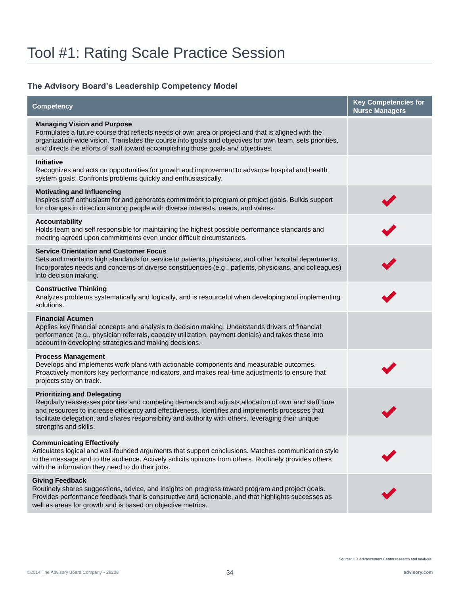### **The Advisory Board's Leadership Competency Model**

| Competency                                                                                                                                                                                                                                                                                                                                                                   | <b>Key Competencies for</b><br><b>Nurse Managers</b> |
|------------------------------------------------------------------------------------------------------------------------------------------------------------------------------------------------------------------------------------------------------------------------------------------------------------------------------------------------------------------------------|------------------------------------------------------|
| <b>Managing Vision and Purpose</b><br>Formulates a future course that reflects needs of own area or project and that is aligned with the<br>organization-wide vision. Translates the course into goals and objectives for own team, sets priorities,<br>and directs the efforts of staff toward accomplishing those goals and objectives.                                    |                                                      |
| <b>Initiative</b><br>Recognizes and acts on opportunities for growth and improvement to advance hospital and health<br>system goals. Confronts problems quickly and enthusiastically.                                                                                                                                                                                        |                                                      |
| <b>Motivating and Influencing</b><br>Inspires staff enthusiasm for and generates commitment to program or project goals. Builds support<br>for changes in direction among people with diverse interests, needs, and values.                                                                                                                                                  |                                                      |
| <b>Accountability</b><br>Holds team and self responsible for maintaining the highest possible performance standards and<br>meeting agreed upon commitments even under difficult circumstances.                                                                                                                                                                               |                                                      |
| <b>Service Orientation and Customer Focus</b><br>Sets and maintains high standards for service to patients, physicians, and other hospital departments.<br>Incorporates needs and concerns of diverse constituencies (e.g., patients, physicians, and colleagues)<br>into decision making.                                                                                   |                                                      |
| <b>Constructive Thinking</b><br>Analyzes problems systematically and logically, and is resourceful when developing and implementing<br>solutions.                                                                                                                                                                                                                            |                                                      |
| <b>Financial Acumen</b><br>Applies key financial concepts and analysis to decision making. Understands drivers of financial<br>performance (e.g., physician referrals, capacity utilization, payment denials) and takes these into<br>account in developing strategies and making decisions.                                                                                 |                                                      |
| <b>Process Management</b><br>Develops and implements work plans with actionable components and measurable outcomes.<br>Proactively monitors key performance indicators, and makes real-time adjustments to ensure that<br>projects stay on track.                                                                                                                            |                                                      |
| <b>Prioritizing and Delegating</b><br>Regularly reassesses priorities and competing demands and adjusts allocation of own and staff time<br>and resources to increase efficiency and effectiveness. Identifies and implements processes that<br>facilitate delegation, and shares responsibility and authority with others, leveraging their unique<br>strengths and skills. |                                                      |
| <b>Communicating Effectively</b><br>Articulates logical and well-founded arguments that support conclusions. Matches communication style<br>to the message and to the audience. Actively solicits opinions from others. Routinely provides others<br>with the information they need to do their jobs.                                                                        |                                                      |
| <b>Giving Feedback</b><br>Routinely shares suggestions, advice, and insights on progress toward program and project goals.<br>Provides performance feedback that is constructive and actionable, and that highlights successes as<br>well as areas for growth and is based on objective metrics.                                                                             |                                                      |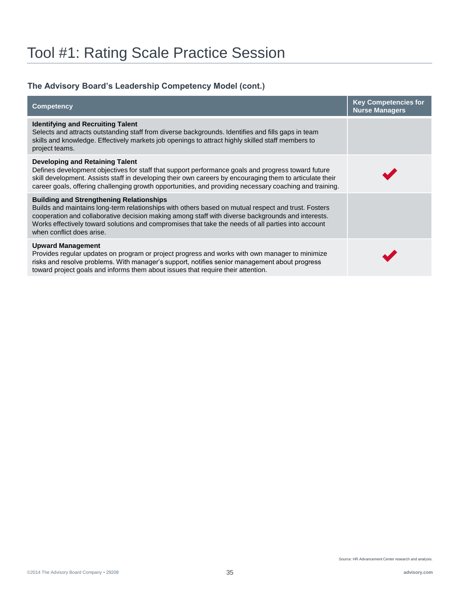### **The Advisory Board's Leadership Competency Model (cont.)**

| <b>Competency</b>                                                                                                                                                                                                                                                                                                                                                                              | <b>Key Competencies for</b><br><b>Nurse Managers</b> |
|------------------------------------------------------------------------------------------------------------------------------------------------------------------------------------------------------------------------------------------------------------------------------------------------------------------------------------------------------------------------------------------------|------------------------------------------------------|
| <b>Identifying and Recruiting Talent</b><br>Selects and attracts outstanding staff from diverse backgrounds. Identifies and fills gaps in team<br>skills and knowledge. Effectively markets job openings to attract highly skilled staff members to<br>project teams.                                                                                                                          |                                                      |
| Developing and Retaining Talent<br>Defines development objectives for staff that support performance goals and progress toward future<br>skill development. Assists staff in developing their own careers by encouraging them to articulate their<br>career goals, offering challenging growth opportunities, and providing necessary coaching and training.                                   |                                                      |
| <b>Building and Strengthening Relationships</b><br>Builds and maintains long-term relationships with others based on mutual respect and trust. Fosters<br>cooperation and collaborative decision making among staff with diverse backgrounds and interests.<br>Works effectively toward solutions and compromises that take the needs of all parties into account<br>when conflict does arise. |                                                      |
| <b>Upward Management</b><br>Provides regular updates on program or project progress and works with own manager to minimize<br>risks and resolve problems. With manager's support, notifies senior management about progress<br>toward project goals and informs them about issues that require their attention.                                                                                |                                                      |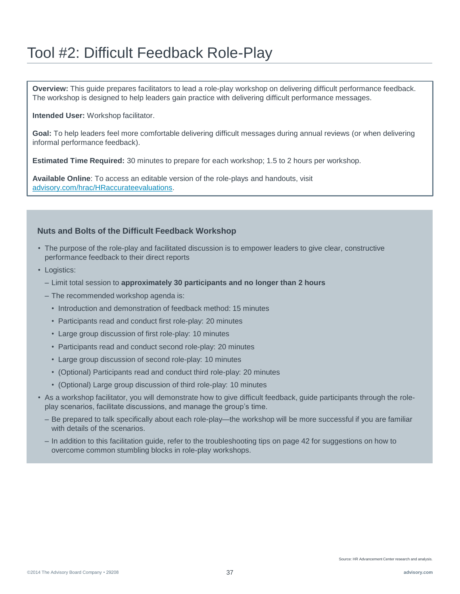**Overview:** This guide prepares facilitators to lead a role-play workshop on delivering difficult performance feedback. The workshop is designed to help leaders gain practice with delivering difficult performance messages.

**Intended User:** Workshop facilitator.

**Goal:** To help leaders feel more comfortable delivering difficult messages during annual reviews (or when delivering informal performance feedback).

**Estimated Time Required:** 30 minutes to prepare for each workshop; 1.5 to 2 hours per workshop.

**Available Online**: To access an editable version of the role-plays and handouts, visit [advisory.com/hrac/HRaccurateevaluations.](http://www.advisory.com/hrac/HRaccurateevaluations)

#### **Nuts and Bolts of the Difficult Feedback Workshop**

- The purpose of the role-play and facilitated discussion is to empower leaders to give clear, constructive performance feedback to their direct reports
- Logistics:
	- Limit total session to **approximately 30 participants and no longer than 2 hours**
	- The recommended workshop agenda is:
		- Introduction and demonstration of feedback method: 15 minutes
		- Participants read and conduct first role-play: 20 minutes
		- Large group discussion of first role-play: 10 minutes
		- Participants read and conduct second role-play: 20 minutes
		- Large group discussion of second role-play: 10 minutes
		- (Optional) Participants read and conduct third role-play: 20 minutes
		- (Optional) Large group discussion of third role-play: 10 minutes
- As a workshop facilitator, you will demonstrate how to give difficult feedback, guide participants through the roleplay scenarios, facilitate discussions, and manage the group's time.
	- Be prepared to talk specifically about each role-play—the workshop will be more successful if you are familiar with details of the scenarios.
	- In addition to this facilitation guide, refer to the troubleshooting tips on page 42 for suggestions on how to overcome common stumbling blocks in role-play workshops.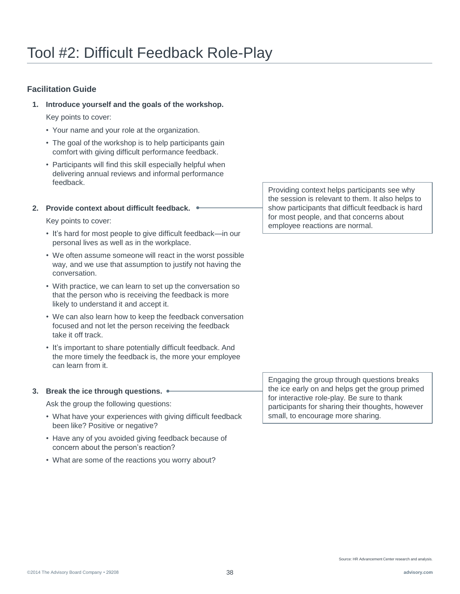#### **Facilitation Guide**

**1. Introduce yourself and the goals of the workshop.**

Key points to cover:

- Your name and your role at the organization.
- The goal of the workshop is to help participants gain comfort with giving difficult performance feedback.
- Participants will find this skill especially helpful when delivering annual reviews and informal performance feedback.

#### **2. Provide context about difficult feedback.**

Key points to cover:

- It's hard for most people to give difficult feedback—in our personal lives as well as in the workplace.
- We often assume someone will react in the worst possible way, and we use that assumption to justify not having the conversation.
- With practice, we can learn to set up the conversation so that the person who is receiving the feedback is more likely to understand it and accept it.
- We can also learn how to keep the feedback conversation focused and not let the person receiving the feedback take it off track.
- It's important to share potentially difficult feedback. And the more timely the feedback is, the more your employee can learn from it.

#### **3. Break the ice through questions.**

Ask the group the following questions:

- What have your experiences with giving difficult feedback been like? Positive or negative?
- Have any of you avoided giving feedback because of concern about the person's reaction?
- What are some of the reactions you worry about?

Providing context helps participants see why the session is relevant to them. It also helps to show participants that difficult feedback is hard for most people, and that concerns about employee reactions are normal.

Engaging the group through questions breaks the ice early on and helps get the group primed for interactive role-play. Be sure to thank participants for sharing their thoughts, however small, to encourage more sharing.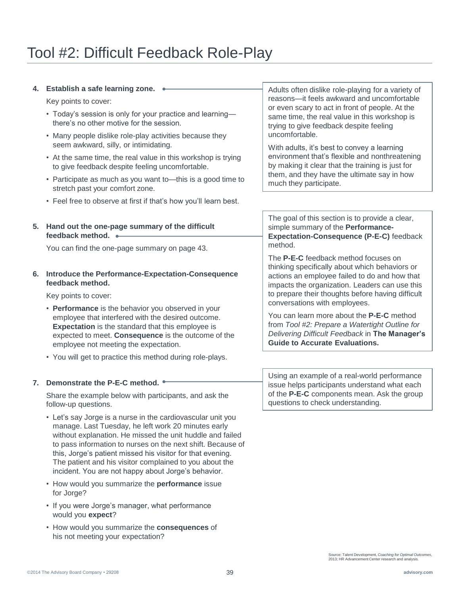#### **4. Establish a safe learning zone.**

Key points to cover:

- Today's session is only for your practice and learning there's no other motive for the session.
- Many people dislike role-play activities because they seem awkward, silly, or intimidating.
- At the same time, the real value in this workshop is trying to give feedback despite feeling uncomfortable.
- Participate as much as you want to—this is a good time to stretch past your comfort zone.
- Feel free to observe at first if that's how you'll learn best.
- **5. Hand out the one-page summary of the difficult feedback method.**

You can find the one-page summary on page 43.

#### **6. Introduce the Performance-Expectation-Consequence feedback method.**

Key points to cover:

- **Performance** is the behavior you observed in your employee that interfered with the desired outcome. **Expectation** is the standard that this employee is expected to meet. **Consequence** is the outcome of the employee not meeting the expectation.
- You will get to practice this method during role-plays.

#### **7. Demonstrate the P-E-C method.**

Share the example below with participants, and ask the follow-up questions.

- Let's say Jorge is a nurse in the cardiovascular unit you manage. Last Tuesday, he left work 20 minutes early without explanation. He missed the unit huddle and failed to pass information to nurses on the next shift. Because of this, Jorge's patient missed his visitor for that evening. The patient and his visitor complained to you about the incident. You are not happy about Jorge's behavior.
- How would you summarize the **performance** issue for Jorge?
- If you were Jorge's manager, what performance would you **expect**?
- How would you summarize the **consequences** of his not meeting your expectation?

Adults often dislike role-playing for a variety of reasons—it feels awkward and uncomfortable or even scary to act in front of people. At the same time, the real value in this workshop is trying to give feedback despite feeling uncomfortable.

With adults, it's best to convey a learning environment that's flexible and nonthreatening by making it clear that the training is just for them, and they have the ultimate say in how much they participate.

The goal of this section is to provide a clear, simple summary of the **Performance-Expectation-Consequence (P-E-C)** feedback method.

The **P-E-C** feedback method focuses on thinking specifically about which behaviors or actions an employee failed to do and how that impacts the organization. Leaders can use this to prepare their thoughts before having difficult conversations with employees.

You can learn more about the **P-E-C** method from *Tool #2: Prepare a Watertight Outline for Delivering Difficult Feedback* in **The Manager's Guide to Accurate Evaluations.** 

Using an example of a real-world performance issue helps participants understand what each of the **P-E-C** components mean. Ask the group questions to check understanding.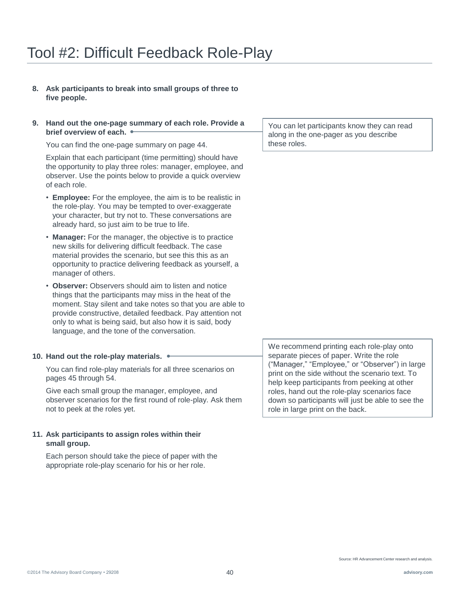- **8. Ask participants to break into small groups of three to five people.**
- **9. Hand out the one-page summary of each role. Provide a brief overview of each.**

You can find the one-page summary on page 44.

Explain that each participant (time permitting) should have the opportunity to play three roles: manager, employee, and observer. Use the points below to provide a quick overview of each role.

- **Employee:** For the employee, the aim is to be realistic in the role-play. You may be tempted to over-exaggerate your character, but try not to. These conversations are already hard, so just aim to be true to life.
- **Manager:** For the manager, the objective is to practice new skills for delivering difficult feedback. The case material provides the scenario, but see this this as an opportunity to practice delivering feedback as yourself, a manager of others.
- **Observer:** Observers should aim to listen and notice things that the participants may miss in the heat of the moment. Stay silent and take notes so that you are able to provide constructive, detailed feedback. Pay attention not only to what is being said, but also how it is said, body language, and the tone of the conversation.

#### **10. Hand out the role-play materials.**

You can find role-play materials for all three scenarios on pages 45 through 54.

Give each small group the manager, employee, and observer scenarios for the first round of role-play. Ask them not to peek at the roles yet.

#### **11. Ask participants to assign roles within their small group.**

Each person should take the piece of paper with the appropriate role-play scenario for his or her role.

You can let participants know they can read along in the one-pager as you describe these roles.

We recommend printing each role-play onto separate pieces of paper. Write the role ("Manager," "Employee," or "Observer") in large print on the side without the scenario text. To help keep participants from peeking at other roles, hand out the role-play scenarios face down so participants will just be able to see the role in large print on the back.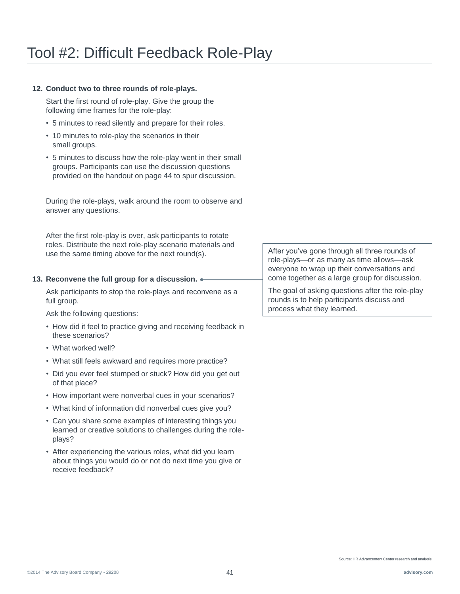#### **12. Conduct two to three rounds of role-plays.**

Start the first round of role-play. Give the group the following time frames for the role-play:

- 5 minutes to read silently and prepare for their roles.
- 10 minutes to role-play the scenarios in their small groups.
- 5 minutes to discuss how the role-play went in their small groups. Participants can use the discussion questions provided on the handout on page 44 to spur discussion.

During the role-plays, walk around the room to observe and answer any questions.

After the first role-play is over, ask participants to rotate roles. Distribute the next role-play scenario materials and use the same timing above for the next round(s).

#### **13. Reconvene the full group for a discussion.**

Ask participants to stop the role-plays and reconvene as a full group.

Ask the following questions:

- How did it feel to practice giving and receiving feedback in these scenarios?
- What worked well?
- What still feels awkward and requires more practice?
- Did you ever feel stumped or stuck? How did you get out of that place?
- How important were nonverbal cues in your scenarios?
- What kind of information did nonverbal cues give you?
- Can you share some examples of interesting things you learned or creative solutions to challenges during the roleplays?
- After experiencing the various roles, what did you learn about things you would do or not do next time you give or receive feedback?

After you've gone through all three rounds of role-plays—or as many as time allows—ask everyone to wrap up their conversations and come together as a large group for discussion.

The goal of asking questions after the role-play rounds is to help participants discuss and process what they learned.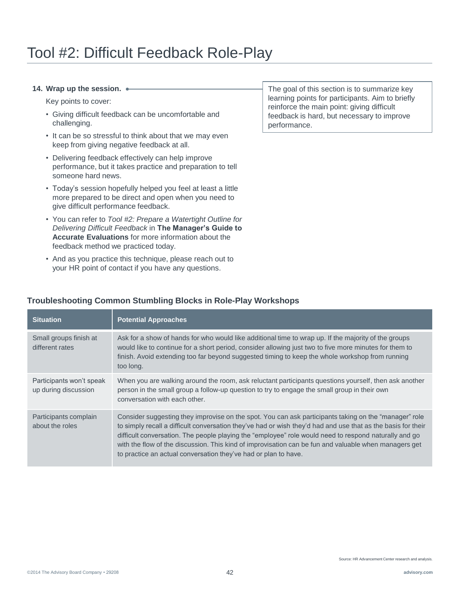#### **14. Wrap up the session.**

Key points to cover:

- Giving difficult feedback can be uncomfortable and challenging.
- It can be so stressful to think about that we may even keep from giving negative feedback at all.
- Delivering feedback effectively can help improve performance, but it takes practice and preparation to tell someone hard news.
- Today's session hopefully helped you feel at least a little more prepared to be direct and open when you need to give difficult performance feedback.
- You can refer to *Tool #2: Prepare a Watertight Outline for Delivering Difficult Feedback* in **The Manager's Guide to Accurate Evaluations** for more information about the feedback method we practiced today.
- And as you practice this technique, please reach out to your HR point of contact if you have any questions.

**Troubleshooting Common Stumbling Blocks in Role-Play Workshops**

The goal of this section is to summarize key learning points for participants. Aim to briefly reinforce the main point: giving difficult feedback is hard, but necessary to improve performance.

#### **Situation Potential Approaches** Small groups finish at different rates Ask for a show of hands for who would like additional time to wrap up. If the majority of the groups would like to continue for a short period, consider allowing just two to five more minutes for them to finish. Avoid extending too far beyond suggested timing to keep the whole workshop from running too long. Participants won't speak up during discussion When you are walking around the room, ask reluctant participants questions yourself, then ask another person in the small group a follow-up question to try to engage the small group in their own conversation with each other.

Participants complain about the roles Consider suggesting they improvise on the spot. You can ask participants taking on the "manager" role to simply recall a difficult conversation they've had or wish they'd had and use that as the basis for their difficult conversation. The people playing the "employee" role would need to respond naturally and go with the flow of the discussion. This kind of improvisation can be fun and valuable when managers get to practice an actual conversation they've had or plan to have.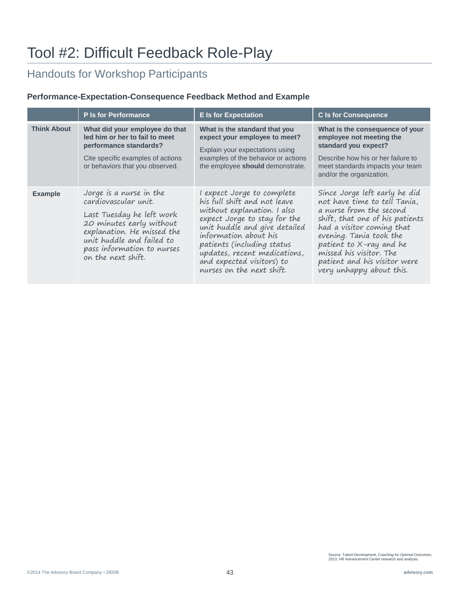## Handouts for Workshop Participants

#### **Performance-Expectation-Consequence Feedback Method and Example**

|                    | <b>P</b> Is for Performance                                                                                                                                                                                             | <b>E</b> Is for Expectation                                                                                                                                                                                                                                                                                 | <b>C</b> Is for Consequence                                                                                                                                                                                                                                                                           |
|--------------------|-------------------------------------------------------------------------------------------------------------------------------------------------------------------------------------------------------------------------|-------------------------------------------------------------------------------------------------------------------------------------------------------------------------------------------------------------------------------------------------------------------------------------------------------------|-------------------------------------------------------------------------------------------------------------------------------------------------------------------------------------------------------------------------------------------------------------------------------------------------------|
| <b>Think About</b> | What did your employee do that<br>led him or her to fail to meet<br>performance standards?<br>Cite specific examples of actions<br>or behaviors that you observed.                                                      | What is the standard that you<br>expect your employee to meet?<br>Explain your expectations using<br>examples of the behavior or actions<br>the employee should demonstrate.                                                                                                                                | What is the consequence of your<br>employee not meeting the<br>standard you expect?<br>Describe how his or her failure to<br>meet standards impacts your team<br>and/or the organization.                                                                                                             |
| <b>Example</b>     | Jorge is a nurse in the<br>cardiovascular unit.<br>Last Tuesday he left work<br>20 minutes early without<br>explanation. He missed the<br>unit huddle and failed to<br>pass information to nurses<br>on the next shift. | I expect Jorge to complete<br>his full shift and not leave<br>without explanation. I also<br>expect Jorge to stay for the<br>unit huddle and give detailed<br>information about his<br>patients (including status<br>updates, recent medications,<br>and expected visitors) to<br>nurses on the next shift. | Since Jorge left early he did<br>not have time to tell Tania,<br>a nurse from the second<br>shift, that one of his patients<br>had a visitor coming that<br>evening. Tania took the<br>patient to X-ray and he<br>missed his visitor. The<br>patient and his visitor were<br>very unhappy about this. |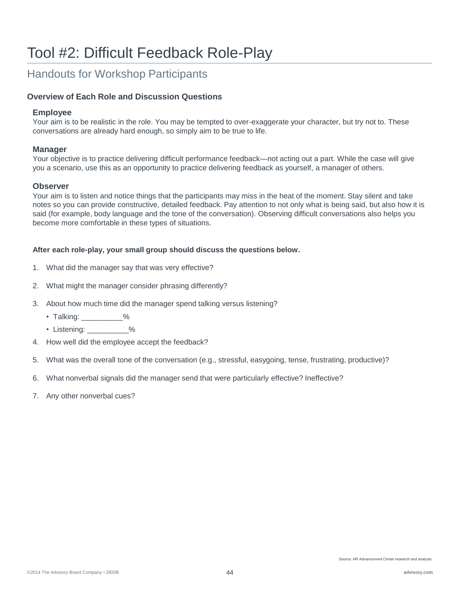## Handouts for Workshop Participants

#### **Overview of Each Role and Discussion Questions**

#### **Employee**

Your aim is to be realistic in the role. You may be tempted to over-exaggerate your character, but try not to. These conversations are already hard enough, so simply aim to be true to life.

#### **Manager**

Your objective is to practice delivering difficult performance feedback—not acting out a part. While the case will give you a scenario, use this as an opportunity to practice delivering feedback as yourself, a manager of others.

#### **Observer**

Your aim is to listen and notice things that the participants may miss in the heat of the moment. Stay silent and take notes so you can provide constructive, detailed feedback. Pay attention to not only what is being said, but also how it is said (for example, body language and the tone of the conversation). Observing difficult conversations also helps you become more comfortable in these types of situations.

#### **After each role-play, your small group should discuss the questions below.**

- 1. What did the manager say that was very effective?
- 2. What might the manager consider phrasing differently?
- 3. About how much time did the manager spend talking versus listening?
	- Talking: \_\_\_\_\_\_\_\_\_\_%
	- Listening: \_\_\_\_\_\_\_\_\_\_%
- 4. How well did the employee accept the feedback?
- 5. What was the overall tone of the conversation (e.g., stressful, easygoing, tense, frustrating, productive)?
- 6. What nonverbal signals did the manager send that were particularly effective? Ineffective?
- 7. Any other nonverbal cues?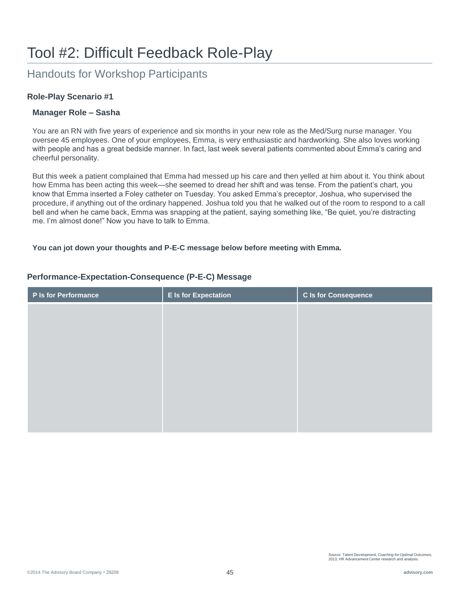## Handouts for Workshop Participants

#### **Role-Play Scenario #1**

#### **Manager Role – Sasha**

You are an RN with five years of experience and six months in your new role as the Med/Surg nurse manager. You oversee 45 employees. One of your employees, Emma, is very enthusiastic and hardworking. She also loves working with people and has a great bedside manner. In fact, last week several patients commented about Emma's caring and cheerful personality.

But this week a patient complained that Emma had messed up his care and then yelled at him about it. You think about how Emma has been acting this week—she seemed to dread her shift and was tense. From the patient's chart, you know that Emma inserted a Foley catheter on Tuesday. You asked Emma's preceptor, Joshua, who supervised the procedure, if anything out of the ordinary happened. Joshua told you that he walked out of the room to respond to a call bell and when he came back, Emma was snapping at the patient, saying something like, "Be quiet, you're distracting me. I'm almost done!" Now you have to talk to Emma.

#### **You can jot down your thoughts and P-E-C message below before meeting with Emma.**

# **P Is for Performance E Is for Expectation C Is for Consequence**

#### **Performance-Expectation-Consequence (P-E-C) Message**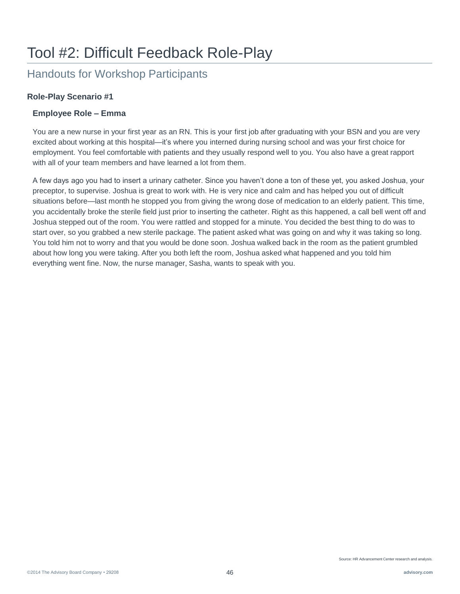## Handouts for Workshop Participants

#### **Role-Play Scenario #1**

#### **Employee Role – Emma**

You are a new nurse in your first year as an RN. This is your first job after graduating with your BSN and you are very excited about working at this hospital—it's where you interned during nursing school and was your first choice for employment. You feel comfortable with patients and they usually respond well to you. You also have a great rapport with all of your team members and have learned a lot from them.

A few days ago you had to insert a urinary catheter. Since you haven't done a ton of these yet, you asked Joshua, your preceptor, to supervise. Joshua is great to work with. He is very nice and calm and has helped you out of difficult situations before—last month he stopped you from giving the wrong dose of medication to an elderly patient. This time, you accidentally broke the sterile field just prior to inserting the catheter. Right as this happened, a call bell went off and Joshua stepped out of the room. You were rattled and stopped for a minute. You decided the best thing to do was to start over, so you grabbed a new sterile package. The patient asked what was going on and why it was taking so long. You told him not to worry and that you would be done soon. Joshua walked back in the room as the patient grumbled about how long you were taking. After you both left the room, Joshua asked what happened and you told him everything went fine. Now, the nurse manager, Sasha, wants to speak with you.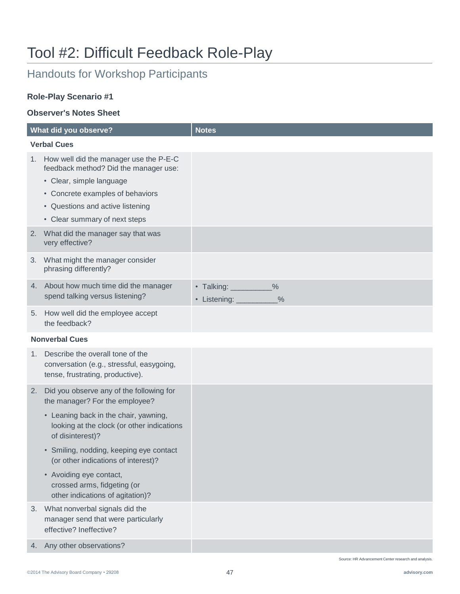## Handouts for Workshop Participants

#### **Role-Play Scenario #1**

#### **Observer's Notes Sheet**

|    | What did you observe?                                                                                                                                                                                                | <b>Notes</b>                                                            |
|----|----------------------------------------------------------------------------------------------------------------------------------------------------------------------------------------------------------------------|-------------------------------------------------------------------------|
|    | <b>Verbal Cues</b>                                                                                                                                                                                                   |                                                                         |
| 1. | How well did the manager use the P-E-C<br>feedback method? Did the manager use:<br>• Clear, simple language<br>• Concrete examples of behaviors<br>• Questions and active listening<br>• Clear summary of next steps |                                                                         |
| 2. | What did the manager say that was<br>very effective?                                                                                                                                                                 |                                                                         |
| 3. | What might the manager consider<br>phrasing differently?                                                                                                                                                             |                                                                         |
|    | 4. About how much time did the manager<br>spend talking versus listening?                                                                                                                                            | $\frac{0}{0}$<br>• Talking:<br>$\frac{0}{0}$<br>· Listening: __________ |
| 5. | How well did the employee accept<br>the feedback?                                                                                                                                                                    |                                                                         |
|    | <b>Nonverbal Cues</b>                                                                                                                                                                                                |                                                                         |
| 1. | Describe the overall tone of the<br>conversation (e.g., stressful, easygoing,<br>tense, frustrating, productive).                                                                                                    |                                                                         |
| 2. | Did you observe any of the following for<br>the manager? For the employee?                                                                                                                                           |                                                                         |
|    | • Leaning back in the chair, yawning,<br>looking at the clock (or other indications<br>of disinterest)?                                                                                                              |                                                                         |
|    | • Smiling, nodding, keeping eye contact<br>(or other indications of interest)?                                                                                                                                       |                                                                         |
|    | • Avoiding eye contact,<br>crossed arms, fidgeting (or<br>other indications of agitation)?                                                                                                                           |                                                                         |
| 3. | What nonverbal signals did the<br>manager send that were particularly<br>effective? Ineffective?                                                                                                                     |                                                                         |
| 4. | Any other observations?                                                                                                                                                                                              |                                                                         |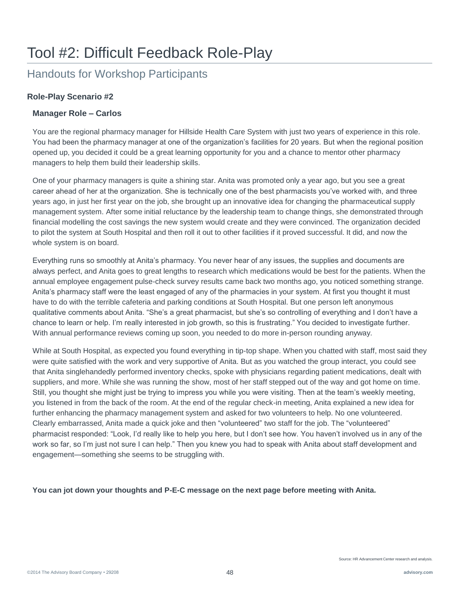## Handouts for Workshop Participants

#### **Role-Play Scenario #2**

#### **Manager Role – Carlos**

You are the regional pharmacy manager for Hillside Health Care System with just two years of experience in this role. You had been the pharmacy manager at one of the organization's facilities for 20 years. But when the regional position opened up, you decided it could be a great learning opportunity for you and a chance to mentor other pharmacy managers to help them build their leadership skills.

One of your pharmacy managers is quite a shining star. Anita was promoted only a year ago, but you see a great career ahead of her at the organization. She is technically one of the best pharmacists you've worked with, and three years ago, in just her first year on the job, she brought up an innovative idea for changing the pharmaceutical supply management system. After some initial reluctance by the leadership team to change things, she demonstrated through financial modelling the cost savings the new system would create and they were convinced. The organization decided to pilot the system at South Hospital and then roll it out to other facilities if it proved successful. It did, and now the whole system is on board.

Everything runs so smoothly at Anita's pharmacy. You never hear of any issues, the supplies and documents are always perfect, and Anita goes to great lengths to research which medications would be best for the patients. When the annual employee engagement pulse-check survey results came back two months ago, you noticed something strange. Anita's pharmacy staff were the least engaged of any of the pharmacies in your system. At first you thought it must have to do with the terrible cafeteria and parking conditions at South Hospital. But one person left anonymous qualitative comments about Anita. "She's a great pharmacist, but she's so controlling of everything and I don't have a chance to learn or help. I'm really interested in job growth, so this is frustrating." You decided to investigate further. With annual performance reviews coming up soon, you needed to do more in-person rounding anyway.

While at South Hospital, as expected you found everything in tip-top shape. When you chatted with staff, most said they were quite satisfied with the work and very supportive of Anita. But as you watched the group interact, you could see that Anita singlehandedly performed inventory checks, spoke with physicians regarding patient medications, dealt with suppliers, and more. While she was running the show, most of her staff stepped out of the way and got home on time. Still, you thought she might just be trying to impress you while you were visiting. Then at the team's weekly meeting, you listened in from the back of the room. At the end of the regular check-in meeting, Anita explained a new idea for further enhancing the pharmacy management system and asked for two volunteers to help. No one volunteered. Clearly embarrassed, Anita made a quick joke and then "volunteered" two staff for the job. The "volunteered" pharmacist responded: "Look, I'd really like to help you here, but I don't see how. You haven't involved us in any of the work so far, so I'm just not sure I can help." Then you knew you had to speak with Anita about staff development and engagement—something she seems to be struggling with.

**You can jot down your thoughts and P-E-C message on the next page before meeting with Anita.**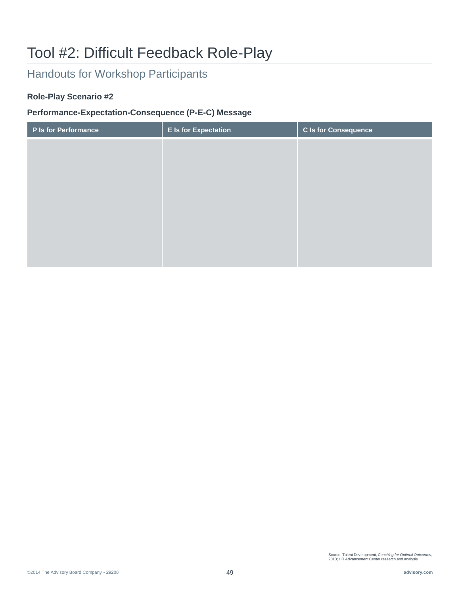## Handouts for Workshop Participants

#### **Role-Play Scenario #2**

#### **Performance-Expectation-Consequence (P-E-C) Message**

| P Is for Performance | <b>E</b> Is for Expectation | C Is for Consequence |
|----------------------|-----------------------------|----------------------|
|                      |                             |                      |
|                      |                             |                      |
|                      |                             |                      |
|                      |                             |                      |
|                      |                             |                      |
|                      |                             |                      |
|                      |                             |                      |
|                      |                             |                      |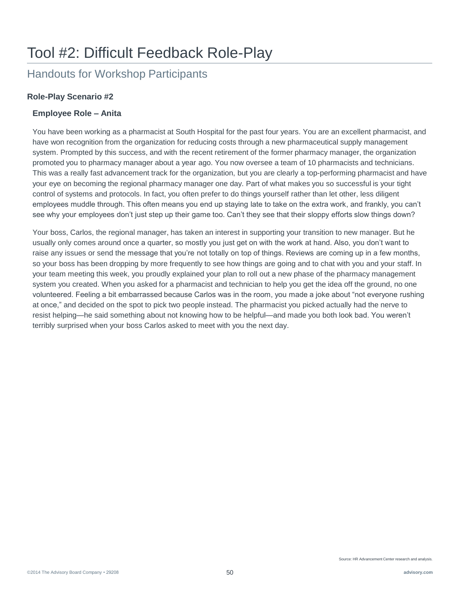## Handouts for Workshop Participants

#### **Role-Play Scenario #2**

#### **Employee Role – Anita**

You have been working as a pharmacist at South Hospital for the past four years. You are an excellent pharmacist, and have won recognition from the organization for reducing costs through a new pharmaceutical supply management system. Prompted by this success, and with the recent retirement of the former pharmacy manager, the organization promoted you to pharmacy manager about a year ago. You now oversee a team of 10 pharmacists and technicians. This was a really fast advancement track for the organization, but you are clearly a top-performing pharmacist and have your eye on becoming the regional pharmacy manager one day. Part of what makes you so successful is your tight control of systems and protocols. In fact, you often prefer to do things yourself rather than let other, less diligent employees muddle through. This often means you end up staying late to take on the extra work, and frankly, you can't see why your employees don't just step up their game too. Can't they see that their sloppy efforts slow things down?

Your boss, Carlos, the regional manager, has taken an interest in supporting your transition to new manager. But he usually only comes around once a quarter, so mostly you just get on with the work at hand. Also, you don't want to raise any issues or send the message that you're not totally on top of things. Reviews are coming up in a few months, so your boss has been dropping by more frequently to see how things are going and to chat with you and your staff. In your team meeting this week, you proudly explained your plan to roll out a new phase of the pharmacy management system you created. When you asked for a pharmacist and technician to help you get the idea off the ground, no one volunteered. Feeling a bit embarrassed because Carlos was in the room, you made a joke about "not everyone rushing at once," and decided on the spot to pick two people instead. The pharmacist you picked actually had the nerve to resist helping—he said something about not knowing how to be helpful—and made you both look bad. You weren't terribly surprised when your boss Carlos asked to meet with you the next day.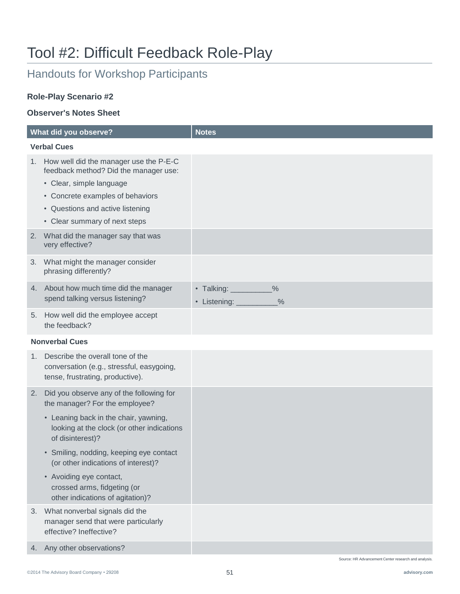## Handouts for Workshop Participants

#### **Role-Play Scenario #2**

#### **Observer's Notes Sheet**

| What did you observe? |                                                                                                                   | <b>Notes</b>                                                    |
|-----------------------|-------------------------------------------------------------------------------------------------------------------|-----------------------------------------------------------------|
| <b>Verbal Cues</b>    |                                                                                                                   |                                                                 |
| 1.                    | How well did the manager use the P-E-C<br>feedback method? Did the manager use:                                   |                                                                 |
|                       | • Clear, simple language                                                                                          |                                                                 |
|                       | • Concrete examples of behaviors                                                                                  |                                                                 |
|                       | • Questions and active listening                                                                                  |                                                                 |
|                       | • Clear summary of next steps                                                                                     |                                                                 |
| 2.                    | What did the manager say that was<br>very effective?                                                              |                                                                 |
| 3.                    | What might the manager consider<br>phrasing differently?                                                          |                                                                 |
| 4.                    | About how much time did the manager<br>spend talking versus listening?                                            | • Talking: _________<br>$\frac{0}{0}$<br>• Listening: _<br>$\%$ |
| 5.                    | How well did the employee accept<br>the feedback?                                                                 |                                                                 |
|                       | <b>Nonverbal Cues</b>                                                                                             |                                                                 |
| 1.                    | Describe the overall tone of the<br>conversation (e.g., stressful, easygoing,<br>tense, frustrating, productive). |                                                                 |
| 2.                    | Did you observe any of the following for<br>the manager? For the employee?                                        |                                                                 |
|                       | • Leaning back in the chair, yawning,<br>looking at the clock (or other indications<br>of disinterest)?           |                                                                 |
|                       | • Smiling, nodding, keeping eye contact<br>(or other indications of interest)?                                    |                                                                 |
|                       | • Avoiding eye contact,<br>crossed arms, fidgeting (or<br>other indications of agitation)?                        |                                                                 |
| 3.                    | What nonverbal signals did the<br>manager send that were particularly<br>effective? Ineffective?                  |                                                                 |
| 4.                    | Any other observations?                                                                                           |                                                                 |

Source: HR Advancement Center research and analysis.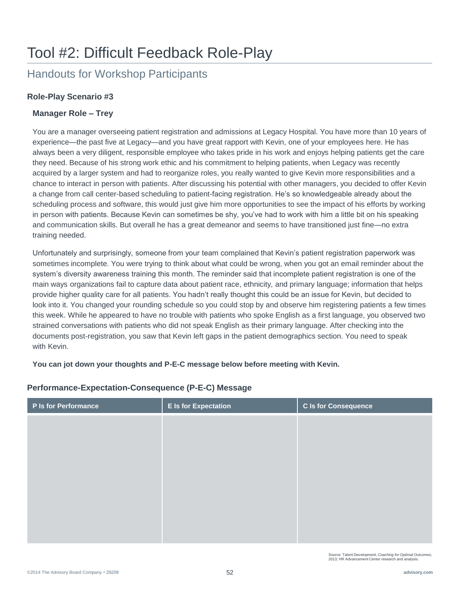## Handouts for Workshop Participants

#### **Role-Play Scenario #3**

#### **Manager Role – Trey**

You are a manager overseeing patient registration and admissions at Legacy Hospital. You have more than 10 years of experience—the past five at Legacy—and you have great rapport with Kevin, one of your employees here. He has always been a very diligent, responsible employee who takes pride in his work and enjoys helping patients get the care they need. Because of his strong work ethic and his commitment to helping patients, when Legacy was recently acquired by a larger system and had to reorganize roles, you really wanted to give Kevin more responsibilities and a chance to interact in person with patients. After discussing his potential with other managers, you decided to offer Kevin a change from call center-based scheduling to patient-facing registration. He's so knowledgeable already about the scheduling process and software, this would just give him more opportunities to see the impact of his efforts by working in person with patients. Because Kevin can sometimes be shy, you've had to work with him a little bit on his speaking and communication skills. But overall he has a great demeanor and seems to have transitioned just fine—no extra training needed.

Unfortunately and surprisingly, someone from your team complained that Kevin's patient registration paperwork was sometimes incomplete. You were trying to think about what could be wrong, when you got an email reminder about the system's diversity awareness training this month. The reminder said that incomplete patient registration is one of the main ways organizations fail to capture data about patient race, ethnicity, and primary language; information that helps provide higher quality care for all patients. You hadn't really thought this could be an issue for Kevin, but decided to look into it. You changed your rounding schedule so you could stop by and observe him registering patients a few times this week. While he appeared to have no trouble with patients who spoke English as a first language, you observed two strained conversations with patients who did not speak English as their primary language. After checking into the documents post-registration, you saw that Kevin left gaps in the patient demographics section. You need to speak with Kevin.

**You can jot down your thoughts and P-E-C message below before meeting with Kevin.** 

| P Is for Performance | <b>E</b> Is for Expectation | <b>C</b> Is for Consequence |
|----------------------|-----------------------------|-----------------------------|
|                      |                             |                             |
|                      |                             |                             |
|                      |                             |                             |
|                      |                             |                             |
|                      |                             |                             |
|                      |                             |                             |
|                      |                             |                             |
|                      |                             |                             |

#### **Performance-Expectation-Consequence (P-E-C) Message**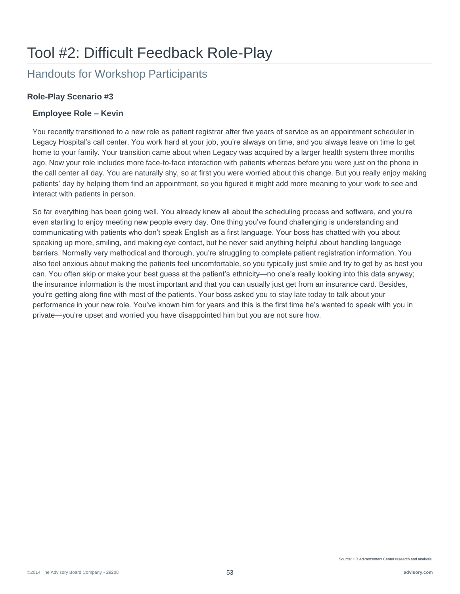## Handouts for Workshop Participants

#### **Role-Play Scenario #3**

#### **Employee Role – Kevin**

You recently transitioned to a new role as patient registrar after five years of service as an appointment scheduler in Legacy Hospital's call center. You work hard at your job, you're always on time, and you always leave on time to get home to your family. Your transition came about when Legacy was acquired by a larger health system three months ago. Now your role includes more face-to-face interaction with patients whereas before you were just on the phone in the call center all day. You are naturally shy, so at first you were worried about this change. But you really enjoy making patients' day by helping them find an appointment, so you figured it might add more meaning to your work to see and interact with patients in person.

So far everything has been going well. You already knew all about the scheduling process and software, and you're even starting to enjoy meeting new people every day. One thing you've found challenging is understanding and communicating with patients who don't speak English as a first language. Your boss has chatted with you about speaking up more, smiling, and making eye contact, but he never said anything helpful about handling language barriers. Normally very methodical and thorough, you're struggling to complete patient registration information. You also feel anxious about making the patients feel uncomfortable, so you typically just smile and try to get by as best you can. You often skip or make your best guess at the patient's ethnicity—no one's really looking into this data anyway; the insurance information is the most important and that you can usually just get from an insurance card. Besides, you're getting along fine with most of the patients. Your boss asked you to stay late today to talk about your performance in your new role. You've known him for years and this is the first time he's wanted to speak with you in private—you're upset and worried you have disappointed him but you are not sure how.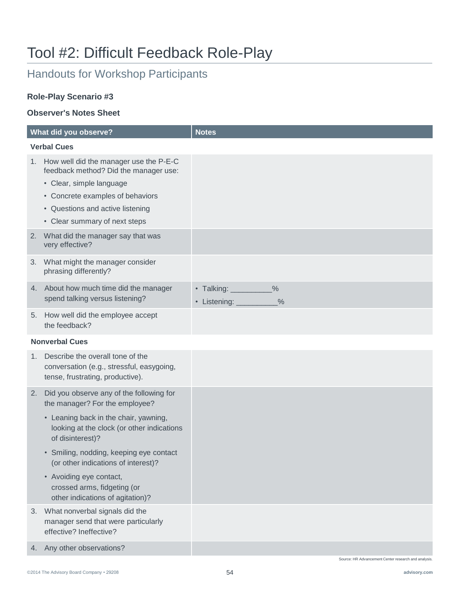## Handouts for Workshop Participants

#### **Role-Play Scenario #3**

#### **Observer's Notes Sheet**

|                       | What did you observe?                                                                                                                                                                                                | <b>Notes</b>                                                     |
|-----------------------|----------------------------------------------------------------------------------------------------------------------------------------------------------------------------------------------------------------------|------------------------------------------------------------------|
| <b>Verbal Cues</b>    |                                                                                                                                                                                                                      |                                                                  |
| 1.                    | How well did the manager use the P-E-C<br>feedback method? Did the manager use:<br>• Clear, simple language<br>• Concrete examples of behaviors<br>• Questions and active listening<br>• Clear summary of next steps |                                                                  |
| 2.                    | What did the manager say that was<br>very effective?                                                                                                                                                                 |                                                                  |
| 3.                    | What might the manager consider<br>phrasing differently?                                                                                                                                                             |                                                                  |
| 4.                    | About how much time did the manager<br>spend talking versus listening?                                                                                                                                               | • Talking: __________<br>$\frac{0}{0}$<br>• Listening: _<br>$\%$ |
| 5.                    | How well did the employee accept<br>the feedback?                                                                                                                                                                    |                                                                  |
| <b>Nonverbal Cues</b> |                                                                                                                                                                                                                      |                                                                  |
| 1.                    | Describe the overall tone of the<br>conversation (e.g., stressful, easygoing,<br>tense, frustrating, productive).                                                                                                    |                                                                  |
| 2.                    | Did you observe any of the following for<br>the manager? For the employee?                                                                                                                                           |                                                                  |
|                       | • Leaning back in the chair, yawning,<br>looking at the clock (or other indications<br>of disinterest)?                                                                                                              |                                                                  |
|                       | • Smiling, nodding, keeping eye contact<br>(or other indications of interest)?                                                                                                                                       |                                                                  |
|                       | • Avoiding eye contact,<br>crossed arms, fidgeting (or<br>other indications of agitation)?                                                                                                                           |                                                                  |
| 3.                    | What nonverbal signals did the<br>manager send that were particularly<br>effective? Ineffective?                                                                                                                     |                                                                  |
| 4.                    | Any other observations?                                                                                                                                                                                              |                                                                  |
|                       |                                                                                                                                                                                                                      | Source: HR Advancement Center research and analysis              |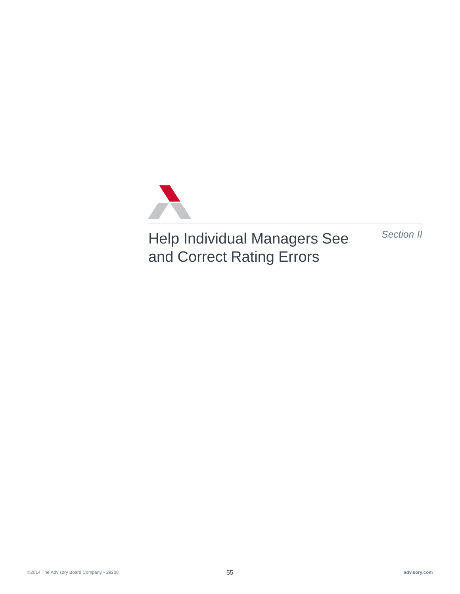

Help Individual Managers See and Correct Rating Errors

*Section II*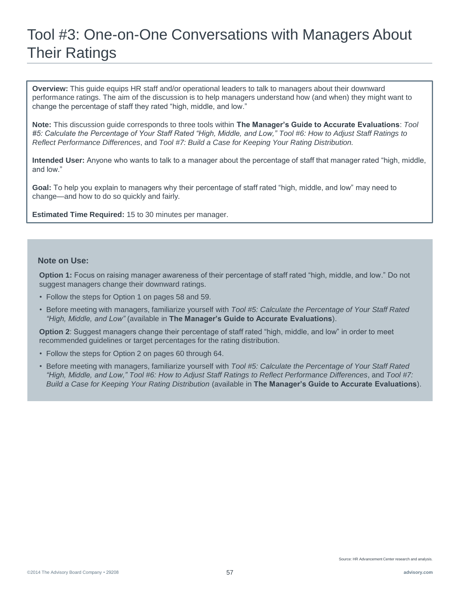# Tool #3: One-on-One Conversations with Managers About Their Ratings

**Overview:** This guide equips HR staff and/or operational leaders to talk to managers about their downward performance ratings. The aim of the discussion is to help managers understand how (and when) they might want to change the percentage of staff they rated "high, middle, and low."

**Note:** This discussion guide corresponds to three tools within **The Manager's Guide to Accurate Evaluations**: *Tool #5: Calculate the Percentage of Your Staff Rated "High, Middle, and Low," Tool #6: How to Adjust Staff Ratings to Reflect Performance Differences*, and *Tool #7: Build a Case for Keeping Your Rating Distribution.*

**Intended User:** Anyone who wants to talk to a manager about the percentage of staff that manager rated "high, middle, and low."

**Goal:** To help you explain to managers why their percentage of staff rated "high, middle, and low" may need to change—and how to do so quickly and fairly.

**Estimated Time Required:** 15 to 30 minutes per manager.

#### **Note on Use:**

**Option 1:** Focus on raising manager awareness of their percentage of staff rated "high, middle, and low." Do not suggest managers change their downward ratings.

- Follow the steps for Option 1 on pages 58 and 59.
- Before meeting with managers, familiarize yourself with *Tool #5: Calculate the Percentage of Your Staff Rated "High, Middle, and Low"* (available in **The Manager's Guide to Accurate Evaluations**).

**Option 2**: Suggest managers change their percentage of staff rated "high, middle, and low" in order to meet recommended guidelines or target percentages for the rating distribution.

- Follow the steps for Option 2 on pages 60 through 64.
- Before meeting with managers, familiarize yourself with *Tool #5: Calculate the Percentage of Your Staff Rated "High, Middle, and Low," Tool #6: How to Adjust Staff Ratings to Reflect Performance Differences*, and *Tool #7: Build a Case for Keeping Your Rating Distribution* (available in **The Manager's Guide to Accurate Evaluations**).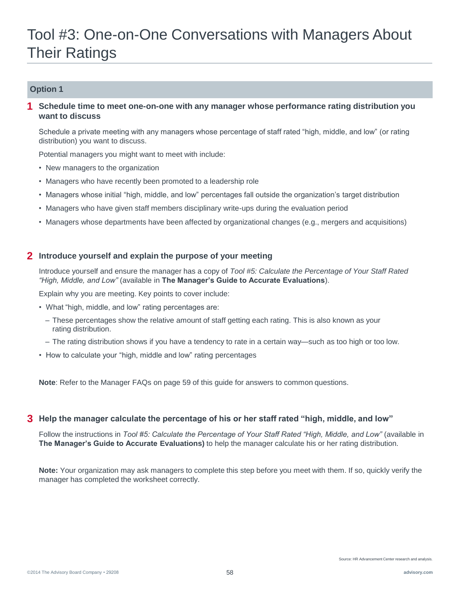# Tool #3: One-on-One Conversations with Managers About Their Ratings

#### **Option 1**

#### **Schedule time to meet one-on-one with any manager whose performance rating distribution you want to discuss 1**

Schedule a private meeting with any managers whose percentage of staff rated "high, middle, and low" (or rating distribution) you want to discuss.

Potential managers you might want to meet with include:

- New managers to the organization
- Managers who have recently been promoted to a leadership role
- Managers whose initial "high, middle, and low" percentages fall outside the organization's target distribution
- Managers who have given staff members disciplinary write-ups during the evaluation period
- Managers whose departments have been affected by organizational changes (e.g., mergers and acquisitions)

#### **2 Introduce yourself and explain the purpose of your meeting**

Introduce yourself and ensure the manager has a copy of *Tool #5: Calculate the Percentage of Your Staff Rated "High, Middle, and Low"* (available in **The Manager's Guide to Accurate Evaluations**).

Explain why you are meeting. Key points to cover include:

- What "high, middle, and low" rating percentages are:
	- These percentages show the relative amount of staff getting each rating. This is also known as your rating distribution.
	- The rating distribution shows if you have a tendency to rate in a certain way—such as too high or too low.
- How to calculate your "high, middle and low" rating percentages

**Note**: Refer to the Manager FAQs on page 59 of this guide for answers to common questions.

#### **3 Help the manager calculate the percentage of his or her staff rated "high, middle, and low"**

Follow the instructions in *Tool #5: Calculate the Percentage of Your Staff Rated "High, Middle, and Low"* (available in **The Manager's Guide to Accurate Evaluations)** to help the manager calculate his or her rating distribution.

**Note:** Your organization may ask managers to complete this step before you meet with them. If so, quickly verify the manager has completed the worksheet correctly.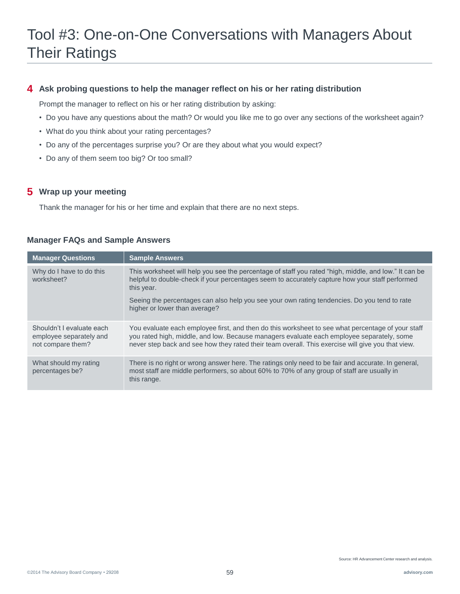#### **4 Ask probing questions to help the manager reflect on his or her rating distribution**

Prompt the manager to reflect on his or her rating distribution by asking:

- Do you have any questions about the math? Or would you like me to go over any sections of the worksheet again?
- What do you think about your rating percentages?
- Do any of the percentages surprise you? Or are they about what you would expect?
- Do any of them seem too big? Or too small?

#### **5 Wrap up your meeting**

Thank the manager for his or her time and explain that there are no next steps.

| <b>Manager Questions</b>                                                  | <b>Sample Answers</b>                                                                                                                                                                                                                                                                               |
|---------------------------------------------------------------------------|-----------------------------------------------------------------------------------------------------------------------------------------------------------------------------------------------------------------------------------------------------------------------------------------------------|
| Why do I have to do this<br>worksheet?                                    | This worksheet will help you see the percentage of staff you rated "high, middle, and low." It can be<br>helpful to double-check if your percentages seem to accurately capture how your staff performed<br>this year.                                                                              |
|                                                                           | Seeing the percentages can also help you see your own rating tendencies. Do you tend to rate<br>higher or lower than average?                                                                                                                                                                       |
| Shouldn't I evaluate each<br>employee separately and<br>not compare them? | You evaluate each employee first, and then do this worksheet to see what percentage of your staff<br>you rated high, middle, and low. Because managers evaluate each employee separately, some<br>never step back and see how they rated their team overall. This exercise will give you that view. |
| What should my rating<br>percentages be?                                  | There is no right or wrong answer here. The ratings only need to be fair and accurate. In general,<br>most staff are middle performers, so about 60% to 70% of any group of staff are usually in<br>this range.                                                                                     |

#### **Manager FAQs and Sample Answers**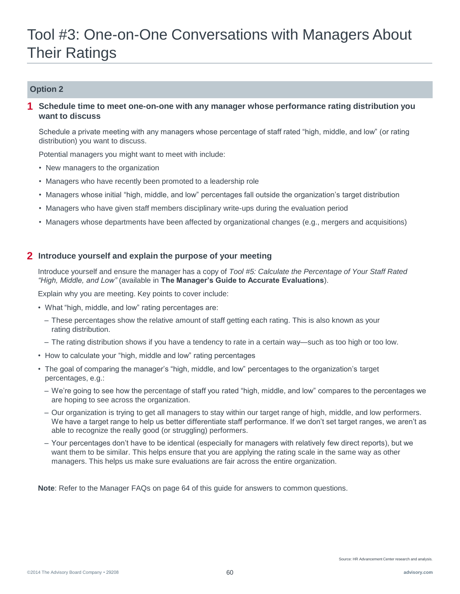# Tool #3: One-on-One Conversations with Managers About Their Ratings

#### **Option 2**

**Schedule time to meet one-on-one with any manager whose performance rating distribution you want to discuss 1**

Schedule a private meeting with any managers whose percentage of staff rated "high, middle, and low" (or rating distribution) you want to discuss.

Potential managers you might want to meet with include:

- New managers to the organization
- Managers who have recently been promoted to a leadership role
- Managers whose initial "high, middle, and low" percentages fall outside the organization's target distribution
- Managers who have given staff members disciplinary write-ups during the evaluation period
- Managers whose departments have been affected by organizational changes (e.g., mergers and acquisitions)

#### **2 Introduce yourself and explain the purpose of your meeting**

Introduce yourself and ensure the manager has a copy of *Tool #5: Calculate the Percentage of Your Staff Rated "High, Middle, and Low"* (available in **The Manager's Guide to Accurate Evaluations**).

Explain why you are meeting. Key points to cover include:

- What "high, middle, and low" rating percentages are:
	- These percentages show the relative amount of staff getting each rating. This is also known as your rating distribution.
	- The rating distribution shows if you have a tendency to rate in a certain way—such as too high or too low.
- How to calculate your "high, middle and low" rating percentages
- The goal of comparing the manager's "high, middle, and low" percentages to the organization's target percentages, e.g.:
	- We're going to see how the percentage of staff you rated "high, middle, and low" compares to the percentages we are hoping to see across the organization.
	- Our organization is trying to get all managers to stay within our target range of high, middle, and low performers. We have a target range to help us better differentiate staff performance. If we don't set target ranges, we aren't as able to recognize the really good (or struggling) performers.
	- Your percentages don't have to be identical (especially for managers with relatively few direct reports), but we want them to be similar. This helps ensure that you are applying the rating scale in the same way as other managers. This helps us make sure evaluations are fair across the entire organization.

**Note**: Refer to the Manager FAQs on page 64 of this guide for answers to common questions.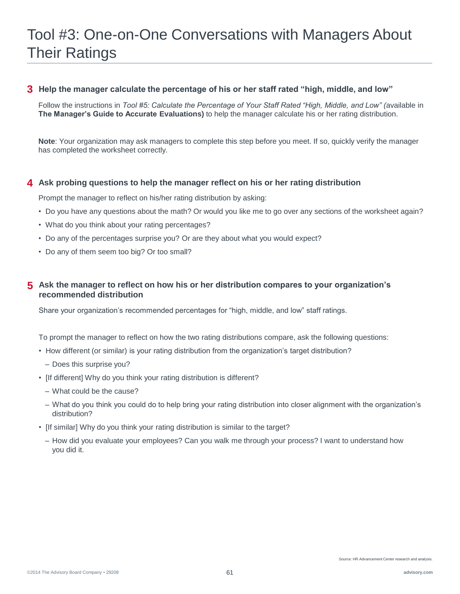# Tool #3: One-on-One Conversations with Managers About Their Ratings

#### **3 Help the manager calculate the percentage of his or her staff rated "high, middle, and low"**

Follow the instructions in *Tool #5: Calculate the Percentage of Your Staff Rated "High, Middle, and Low" (*available in **The Manager's Guide to Accurate Evaluations)** to help the manager calculate his or her rating distribution.

**Note**: Your organization may ask managers to complete this step before you meet. If so, quickly verify the manager has completed the worksheet correctly.

#### **4 Ask probing questions to help the manager reflect on his or her rating distribution**

Prompt the manager to reflect on his/her rating distribution by asking:

- Do you have any questions about the math? Or would you like me to go over any sections of the worksheet again?
- What do you think about your rating percentages?
- Do any of the percentages surprise you? Or are they about what you would expect?
- Do any of them seem too big? Or too small?

#### **Ask the manager to reflect on how his or her distribution compares to your organization's 5 recommended distribution**

Share your organization's recommended percentages for "high, middle, and low" staff ratings.

To prompt the manager to reflect on how the two rating distributions compare, ask the following questions:

- How different (or similar) is your rating distribution from the organization's target distribution?
	- Does this surprise you?
- [If different] Why do you think your rating distribution is different?
	- What could be the cause?
	- What do you think you could do to help bring your rating distribution into closer alignment with the organization's distribution?
- [If similar] Why do you think your rating distribution is similar to the target?
	- How did you evaluate your employees? Can you walk me through your process? I want to understand how you did it.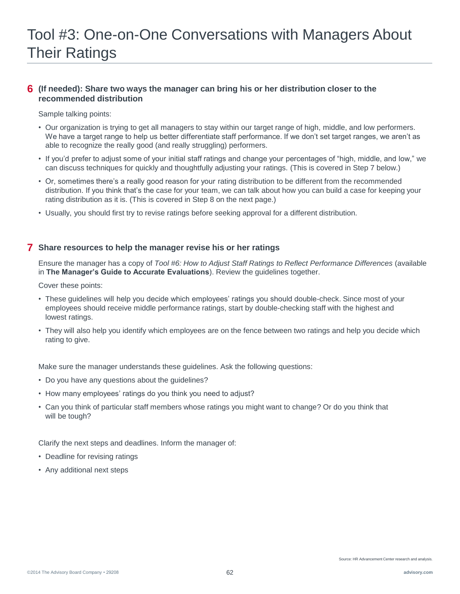#### **(If needed): Share two ways the manager can bring his or her distribution closer to the 6 recommended distribution**

Sample talking points:

- Our organization is trying to get all managers to stay within our target range of high, middle, and low performers. We have a target range to help us better differentiate staff performance. If we don't set target ranges, we aren't as able to recognize the really good (and really struggling) performers.
- If you'd prefer to adjust some of your initial staff ratings and change your percentages of "high, middle, and low," we can discuss techniques for quickly and thoughtfully adjusting your ratings. (This is covered in Step 7 below.)
- Or, sometimes there's a really good reason for your rating distribution to be different from the recommended distribution. If you think that's the case for your team, we can talk about how you can build a case for keeping your rating distribution as it is. (This is covered in Step 8 on the next page.)
- Usually, you should first try to revise ratings before seeking approval for a different distribution.

#### **7 Share resources to help the manager revise his or her ratings**

Ensure the manager has a copy of *Tool #6: How to Adjust Staff Ratings to Reflect Performance Differences* (available in **The Manager's Guide to Accurate Evaluations**). Review the guidelines together.

Cover these points:

- These guidelines will help you decide which employees' ratings you should double-check. Since most of your employees should receive middle performance ratings, start by double-checking staff with the highest and lowest ratings.
- They will also help you identify which employees are on the fence between two ratings and help you decide which rating to give.

Make sure the manager understands these guidelines. Ask the following questions:

- Do you have any questions about the guidelines?
- How many employees' ratings do you think you need to adjust?
- Can you think of particular staff members whose ratings you might want to change? Or do you think that will be tough?

Clarify the next steps and deadlines. Inform the manager of:

- Deadline for revising ratings
- Any additional next steps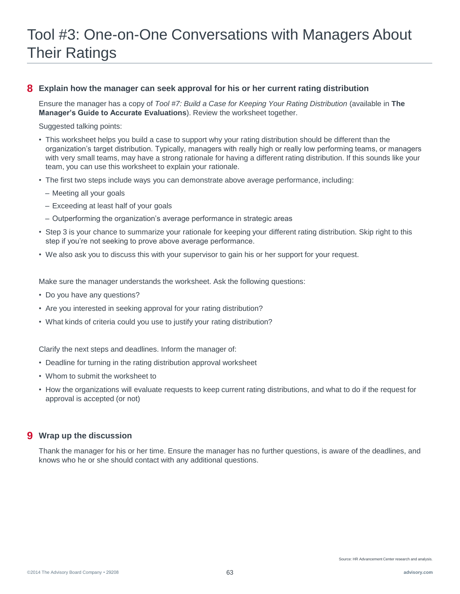# Tool #3: One-on-One Conversations with Managers About Their Ratings

#### **8 Explain how the manager can seek approval for his or her current rating distribution**

Ensure the manager has a copy of *Tool #7: Build a Case for Keeping Your Rating Distribution* (available in **The Manager's Guide to Accurate Evaluations**). Review the worksheet together.

Suggested talking points:

- This worksheet helps you build a case to support why your rating distribution should be different than the organization's target distribution. Typically, managers with really high or really low performing teams, or managers with very small teams, may have a strong rationale for having a different rating distribution. If this sounds like your team, you can use this worksheet to explain your rationale.
- The first two steps include ways you can demonstrate above average performance, including:
	- Meeting all your goals
	- Exceeding at least half of your goals
	- Outperforming the organization's average performance in strategic areas
- Step 3 is your chance to summarize your rationale for keeping your different rating distribution. Skip right to this step if you're not seeking to prove above average performance.
- We also ask you to discuss this with your supervisor to gain his or her support for your request.

Make sure the manager understands the worksheet. Ask the following questions:

- Do you have any questions?
- Are you interested in seeking approval for your rating distribution?
- What kinds of criteria could you use to justify your rating distribution?

Clarify the next steps and deadlines. Inform the manager of:

- Deadline for turning in the rating distribution approval worksheet
- Whom to submit the worksheet to
- How the organizations will evaluate requests to keep current rating distributions, and what to do if the request for approval is accepted (or not)

#### **9 Wrap up the discussion**

Thank the manager for his or her time. Ensure the manager has no further questions, is aware of the deadlines, and knows who he or she should contact with any additional questions.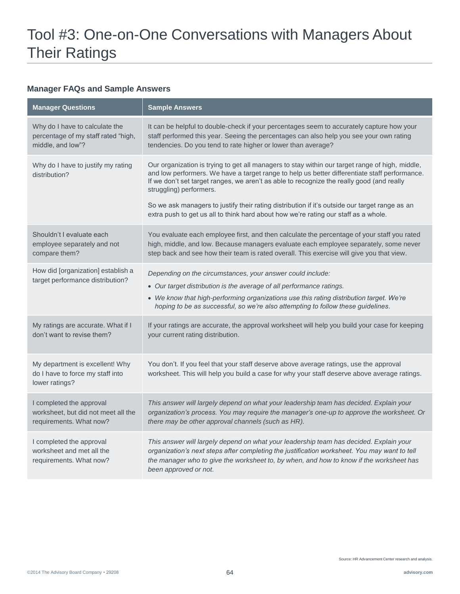#### **Manager FAQs and Sample Answers**

| <b>Manager Questions</b>                                                                   | <b>Sample Answers</b>                                                                                                                                                                                                                                                                                                                                                                                                                                                                                             |
|--------------------------------------------------------------------------------------------|-------------------------------------------------------------------------------------------------------------------------------------------------------------------------------------------------------------------------------------------------------------------------------------------------------------------------------------------------------------------------------------------------------------------------------------------------------------------------------------------------------------------|
| Why do I have to calculate the<br>percentage of my staff rated "high,<br>middle, and low"? | It can be helpful to double-check if your percentages seem to accurately capture how your<br>staff performed this year. Seeing the percentages can also help you see your own rating<br>tendencies. Do you tend to rate higher or lower than average?                                                                                                                                                                                                                                                             |
| Why do I have to justify my rating<br>distribution?                                        | Our organization is trying to get all managers to stay within our target range of high, middle,<br>and low performers. We have a target range to help us better differentiate staff performance.<br>If we don't set target ranges, we aren't as able to recognize the really good (and really<br>struggling) performers.<br>So we ask managers to justify their rating distribution if it's outside our target range as an<br>extra push to get us all to think hard about how we're rating our staff as a whole. |
| Shouldn't I evaluate each<br>employee separately and not<br>compare them?                  | You evaluate each employee first, and then calculate the percentage of your staff you rated<br>high, middle, and low. Because managers evaluate each employee separately, some never<br>step back and see how their team is rated overall. This exercise will give you that view.                                                                                                                                                                                                                                 |
| How did [organization] establish a<br>target performance distribution?                     | Depending on the circumstances, your answer could include:<br>• Our target distribution is the average of all performance ratings.<br>• We know that high-performing organizations use this rating distribution target. We're<br>hoping to be as successful, so we're also attempting to follow these guidelines.                                                                                                                                                                                                 |
| My ratings are accurate. What if I<br>don't want to revise them?                           | If your ratings are accurate, the approval worksheet will help you build your case for keeping<br>your current rating distribution.                                                                                                                                                                                                                                                                                                                                                                               |
| My department is excellent! Why<br>do I have to force my staff into<br>lower ratings?      | You don't. If you feel that your staff deserve above average ratings, use the approval<br>worksheet. This will help you build a case for why your staff deserve above average ratings.                                                                                                                                                                                                                                                                                                                            |
| I completed the approval<br>worksheet, but did not meet all the<br>requirements. What now? | This answer will largely depend on what your leadership team has decided. Explain your<br>organization's process. You may require the manager's one-up to approve the worksheet. Or<br>there may be other approval channels (such as HR).                                                                                                                                                                                                                                                                         |
| I completed the approval<br>worksheet and met all the<br>requirements. What now?           | This answer will largely depend on what your leadership team has decided. Explain your<br>organization's next steps after completing the justification worksheet. You may want to tell<br>the manager who to give the worksheet to, by when, and how to know if the worksheet has<br>been approved or not.                                                                                                                                                                                                        |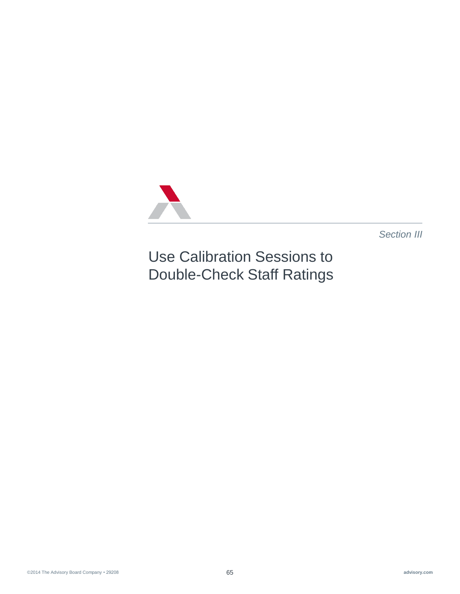

*Section III*

Use Calibration Sessions to Double-Check Staff Ratings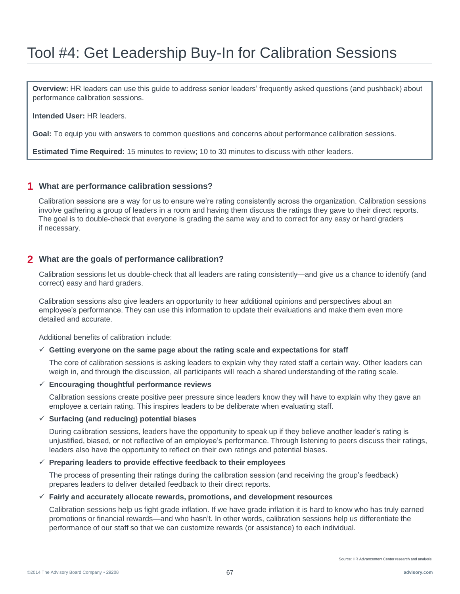## Tool #4: Get Leadership Buy-In for Calibration Sessions

**Overview:** HR leaders can use this guide to address senior leaders' frequently asked questions (and pushback) about performance calibration sessions.

**Intended User:** HR leaders.

**Goal:** To equip you with answers to common questions and concerns about performance calibration sessions.

**Estimated Time Required:** 15 minutes to review; 10 to 30 minutes to discuss with other leaders.

#### **1 What are performance calibration sessions?**

Calibration sessions are a way for us to ensure we're rating consistently across the organization. Calibration sessions involve gathering a group of leaders in a room and having them discuss the ratings they gave to their direct reports. The goal is to double-check that everyone is grading the same way and to correct for any easy or hard graders if necessary.

#### **2 What are the goals of performance calibration?**

Calibration sessions let us double-check that all leaders are rating consistently—and give us a chance to identify (and correct) easy and hard graders.

Calibration sessions also give leaders an opportunity to hear additional opinions and perspectives about an employee's performance. They can use this information to update their evaluations and make them even more detailed and accurate.

Additional benefits of calibration include:

#### $\checkmark$  Getting everyone on the same page about the rating scale and expectations for staff

The core of calibration sessions is asking leaders to explain why they rated staff a certain way. Other leaders can weigh in, and through the discussion, all participants will reach a shared understanding of the rating scale.

#### **Encouraging thoughtful performance reviews**

Calibration sessions create positive peer pressure since leaders know they will have to explain why they gave an employee a certain rating. This inspires leaders to be deliberate when evaluating staff.

#### **Surfacing (and reducing) potential biases**

During calibration sessions, leaders have the opportunity to speak up if they believe another leader's rating is unjustified, biased, or not reflective of an employee's performance. Through listening to peers discuss their ratings, leaders also have the opportunity to reflect on their own ratings and potential biases.

#### **Preparing leaders to provide effective feedback to their employees**

The process of presenting their ratings during the calibration session (and receiving the group's feedback) prepares leaders to deliver detailed feedback to their direct reports.

#### **Fairly and accurately allocate rewards, promotions, and development resources**

Calibration sessions help us fight grade inflation. If we have grade inflation it is hard to know who has truly earned promotions or financial rewards—and who hasn't. In other words, calibration sessions help us differentiate the performance of our staff so that we can customize rewards (or assistance) to each individual.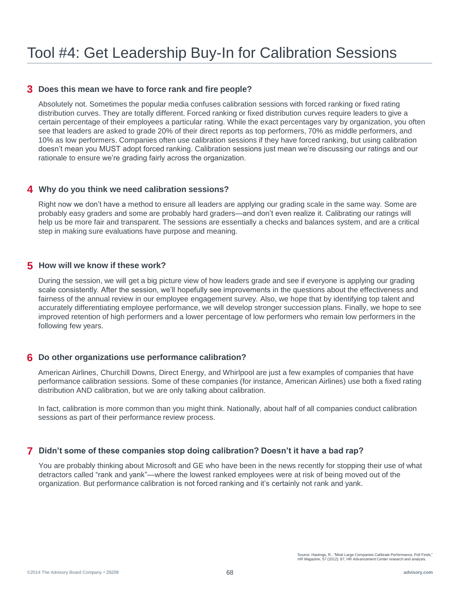#### **3 Does this mean we have to force rank and fire people?**

Absolutely not. Sometimes the popular media confuses calibration sessions with forced ranking or fixed rating distribution curves. They are totally different. Forced ranking or fixed distribution curves require leaders to give a certain percentage of their employees a particular rating. While the exact percentages vary by organization, you often see that leaders are asked to grade 20% of their direct reports as top performers, 70% as middle performers, and 10% as low performers. Companies often use calibration sessions if they have forced ranking, but using calibration doesn't mean you MUST adopt forced ranking. Calibration sessions just mean we're discussing our ratings and our rationale to ensure we're grading fairly across the organization.

#### **4 Why do you think we need calibration sessions?**

Right now we don't have a method to ensure all leaders are applying our grading scale in the same way. Some are probably easy graders and some are probably hard graders—and don't even realize it. Calibrating our ratings will help us be more fair and transparent. The sessions are essentially a checks and balances system, and are a critical step in making sure evaluations have purpose and meaning.

#### **5 How will we know if these work?**

During the session, we will get a big picture view of how leaders grade and see if everyone is applying our grading scale consistently. After the session, we'll hopefully see improvements in the questions about the effectiveness and fairness of the annual review in our employee engagement survey. Also, we hope that by identifying top talent and accurately differentiating employee performance, we will develop stronger succession plans. Finally, we hope to see improved retention of high performers and a lower percentage of low performers who remain low performers in the following few years.

#### **6 Do other organizations use performance calibration?**

American Airlines, Churchill Downs, Direct Energy, and Whirlpool are just a few examples of companies that have performance calibration sessions. Some of these companies (for instance, American Airlines) use both a fixed rating distribution AND calibration, but we are only talking about calibration.

In fact, calibration is more common than you might think. Nationally, about half of all companies conduct calibration sessions as part of their performance review process.

#### **7 Didn't some of these companies stop doing calibration? Doesn't it have a bad rap?**

You are probably thinking about Microsoft and GE who have been in the news recently for stopping their use of what detractors called "rank and yank"—where the lowest ranked employees were at risk of being moved out of the organization. But performance calibration is not forced ranking and it's certainly not rank and yank.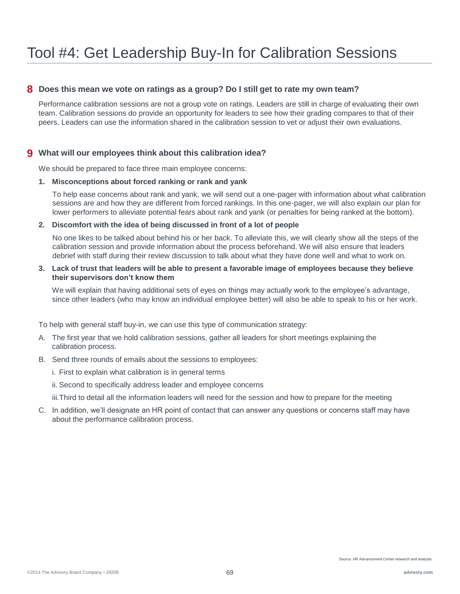#### **8 Does this mean we vote on ratings as a group? Do I still get to rate my own team?**

Performance calibration sessions are not a group vote on ratings. Leaders are still in charge of evaluating their own team. Calibration sessions do provide an opportunity for leaders to see how their grading compares to that of their peers. Leaders can use the information shared in the calibration session to vet or adjust their own evaluations.

#### **9 What will our employees think about this calibration idea?**

We should be prepared to face three main employee concerns:

#### **1. Misconceptions about forced ranking or rank and yank**

To help ease concerns about rank and yank, we will send out a one-pager with information about what calibration sessions are and how they are different from forced rankings. In this one-pager, we will also explain our plan for lower performers to alleviate potential fears about rank and yank (or penalties for being ranked at the bottom).

#### **2. Discomfort with the idea of being discussed in front of a lot of people**

No one likes to be talked about behind his or her back. To alleviate this, we will clearly show all the steps of the calibration session and provide information about the process beforehand. We will also ensure that leaders debrief with staff during their review discussion to talk about what they have done well and what to work on.

#### **3. Lack of trust that leaders will be able to present a favorable image of employees because they believe their supervisors don't know them**

We will explain that having additional sets of eyes on things may actually work to the employee's advantage, since other leaders (who may know an individual employee better) will also be able to speak to his or her work.

To help with general staff buy-in, we can use this type of communication strategy:

- A. The first year that we hold calibration sessions, gather all leaders for short meetings explaining the calibration process.
- B. Send three rounds of emails about the sessions to employees:
	- i. First to explain what calibration is in general terms
	- ii. Second to specifically address leader and employee concerns
	- iii.Third to detail all the information leaders will need for the session and how to prepare for the meeting
- C. In addition, we'll designate an HR point of contact that can answer any questions or concerns staff may have about the performance calibration process.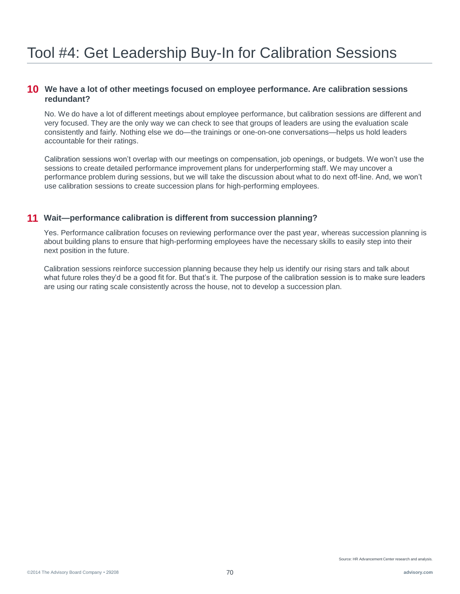#### **10 We have a lot of other meetings focused on employee performance. Are calibration sessions redundant?**

No. We do have a lot of different meetings about employee performance, but calibration sessions are different and very focused. They are the only way we can check to see that groups of leaders are using the evaluation scale consistently and fairly. Nothing else we do—the trainings or one-on-one conversations—helps us hold leaders accountable for their ratings.

Calibration sessions won't overlap with our meetings on compensation, job openings, or budgets. We won't use the sessions to create detailed performance improvement plans for underperforming staff. We may uncover a performance problem during sessions, but we will take the discussion about what to do next off-line. And, we won't use calibration sessions to create succession plans for high-performing employees.

#### **11 Wait—performance calibration is different from succession planning?**

Yes. Performance calibration focuses on reviewing performance over the past year, whereas succession planning is about building plans to ensure that high-performing employees have the necessary skills to easily step into their next position in the future.

Calibration sessions reinforce succession planning because they help us identify our rising stars and talk about what future roles they'd be a good fit for. But that's it. The purpose of the calibration session is to make sure leaders are using our rating scale consistently across the house, not to develop a succession plan.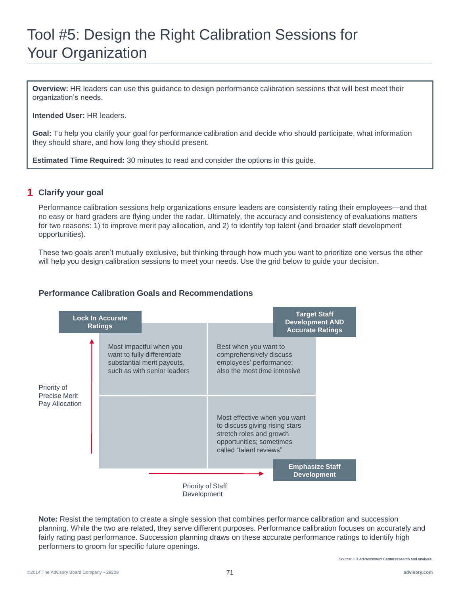# Tool #5: Design the Right Calibration Sessions for Your Organization

**Overview:** HR leaders can use this guidance to design performance calibration sessions that will best meet their organization's needs.

**Intended User:** HR leaders.

**Goal:** To help you clarify your goal for performance calibration and decide who should participate, what information they should share, and how long they should present.

**Estimated Time Required:** 30 minutes to read and consider the options in this guide.

#### **1 Clarify your goal**

Performance calibration sessions help organizations ensure leaders are consistently rating their employees—and that no easy or hard graders are flying under the radar. Ultimately, the accuracy and consistency of evaluations matters for two reasons: 1) to improve merit pay allocation, and 2) to identify top talent (and broader staff development opportunities).

These two goals aren't mutually exclusive, but thinking through how much you want to prioritize one versus the other will help you design calibration sessions to meet your needs. Use the grid below to guide your decision.

#### **Performance Calibration Goals and Recommendations**



**Note:** Resist the temptation to create a single session that combines performance calibration and succession planning. While the two are related, they serve different purposes. Performance calibration focuses on accurately and fairly rating past performance. Succession planning draws on these accurate performance ratings to identify high performers to groom for specific future openings.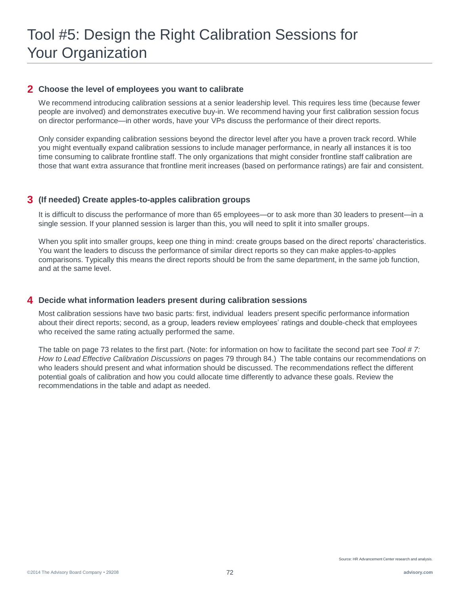#### **2 Choose the level of employees you want to calibrate**

We recommend introducing calibration sessions at a senior leadership level. This requires less time (because fewer people are involved) and demonstrates executive buy-in. We recommend having your first calibration session focus on director performance—in other words, have your VPs discuss the performance of their direct reports.

Only consider expanding calibration sessions beyond the director level after you have a proven track record. While you might eventually expand calibration sessions to include manager performance, in nearly all instances it is too time consuming to calibrate frontline staff. The only organizations that might consider frontline staff calibration are those that want extra assurance that frontline merit increases (based on performance ratings) are fair and consistent.

#### **(If needed) Create apples-to-apples calibration groups 3**

It is difficult to discuss the performance of more than 65 employees—or to ask more than 30 leaders to present—in a single session. If your planned session is larger than this, you will need to split it into smaller groups.

When you split into smaller groups, keep one thing in mind: create groups based on the direct reports' characteristics. You want the leaders to discuss the performance of similar direct reports so they can make apples-to-apples comparisons. Typically this means the direct reports should be from the same department, in the same job function, and at the same level.

#### **Decide what information leaders present during calibration sessions 4**

Most calibration sessions have two basic parts: first, individual leaders present specific performance information about their direct reports; second, as a group, leaders review employees' ratings and double-check that employees who received the same rating actually performed the same.

The table on page 73 relates to the first part. (Note: for information on how to facilitate the second part see *Tool # 7: How to Lead Effective Calibration Discussions* on pages 79 through 84.) The table contains our recommendations on who leaders should present and what information should be discussed. The recommendations reflect the different potential goals of calibration and how you could allocate time differently to advance these goals. Review the recommendations in the table and adapt as needed.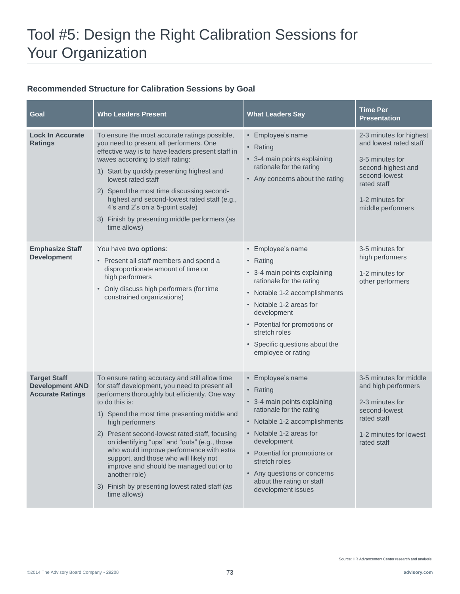# Tool #5: Design the Right Calibration Sessions for Your Organization

## **Recommended Structure for Calibration Sessions by Goal**

| Goal                                                                     | <b>Who Leaders Present</b>                                                                                                                                                                                                                                                                                                                                                                                                                                                                                                                                    | <b>What Leaders Say</b>                                                                                                                                                                                                                                                                                  | Time Per<br><b>Presentation</b>                                                                                                                                    |
|--------------------------------------------------------------------------|---------------------------------------------------------------------------------------------------------------------------------------------------------------------------------------------------------------------------------------------------------------------------------------------------------------------------------------------------------------------------------------------------------------------------------------------------------------------------------------------------------------------------------------------------------------|----------------------------------------------------------------------------------------------------------------------------------------------------------------------------------------------------------------------------------------------------------------------------------------------------------|--------------------------------------------------------------------------------------------------------------------------------------------------------------------|
| <b>Lock In Accurate</b><br><b>Ratings</b>                                | To ensure the most accurate ratings possible,<br>you need to present all performers. One<br>effective way is to have leaders present staff in<br>waves according to staff rating:<br>1) Start by quickly presenting highest and<br>lowest rated staff<br>2) Spend the most time discussing second-<br>highest and second-lowest rated staff (e.g.,<br>4's and 2's on a 5-point scale)<br>3) Finish by presenting middle performers (as<br>time allows)                                                                                                        | • Employee's name<br>• Rating<br>• 3-4 main points explaining<br>rationale for the rating<br>• Any concerns about the rating                                                                                                                                                                             | 2-3 minutes for highest<br>and lowest rated staff<br>3-5 minutes for<br>second-highest and<br>second-lowest<br>rated staff<br>1-2 minutes for<br>middle performers |
| <b>Emphasize Staff</b><br><b>Development</b>                             | You have two options:<br>• Present all staff members and spend a<br>disproportionate amount of time on<br>high performers<br>• Only discuss high performers (for time<br>constrained organizations)                                                                                                                                                                                                                                                                                                                                                           | • Employee's name<br>• Rating<br>• 3-4 main points explaining<br>rationale for the rating<br>• Notable 1-2 accomplishments<br>• Notable 1-2 areas for<br>development<br>• Potential for promotions or<br>stretch roles<br>• Specific questions about the<br>employee or rating                           | 3-5 minutes for<br>high performers<br>1-2 minutes for<br>other performers                                                                                          |
| <b>Target Staff</b><br><b>Development AND</b><br><b>Accurate Ratings</b> | To ensure rating accuracy and still allow time<br>for staff development, you need to present all<br>performers thoroughly but efficiently. One way<br>to do this is:<br>1) Spend the most time presenting middle and<br>high performers<br>2) Present second-lowest rated staff, focusing<br>on identifying "ups" and "outs" (e.g., those<br>who would improve performance with extra<br>support, and those who will likely not<br>improve and should be managed out or to<br>another role)<br>3) Finish by presenting lowest rated staff (as<br>time allows) | • Employee's name<br>• Rating<br>• 3-4 main points explaining<br>rationale for the rating<br>• Notable 1-2 accomplishments<br>• Notable 1-2 areas for<br>development<br>• Potential for promotions or<br>stretch roles<br>• Any questions or concerns<br>about the rating or staff<br>development issues | 3-5 minutes for middle<br>and high performers<br>2-3 minutes for<br>second-lowest<br>rated staff<br>1-2 minutes for lowest<br>rated staff                          |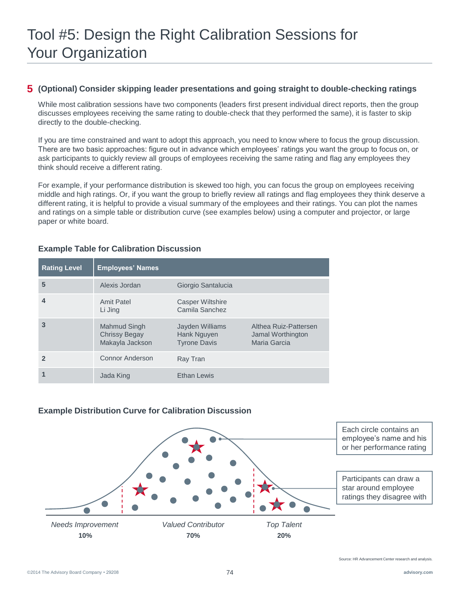## **(Optional) Consider skipping leader presentations and going straight to double-checking ratings 5**

While most calibration sessions have two components (leaders first present individual direct reports, then the group discusses employees receiving the same rating to double-check that they performed the same), it is faster to skip directly to the double-checking.

If you are time constrained and want to adopt this approach, you need to know where to focus the group discussion. There are two basic approaches: figure out in advance which employees' ratings you want the group to focus on, or ask participants to quickly review all groups of employees receiving the same rating and flag any employees they think should receive a different rating.

For example, if your performance distribution is skewed too high, you can focus the group on employees receiving middle and high ratings. Or, if you want the group to briefly review all ratings and flag employees they think deserve a different rating, it is helpful to provide a visual summary of the employees and their ratings. You can plot the names and ratings on a simple table or distribution curve (see examples below) using a computer and projector, or large paper or white board.

### **Example Table for Calibration Discussion**

| <b>Rating Level</b> | <b>Employees' Names</b>                                 |                                                       |                                                            |
|---------------------|---------------------------------------------------------|-------------------------------------------------------|------------------------------------------------------------|
| 5                   | Alexis Jordan                                           | Giorgio Santalucia                                    |                                                            |
| $\boldsymbol{4}$    | <b>Amit Patel</b><br>Li Jing                            | Casper Wiltshire<br>Camila Sanchez                    |                                                            |
| 3                   | Mahmud Singh<br><b>Chrissy Begay</b><br>Makayla Jackson | Jayden Williams<br>Hank Nguyen<br><b>Tyrone Davis</b> | Althea Ruiz-Pattersen<br>Jamal Worthington<br>Maria Garcia |
| $\mathbf{z}$        | Connor Anderson                                         | Ray Tran                                              |                                                            |
|                     | Jada King                                               | <b>Ethan Lewis</b>                                    |                                                            |

## **Example Distribution Curve for Calibration Discussion**

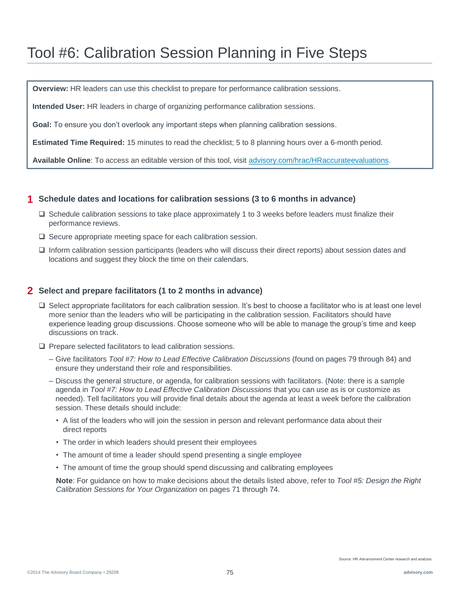## Tool #6: Calibration Session Planning in Five Steps

**Overview:** HR leaders can use this checklist to prepare for performance calibration sessions.

**Intended User:** HR leaders in charge of organizing performance calibration sessions.

**Goal:** To ensure you don't overlook any important steps when planning calibration sessions.

**Estimated Time Required:** 15 minutes to read the checklist; 5 to 8 planning hours over a 6-month period.

**Available Online**: To access an editable version of this tool, visit [advisory.com/hrac/HRaccurateevaluations.](http://www.advisory.com/hrac/HRaccurateevaluations)

#### **1 Schedule dates and locations for calibration sessions (3 to 6 months in advance)**

- $\square$  Schedule calibration sessions to take place approximately 1 to 3 weeks before leaders must finalize their performance reviews.
- $\square$  Secure appropriate meeting space for each calibration session.
- Inform calibration session participants (leaders who will discuss their direct reports) about session dates and locations and suggest they block the time on their calendars.

### **2 Select and prepare facilitators (1 to 2 months in advance)**

- $\square$  Select appropriate facilitators for each calibration session. It's best to choose a facilitator who is at least one level more senior than the leaders who will be participating in the calibration session. Facilitators should have experience leading group discussions. Choose someone who will be able to manage the group's time and keep discussions on track.
- $\square$  Prepare selected facilitators to lead calibration sessions.
	- Give facilitators *Tool #7: How to Lead Effective Calibration Discussions* (found on pages 79 through 84) and ensure they understand their role and responsibilities.
	- Discuss the general structure, or agenda, for calibration sessions with facilitators. (Note: there is a sample agenda in *Tool #7: How to Lead Effective Calibration Discussions* that you can use as is or customize as needed). Tell facilitators you will provide final details about the agenda at least a week before the calibration session. These details should include:
		- A list of the leaders who will join the session in person and relevant performance data about their direct reports
		- The order in which leaders should present their employees
		- The amount of time a leader should spend presenting a single employee
		- The amount of time the group should spend discussing and calibrating employees

**Note**: For guidance on how to make decisions about the details listed above, refer to *Tool #5: Design the Right Calibration Sessions for Your Organization* on pages 71 through 74.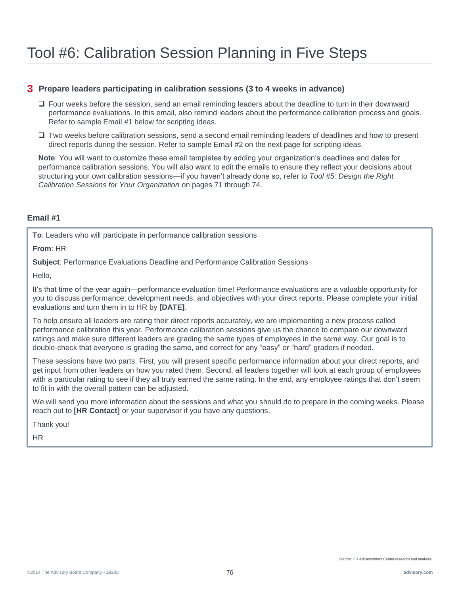### **3 Prepare leaders participating in calibration sessions (3 to 4 weeks in advance)**

- □ Four weeks before the session, send an email reminding leaders about the deadline to turn in their downward performance evaluations. In this email, also remind leaders about the performance calibration process and goals. Refer to sample Email #1 below for scripting ideas.
- Two weeks before calibration sessions, send a second email reminding leaders of deadlines and how to present direct reports during the session. Refer to sample Email #2 on the next page for scripting ideas.

**Note**: You will want to customize these email templates by adding your organization's deadlines and dates for performance calibration sessions. You will also want to edit the emails to ensure they reflect your decisions about structuring your own calibration sessions—if you haven't already done so, refer to *Tool #5: Design the Right Calibration Sessions for Your Organization* on pages 71 through 74.

### **Email #1**

**To**: Leaders who will participate in performance calibration sessions

**From**: HR

**Subject**: Performance Evaluations Deadline and Performance Calibration Sessions

Hello,

It's that time of the year again—performance evaluation time! Performance evaluations are a valuable opportunity for you to discuss performance, development needs, and objectives with your direct reports. Please complete your initial evaluations and turn them in to HR by **[DATE]**.

To help ensure all leaders are rating their direct reports accurately, we are implementing a new process called performance calibration this year. Performance calibration sessions give us the chance to compare our downward ratings and make sure different leaders are grading the same types of employees in the same way. Our goal is to double-check that everyone is grading the same, and correct for any "easy" or "hard" graders if needed.

These sessions have two parts. First, you will present specific performance information about your direct reports, and get input from other leaders on how you rated them. Second, all leaders together will look at each group of employees with a particular rating to see if they all truly earned the same rating. In the end, any employee ratings that don't seem to fit in with the overall pattern can be adjusted.

We will send you more information about the sessions and what you should do to prepare in the coming weeks. Please reach out to **[HR Contact]** or your supervisor if you have any questions.

Thank you!

HR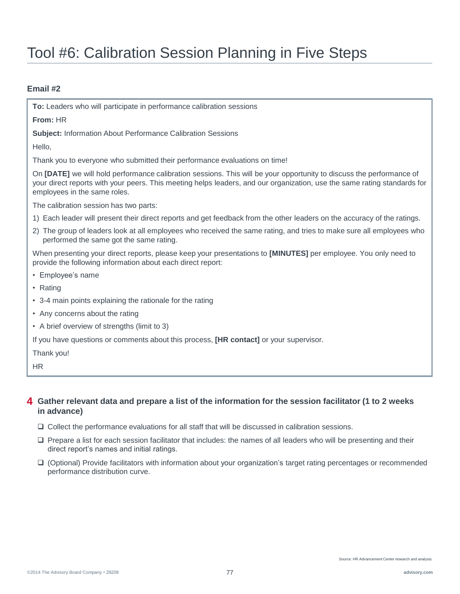# Tool #6: Calibration Session Planning in Five Steps

### **Email #2**

**To:** Leaders who will participate in performance calibration sessions

**From:** HR

**Subject:** Information About Performance Calibration Sessions

Hello,

Thank you to everyone who submitted their performance evaluations on time!

On **[DATE]** we will hold performance calibration sessions. This will be your opportunity to discuss the performance of your direct reports with your peers. This meeting helps leaders, and our organization, use the same rating standards for employees in the same roles.

The calibration session has two parts:

- 1) Each leader will present their direct reports and get feedback from the other leaders on the accuracy of the ratings.
- 2) The group of leaders look at all employees who received the same rating, and tries to make sure all employees who performed the same got the same rating.

When presenting your direct reports, please keep your presentations to **[MINUTES]** per employee. You only need to provide the following information about each direct report:

- Employee's name
- Rating
- 3-4 main points explaining the rationale for the rating
- Any concerns about the rating
- A brief overview of strengths (limit to 3)

If you have questions or comments about this process, **[HR contact]** or your supervisor.

Thank you!

HR

### **Gather relevant data and prepare a list of the information for the session facilitator (1 to 2 weeks 4 in advance)**

- $\Box$  Collect the performance evaluations for all staff that will be discussed in calibration sessions.
- $\Box$  Prepare a list for each session facilitator that includes: the names of all leaders who will be presenting and their direct report's names and initial ratings.
- (Optional) Provide facilitators with information about your organization's target rating percentages or recommended performance distribution curve.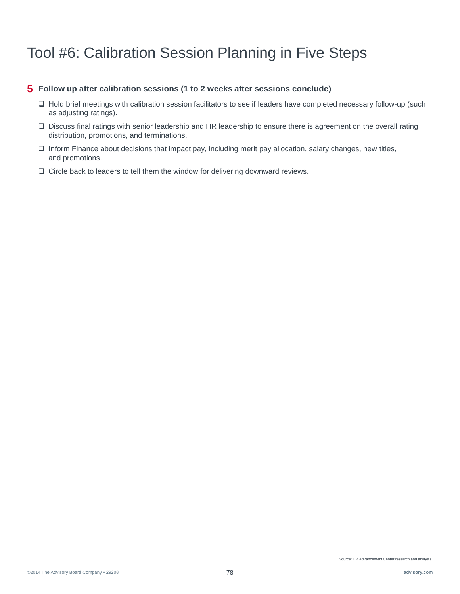## Tool #6: Calibration Session Planning in Five Steps

### **5 Follow up after calibration sessions (1 to 2 weeks after sessions conclude)**

- Hold brief meetings with calibration session facilitators to see if leaders have completed necessary follow-up (such as adjusting ratings).
- Discuss final ratings with senior leadership and HR leadership to ensure there is agreement on the overall rating distribution, promotions, and terminations.
- $\Box$  Inform Finance about decisions that impact pay, including merit pay allocation, salary changes, new titles, and promotions.
- $\Box$  Circle back to leaders to tell them the window for delivering downward reviews.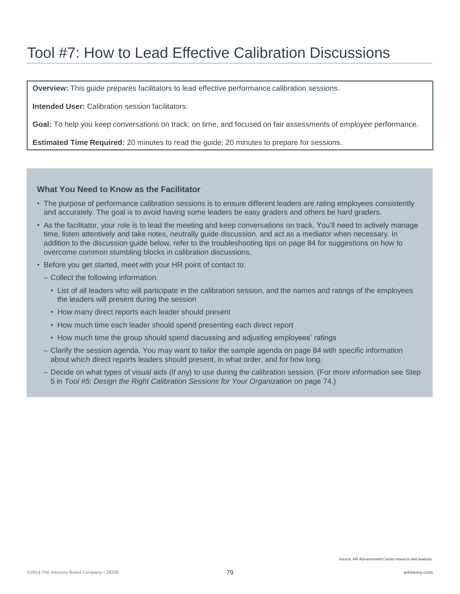**Overview:** This guide prepares facilitators to lead effective performance calibration sessions.

**Intended User:** Calibration session facilitators.

**Goal:** To help you keep conversations on track, on time, and focused on fair assessments of employee performance.

**Estimated Time Required:** 20 minutes to read the guide; 20 minutes to prepare for sessions.

#### **What You Need to Know as the Facilitator**

- The purpose of performance calibration sessions is to ensure different leaders are rating employees consistently and accurately. The goal is to avoid having some leaders be easy graders and others be hard graders.
- As the facilitator, your role is to lead the meeting and keep conversations on track. You'll need to actively manage time, listen attentively and take notes, neutrally guide discussion, and act as a mediator when necessary. In addition to the discussion guide below, refer to the troubleshooting tips on page 84 for suggestions on how to overcome common stumbling blocks in calibration discussions.
- Before you get started, meet with your HR point of contact to:
	- Collect the following information:
		- List of all leaders who will participate in the calibration session, and the names and ratings of the employees the leaders will present during the session
		- How many direct reports each leader should present
		- How much time each leader should spend presenting each direct report
		- How much time the group should spend discussing and adjusting employees' ratings
	- Clarify the session agenda. You may want to tailor the sample agenda on page 84 with specific information about which direct reports leaders should present, in what order, and for how long.
	- Decide on what types of visual aids (if any) to use during the calibration session. (For more information see Step 5 in *Tool #5: Design the Right Calibration Sessions for Your Organization* on page 74.)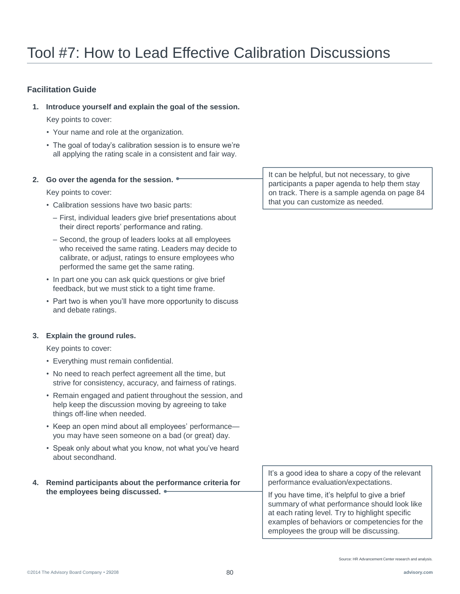### **Facilitation Guide**

**1. Introduce yourself and explain the goal of the session.**

Key points to cover:

- Your name and role at the organization.
- The goal of today's calibration session is to ensure we're all applying the rating scale in a consistent and fair way.

#### **2. Go over the agenda for the session.**

Key points to cover:

- Calibration sessions have two basic parts:
	- First, individual leaders give brief presentations about their direct reports' performance and rating.
	- Second, the group of leaders looks at all employees who received the same rating. Leaders may decide to calibrate, or adjust, ratings to ensure employees who performed the same get the same rating.
- In part one you can ask quick questions or give brief feedback, but we must stick to a tight time frame.
- Part two is when you'll have more opportunity to discuss and debate ratings.

#### **3. Explain the ground rules.**

Key points to cover:

- Everything must remain confidential.
- No need to reach perfect agreement all the time, but strive for consistency, accuracy, and fairness of ratings.
- Remain engaged and patient throughout the session, and help keep the discussion moving by agreeing to take things off-line when needed.
- Keep an open mind about all employees' performance you may have seen someone on a bad (or great) day.
- Speak only about what you know, not what you've heard about secondhand.

#### **4. Remind participants about the performance criteria for the employees being discussed.**

It can be helpful, but not necessary, to give participants a paper agenda to help them stay on track. There is a sample agenda on page 84 that you can customize as needed.

It's a good idea to share a copy of the relevant performance evaluation/expectations.

If you have time, it's helpful to give a brief summary of what performance should look like at each rating level. Try to highlight specific examples of behaviors or competencies for the employees the group will be discussing.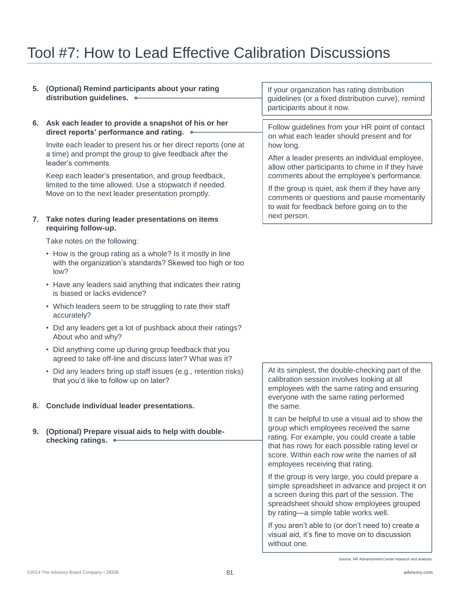- **5. (Optional) Remind participants about your rating distribution guidelines.**
- **6. Ask each leader to provide a snapshot of his or her direct reports' performance and rating.**

Invite each leader to present his or her direct reports (one at a time) and prompt the group to give feedback after the leader's comments.

Keep each leader's presentation, and group feedback, limited to the time allowed. Use a stopwatch if needed. Move on to the next leader presentation promptly.

#### **7. Take notes during leader presentations on items requiring follow-up.**

Take notes on the following:

- How is the group rating as a whole? Is it mostly in line with the organization's standards? Skewed too high or too low?
- Have any leaders said anything that indicates their rating is biased or lacks evidence?
- Which leaders seem to be struggling to rate their staff accurately?
- Did any leaders get a lot of pushback about their ratings? About who and why?
- Did anything come up during group feedback that you agreed to take off-line and discuss later? What was it?
- Did any leaders bring up staff issues (e.g., retention risks) that you'd like to follow up on later?

#### **8. Conclude individual leader presentations.**

**9. (Optional) Prepare visual aids to help with doublechecking ratings.**

If your organization has rating distribution guidelines (or a fixed distribution curve), remind participants about it now.

Follow guidelines from your HR point of contact on what each leader should present and for how long.

After a leader presents an individual employee, allow other participants to chime in if they have comments about the employee's performance.

If the group is quiet, ask them if they have any comments or questions and pause momentarily to wait for feedback before going on to the next person.

At its simplest, the double-checking part of the calibration session involves looking at all employees with the same rating and ensuring everyone with the same rating performed the same.

It can be helpful to use a visual aid to show the group which employees received the same rating. For example, you could create a table that has rows for each possible rating level or score. Within each row write the names of all employees receiving that rating.

If the group is very large, you could prepare a simple spreadsheet in advance and project it on a screen during this part of the session. The spreadsheet should show employees grouped by rating—a simple table works well.

If you aren't able to (or don't need to) create a visual aid, it's fine to move on to discussion without one.

Source: HR Advancement Center research and analysis.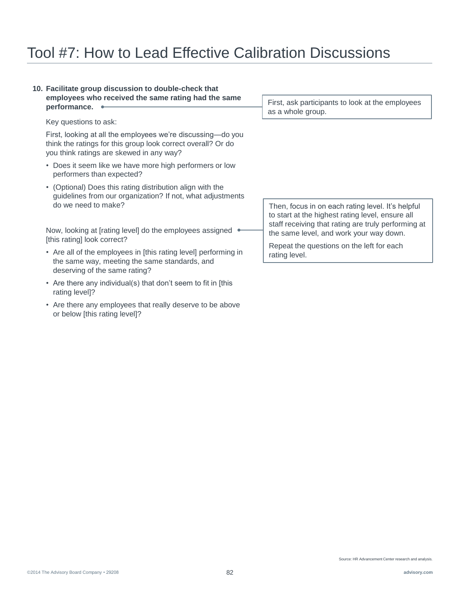#### **10. Facilitate group discussion to double-check that employees who received the same rating had the same performance.**

Key questions to ask:

First, looking at all the employees we're discussing—do you think the ratings for this group look correct overall? Or do you think ratings are skewed in any way?

- Does it seem like we have more high performers or low performers than expected?
- (Optional) Does this rating distribution align with the guidelines from our organization? If not, what adjustments do we need to make?

Now, looking at [rating level] do the employees assigned . [this rating] look correct?

- Are all of the employees in [this rating level] performing in the same way, meeting the same standards, and deserving of the same rating?
- Are there any individual(s) that don't seem to fit in [this rating level]?
- Are there any employees that really deserve to be above or below [this rating level]?

First, ask participants to look at the employees as a whole group.

Then, focus in on each rating level. It's helpful to start at the highest rating level, ensure all staff receiving that rating are truly performing at the same level, and work your way down.

Repeat the questions on the left for each rating level.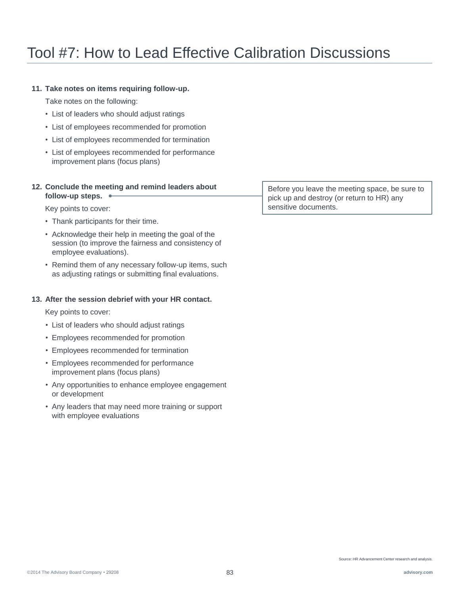### **11. Take notes on items requiring follow-up.**

Take notes on the following:

- List of leaders who should adjust ratings
- List of employees recommended for promotion
- List of employees recommended for termination
- List of employees recommended for performance improvement plans (focus plans)

#### **12. Conclude the meeting and remind leaders about follow-up steps.**

Key points to cover:

- Thank participants for their time.
- Acknowledge their help in meeting the goal of the session (to improve the fairness and consistency of employee evaluations).
- Remind them of any necessary follow-up items, such as adjusting ratings or submitting final evaluations.

### **13. After the session debrief with your HR contact.**

Key points to cover:

- List of leaders who should adjust ratings
- Employees recommended for promotion
- Employees recommended for termination
- Employees recommended for performance improvement plans (focus plans)
- Any opportunities to enhance employee engagement or development
- Any leaders that may need more training or support with employee evaluations

Before you leave the meeting space, be sure to pick up and destroy (or return to HR) any sensitive documents.